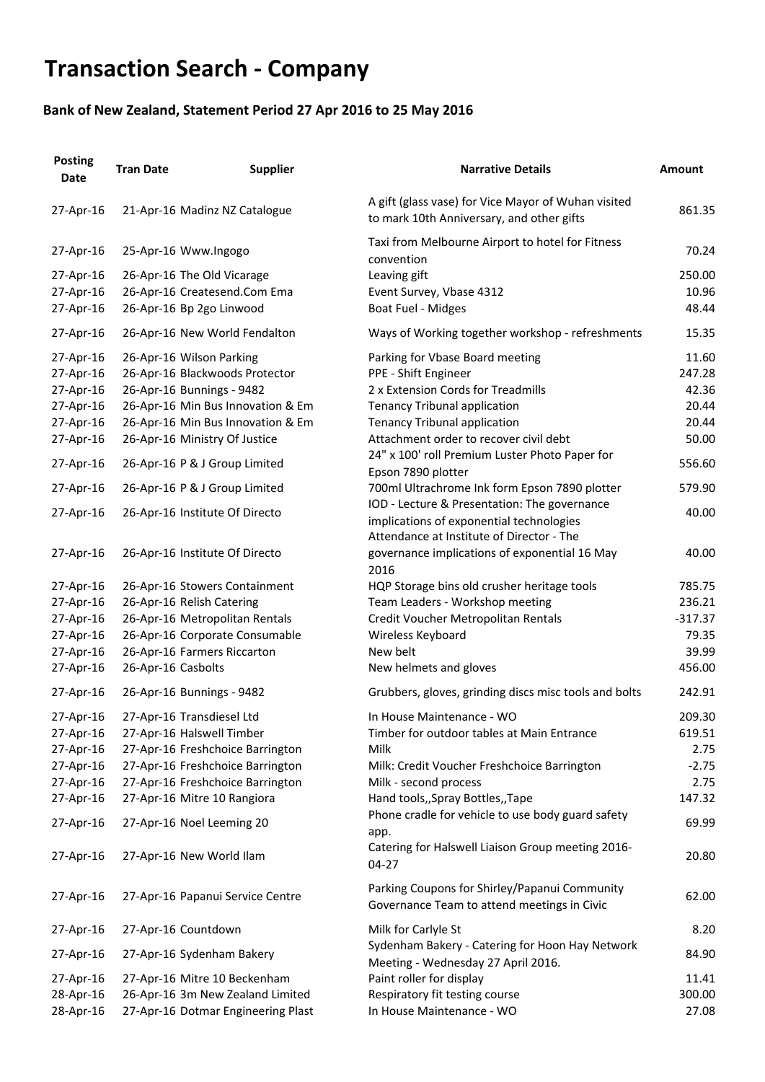## **Transaction Search - Company**

## **Bank of New Zealand, Statement Period 27 Apr 2016 to 25 May 2016**

| <b>Posting</b><br><b>Date</b> | <b>Tran Date</b>    | <b>Supplier</b>                    | <b>Narrative Details</b>                                                                         | <b>Amount</b> |
|-------------------------------|---------------------|------------------------------------|--------------------------------------------------------------------------------------------------|---------------|
| 27-Apr-16                     |                     | 21-Apr-16 Madinz NZ Catalogue      | A gift (glass vase) for Vice Mayor of Wuhan visited<br>to mark 10th Anniversary, and other gifts | 861.35        |
| 27-Apr-16                     |                     | 25-Apr-16 Www.Ingogo               | Taxi from Melbourne Airport to hotel for Fitness<br>convention                                   | 70.24         |
| 27-Apr-16                     |                     | 26-Apr-16 The Old Vicarage         | Leaving gift                                                                                     | 250.00        |
| 27-Apr-16                     |                     | 26-Apr-16 Createsend.Com Ema       | Event Survey, Vbase 4312                                                                         | 10.96         |
| 27-Apr-16                     |                     | 26-Apr-16 Bp 2go Linwood           | <b>Boat Fuel - Midges</b>                                                                        | 48.44         |
| 27-Apr-16                     |                     | 26-Apr-16 New World Fendalton      | Ways of Working together workshop - refreshments                                                 | 15.35         |
| 27-Apr-16                     |                     | 26-Apr-16 Wilson Parking           | Parking for Vbase Board meeting                                                                  | 11.60         |
| 27-Apr-16                     |                     | 26-Apr-16 Blackwoods Protector     | PPE - Shift Engineer                                                                             | 247.28        |
| 27-Apr-16                     |                     | 26-Apr-16 Bunnings - 9482          | 2 x Extension Cords for Treadmills                                                               | 42.36         |
| 27-Apr-16                     |                     | 26-Apr-16 Min Bus Innovation & Em  | <b>Tenancy Tribunal application</b>                                                              | 20.44         |
| 27-Apr-16                     |                     | 26-Apr-16 Min Bus Innovation & Em  | <b>Tenancy Tribunal application</b>                                                              | 20.44         |
| 27-Apr-16                     |                     | 26-Apr-16 Ministry Of Justice      | Attachment order to recover civil debt                                                           | 50.00         |
| 27-Apr-16                     |                     | 26-Apr-16 P & J Group Limited      | 24" x 100' roll Premium Luster Photo Paper for<br>Epson 7890 plotter                             | 556.60        |
| 27-Apr-16                     |                     | 26-Apr-16 P & J Group Limited      | 700ml Ultrachrome Ink form Epson 7890 plotter                                                    | 579.90        |
| 27-Apr-16                     |                     | 26-Apr-16 Institute Of Directo     | IOD - Lecture & Presentation: The governance<br>implications of exponential technologies         | 40.00         |
|                               |                     |                                    | Attendance at Institute of Director - The                                                        |               |
| 27-Apr-16                     |                     | 26-Apr-16 Institute Of Directo     | governance implications of exponential 16 May<br>2016                                            | 40.00         |
| 27-Apr-16                     |                     | 26-Apr-16 Stowers Containment      | HQP Storage bins old crusher heritage tools                                                      | 785.75        |
| 27-Apr-16                     |                     | 26-Apr-16 Relish Catering          | Team Leaders - Workshop meeting                                                                  | 236.21        |
| 27-Apr-16                     |                     | 26-Apr-16 Metropolitan Rentals     | Credit Voucher Metropolitan Rentals                                                              | $-317.37$     |
| 27-Apr-16                     |                     | 26-Apr-16 Corporate Consumable     | Wireless Keyboard                                                                                | 79.35         |
| 27-Apr-16                     |                     | 26-Apr-16 Farmers Riccarton        | New belt                                                                                         | 39.99         |
| 27-Apr-16                     | 26-Apr-16 Casbolts  |                                    | New helmets and gloves                                                                           | 456.00        |
| 27-Apr-16                     |                     | 26-Apr-16 Bunnings - 9482          | Grubbers, gloves, grinding discs misc tools and bolts                                            | 242.91        |
| 27-Apr-16                     |                     | 27-Apr-16 Transdiesel Ltd          | In House Maintenance - WO                                                                        | 209.30        |
| 27-Apr-16                     |                     | 27-Apr-16 Halswell Timber          | Timber for outdoor tables at Main Entrance                                                       | 619.51        |
| 27-Apr-16                     |                     | 27-Apr-16 Freshchoice Barrington   | Milk                                                                                             | 2.75          |
| 27-Apr-16                     |                     | 27-Apr-16 Freshchoice Barrington   | Milk: Credit Voucher Freshchoice Barrington                                                      | $-2.75$       |
| 27-Apr-16                     |                     | 27-Apr-16 Freshchoice Barrington   | Milk - second process                                                                            | 2.75          |
| 27-Apr-16                     |                     | 27-Apr-16 Mitre 10 Rangiora        | Hand tools,, Spray Bottles,, Tape                                                                | 147.32        |
| 27-Apr-16                     |                     | 27-Apr-16 Noel Leeming 20          | Phone cradle for vehicle to use body guard safety<br>app.                                        | 69.99         |
| 27-Apr-16                     |                     | 27-Apr-16 New World Ilam           | Catering for Halswell Liaison Group meeting 2016-<br>$04 - 27$                                   | 20.80         |
| 27-Apr-16                     |                     | 27-Apr-16 Papanui Service Centre   | Parking Coupons for Shirley/Papanui Community<br>Governance Team to attend meetings in Civic     | 62.00         |
| 27-Apr-16                     | 27-Apr-16 Countdown |                                    | Milk for Carlyle St                                                                              | 8.20          |
| 27-Apr-16                     |                     | 27-Apr-16 Sydenham Bakery          | Sydenham Bakery - Catering for Hoon Hay Network<br>Meeting - Wednesday 27 April 2016.            | 84.90         |
| 27-Apr-16                     |                     | 27-Apr-16 Mitre 10 Beckenham       | Paint roller for display                                                                         | 11.41         |
| 28-Apr-16                     |                     | 26-Apr-16 3m New Zealand Limited   | Respiratory fit testing course                                                                   | 300.00        |
| 28-Apr-16                     |                     | 27-Apr-16 Dotmar Engineering Plast | In House Maintenance - WO                                                                        | 27.08         |
|                               |                     |                                    |                                                                                                  |               |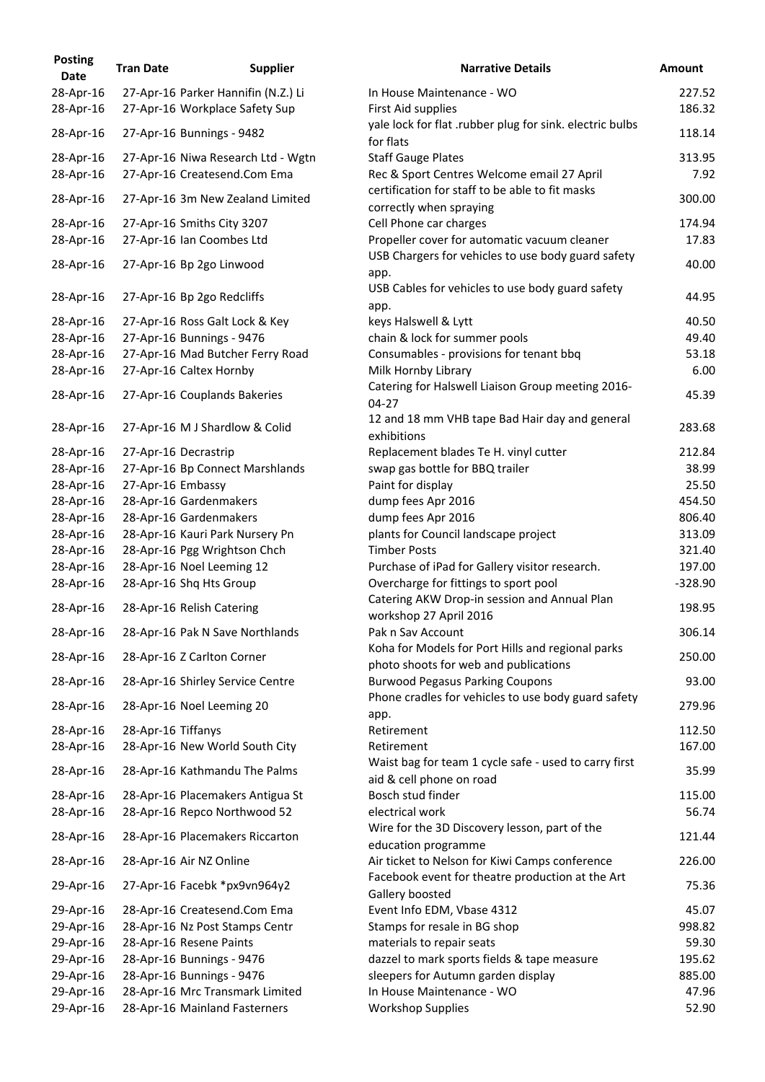| <b>Posting</b><br><b>Date</b> | <b>Tran Date</b>     | <b>Supplier</b>                                                    | <b>Narrative Details</b>                                                                           |
|-------------------------------|----------------------|--------------------------------------------------------------------|----------------------------------------------------------------------------------------------------|
| 28-Apr-16                     |                      | 27-Apr-16 Parker Hannifin (N.Z.) Li                                | In House Maintenance - WO                                                                          |
| 28-Apr-16                     |                      | 27-Apr-16 Workplace Safety Sup                                     | First Aid supplies<br>yale lock for flat .rubber plug for sink. electric bulb                      |
| 28-Apr-16                     |                      | 27-Apr-16 Bunnings - 9482                                          | for flats                                                                                          |
| 28-Apr-16<br>28-Apr-16        |                      | 27-Apr-16 Niwa Research Ltd - Wgtn<br>27-Apr-16 Createsend.Com Ema | <b>Staff Gauge Plates</b><br>Rec & Sport Centres Welcome email 27 April                            |
| 28-Apr-16                     |                      | 27-Apr-16 3m New Zealand Limited                                   | certification for staff to be able to fit masks<br>correctly when spraying                         |
| 28-Apr-16                     |                      | 27-Apr-16 Smiths City 3207                                         | Cell Phone car charges                                                                             |
| 28-Apr-16                     |                      | 27-Apr-16 Ian Coombes Ltd                                          | Propeller cover for automatic vacuum cleaner<br>USB Chargers for vehicles to use body guard safety |
| 28-Apr-16                     |                      | 27-Apr-16 Bp 2go Linwood                                           | app.<br>USB Cables for vehicles to use body guard safety                                           |
| 28-Apr-16                     |                      | 27-Apr-16 Bp 2go Redcliffs                                         | app.                                                                                               |
| 28-Apr-16                     |                      | 27-Apr-16 Ross Galt Lock & Key                                     | keys Halswell & Lytt                                                                               |
| 28-Apr-16                     |                      | 27-Apr-16 Bunnings - 9476                                          | chain & lock for summer pools                                                                      |
| 28-Apr-16                     |                      | 27-Apr-16 Mad Butcher Ferry Road                                   | Consumables - provisions for tenant bbq                                                            |
| 28-Apr-16                     |                      | 27-Apr-16 Caltex Hornby                                            | Milk Hornby Library                                                                                |
| 28-Apr-16                     |                      | 27-Apr-16 Couplands Bakeries                                       | Catering for Halswell Liaison Group meeting 2016-<br>$04 - 27$                                     |
| 28-Apr-16                     |                      | 27-Apr-16 M J Shardlow & Colid                                     | 12 and 18 mm VHB tape Bad Hair day and general<br>exhibitions                                      |
| 28-Apr-16                     | 27-Apr-16 Decrastrip |                                                                    | Replacement blades Te H. vinyl cutter                                                              |
| 28-Apr-16                     |                      | 27-Apr-16 Bp Connect Marshlands                                    | swap gas bottle for BBQ trailer                                                                    |
| 28-Apr-16                     | 27-Apr-16 Embassy    |                                                                    | Paint for display                                                                                  |
| 28-Apr-16                     |                      | 28-Apr-16 Gardenmakers                                             | dump fees Apr 2016                                                                                 |
| 28-Apr-16                     |                      | 28-Apr-16 Gardenmakers                                             | dump fees Apr 2016                                                                                 |
| 28-Apr-16                     |                      | 28-Apr-16 Kauri Park Nursery Pn                                    | plants for Council landscape project                                                               |
| 28-Apr-16                     |                      | 28-Apr-16 Pgg Wrightson Chch                                       | <b>Timber Posts</b>                                                                                |
| 28-Apr-16                     |                      | 28-Apr-16 Noel Leeming 12                                          | Purchase of iPad for Gallery visitor research.                                                     |
| 28-Apr-16                     |                      | 28-Apr-16 Shq Hts Group                                            | Overcharge for fittings to sport pool                                                              |
| 28-Apr-16                     |                      | 28-Apr-16 Relish Catering                                          | Catering AKW Drop-in session and Annual Plan<br>workshop 27 April 2016                             |
| 28-Apr-16                     |                      | 28-Apr-16 Pak N Save Northlands                                    | Pak n Sav Account<br>Koha for Models for Port Hills and regional parks                             |
| 28-Apr-16                     |                      | 28-Apr-16 Z Carlton Corner                                         | photo shoots for web and publications                                                              |
| 28-Apr-16                     |                      | 28-Apr-16 Shirley Service Centre                                   | <b>Burwood Pegasus Parking Coupons</b><br>Phone cradles for vehicles to use body guard safet       |
| 28-Apr-16                     |                      | 28-Apr-16 Noel Leeming 20                                          | app.                                                                                               |
| 28-Apr-16                     | 28-Apr-16 Tiffanys   |                                                                    | Retirement                                                                                         |
| 28-Apr-16                     |                      | 28-Apr-16 New World South City                                     | Retirement<br>Waist bag for team 1 cycle safe - used to carry first                                |
| 28-Apr-16                     |                      | 28-Apr-16 Kathmandu The Palms                                      | aid & cell phone on road                                                                           |
| 28-Apr-16                     |                      | 28-Apr-16 Placemakers Antigua St                                   | Bosch stud finder                                                                                  |
| 28-Apr-16<br>28-Apr-16        |                      | 28-Apr-16 Repco Northwood 52<br>28-Apr-16 Placemakers Riccarton    | electrical work<br>Wire for the 3D Discovery lesson, part of the                                   |
| 28-Apr-16                     |                      | 28-Apr-16 Air NZ Online                                            | education programme<br>Air ticket to Nelson for Kiwi Camps conference                              |
| 29-Apr-16                     |                      | 27-Apr-16 Facebk *px9vn964y2                                       | Facebook event for theatre production at the Art                                                   |
| 29-Apr-16                     |                      | 28-Apr-16 Createsend.Com Ema                                       | Gallery boosted<br>Event Info EDM, Vbase 4312                                                      |
| 29-Apr-16                     |                      | 28-Apr-16 Nz Post Stamps Centr                                     | Stamps for resale in BG shop                                                                       |
|                               |                      |                                                                    |                                                                                                    |
| 29-Apr-16                     |                      | 28-Apr-16 Resene Paints<br>28-Apr-16 Bunnings - 9476               | materials to repair seats                                                                          |
| 29-Apr-16                     |                      |                                                                    | dazzel to mark sports fields & tape measure                                                        |
| 29-Apr-16                     |                      | 28-Apr-16 Bunnings - 9476                                          | sleepers for Autumn garden display                                                                 |
| 29-Apr-16                     |                      | 28-Apr-16 Mrc Transmark Limited                                    | In House Maintenance - WO                                                                          |
| 29-Apr-16                     |                      | 28-Apr-16 Mainland Fasterners                                      | <b>Workshop Supplies</b>                                                                           |

| <b>Posting</b><br><b>Date</b> | <b>Tran Date</b>   | <b>Supplier</b>                     | <b>Narrative Details</b>                                                                   | <b>Amount</b> |
|-------------------------------|--------------------|-------------------------------------|--------------------------------------------------------------------------------------------|---------------|
| 28-Apr-16                     |                    | 27-Apr-16 Parker Hannifin (N.Z.) Li | In House Maintenance - WO                                                                  | 227.52        |
| 28-Apr-16                     |                    | 27-Apr-16 Workplace Safety Sup      | First Aid supplies                                                                         | 186.32        |
| 28-Apr-16                     |                    | 27-Apr-16 Bunnings - 9482           | yale lock for flat .rubber plug for sink. electric bulbs<br>for flats                      | 118.14        |
| 28-Apr-16                     |                    | 27-Apr-16 Niwa Research Ltd - Wgtn  | <b>Staff Gauge Plates</b>                                                                  | 313.95        |
| 28-Apr-16                     |                    | 27-Apr-16 Createsend.Com Ema        | Rec & Sport Centres Welcome email 27 April                                                 | 7.92          |
| 28-Apr-16                     |                    | 27-Apr-16 3m New Zealand Limited    | certification for staff to be able to fit masks<br>correctly when spraying                 | 300.00        |
| 28-Apr-16                     |                    | 27-Apr-16 Smiths City 3207          | Cell Phone car charges                                                                     | 174.94        |
| 28-Apr-16                     |                    | 27-Apr-16 Ian Coombes Ltd           | Propeller cover for automatic vacuum cleaner                                               | 17.83         |
| 28-Apr-16                     |                    | 27-Apr-16 Bp 2go Linwood            | USB Chargers for vehicles to use body guard safety<br>app.                                 | 40.00         |
| 28-Apr-16                     |                    | 27-Apr-16 Bp 2go Redcliffs          | USB Cables for vehicles to use body guard safety<br>app.                                   | 44.95         |
| 28-Apr-16                     |                    | 27-Apr-16 Ross Galt Lock & Key      | keys Halswell & Lytt                                                                       | 40.50         |
| 28-Apr-16                     |                    | 27-Apr-16 Bunnings - 9476           | chain & lock for summer pools                                                              | 49.40         |
| 28-Apr-16                     |                    | 27-Apr-16 Mad Butcher Ferry Road    | Consumables - provisions for tenant bbq                                                    | 53.18         |
| 28-Apr-16                     |                    | 27-Apr-16 Caltex Hornby             | Milk Hornby Library                                                                        | 6.00          |
| 28-Apr-16                     |                    | 27-Apr-16 Couplands Bakeries        | Catering for Halswell Liaison Group meeting 2016-<br>$04 - 27$                             | 45.39         |
| 28-Apr-16                     |                    | 27-Apr-16 M J Shardlow & Colid      | 12 and 18 mm VHB tape Bad Hair day and general<br>exhibitions                              | 283.68        |
| 28-Apr-16                     |                    | 27-Apr-16 Decrastrip                | Replacement blades Te H. vinyl cutter                                                      | 212.84        |
| 28-Apr-16                     |                    | 27-Apr-16 Bp Connect Marshlands     | swap gas bottle for BBQ trailer                                                            | 38.99         |
| 28-Apr-16                     | 27-Apr-16 Embassy  |                                     | Paint for display                                                                          | 25.50         |
| 28-Apr-16                     |                    | 28-Apr-16 Gardenmakers              | dump fees Apr 2016                                                                         | 454.50        |
| 28-Apr-16                     |                    | 28-Apr-16 Gardenmakers              | dump fees Apr 2016                                                                         | 806.40        |
| 28-Apr-16                     |                    | 28-Apr-16 Kauri Park Nursery Pn     | plants for Council landscape project                                                       | 313.09        |
| 28-Apr-16                     |                    | 28-Apr-16 Pgg Wrightson Chch        | <b>Timber Posts</b>                                                                        | 321.40        |
| 28-Apr-16                     |                    | 28-Apr-16 Noel Leeming 12           | Purchase of iPad for Gallery visitor research.                                             | 197.00        |
| 28-Apr-16                     |                    | 28-Apr-16 Shq Hts Group             | Overcharge for fittings to sport pool                                                      | $-328.90$     |
| 28-Apr-16                     |                    | 28-Apr-16 Relish Catering           | Catering AKW Drop-in session and Annual Plan                                               | 198.95        |
| 28-Apr-16                     |                    | 28-Apr-16 Pak N Save Northlands     | workshop 27 April 2016<br>Pak n Sav Account                                                | 306.14        |
| 28-Apr-16                     |                    | 28-Apr-16 Z Carlton Corner          | Koha for Models for Port Hills and regional parks<br>photo shoots for web and publications | 250.00        |
| 28-Apr-16                     |                    | 28-Apr-16 Shirley Service Centre    | <b>Burwood Pegasus Parking Coupons</b>                                                     | 93.00         |
| 28-Apr-16                     |                    | 28-Apr-16 Noel Leeming 20           | Phone cradles for vehicles to use body guard safety                                        | 279.96        |
| 28-Apr-16                     | 28-Apr-16 Tiffanys |                                     | app.<br>Retirement                                                                         | 112.50        |
| 28-Apr-16                     |                    | 28-Apr-16 New World South City      | Retirement                                                                                 | 167.00        |
| 28-Apr-16                     |                    | 28-Apr-16 Kathmandu The Palms       | Waist bag for team 1 cycle safe - used to carry first<br>aid & cell phone on road          | 35.99         |
| 28-Apr-16                     |                    | 28-Apr-16 Placemakers Antigua St    | Bosch stud finder                                                                          | 115.00        |
| 28-Apr-16                     |                    | 28-Apr-16 Repco Northwood 52        | electrical work                                                                            | 56.74         |
| 28-Apr-16                     |                    | 28-Apr-16 Placemakers Riccarton     | Wire for the 3D Discovery lesson, part of the                                              | 121.44        |
| 28-Apr-16                     |                    | 28-Apr-16 Air NZ Online             | education programme<br>Air ticket to Nelson for Kiwi Camps conference                      | 226.00        |
| 29-Apr-16                     |                    | 27-Apr-16 Facebk *px9vn964y2        | Facebook event for theatre production at the Art<br>Gallery boosted                        | 75.36         |
| 29-Apr-16                     |                    | 28-Apr-16 Createsend.Com Ema        | Event Info EDM, Vbase 4312                                                                 | 45.07         |
| 29-Apr-16                     |                    | 28-Apr-16 Nz Post Stamps Centr      | Stamps for resale in BG shop                                                               | 998.82        |
| 29-Apr-16                     |                    | 28-Apr-16 Resene Paints             | materials to repair seats                                                                  | 59.30         |
| 29-Apr-16                     |                    | 28-Apr-16 Bunnings - 9476           | dazzel to mark sports fields & tape measure                                                | 195.62        |
| 29-Apr-16                     |                    | 28-Apr-16 Bunnings - 9476           | sleepers for Autumn garden display                                                         | 885.00        |
| 29-Apr-16                     |                    | 28-Apr-16 Mrc Transmark Limited     | In House Maintenance - WO                                                                  | 47.96         |
| 29-Apr-16                     |                    | 28-Apr-16 Mainland Fasterners       | <b>Workshop Supplies</b>                                                                   | 52.90         |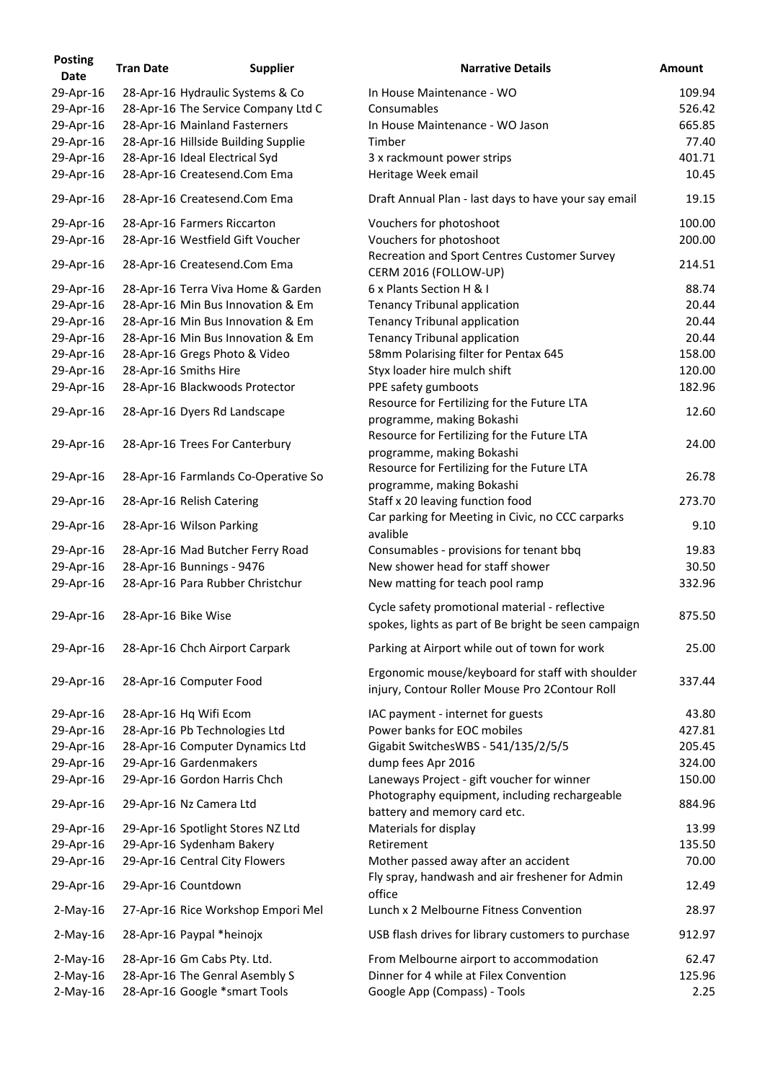| <b>Posting</b><br><b>Date</b> | <b>Tran Date</b>    | <b>Supplier</b>                     | <b>Narrative Details</b>                                                                               | <b>Amount</b> |
|-------------------------------|---------------------|-------------------------------------|--------------------------------------------------------------------------------------------------------|---------------|
| 29-Apr-16                     |                     | 28-Apr-16 Hydraulic Systems & Co    | In House Maintenance - WO                                                                              | 109.94        |
| 29-Apr-16                     |                     | 28-Apr-16 The Service Company Ltd C | Consumables                                                                                            | 526.42        |
| 29-Apr-16                     |                     | 28-Apr-16 Mainland Fasterners       | In House Maintenance - WO Jason                                                                        | 665.85        |
| 29-Apr-16                     |                     | 28-Apr-16 Hillside Building Supplie | Timber                                                                                                 | 77.40         |
| 29-Apr-16                     |                     | 28-Apr-16 Ideal Electrical Syd      | 3 x rackmount power strips                                                                             | 401.71        |
| 29-Apr-16                     |                     | 28-Apr-16 Createsend.Com Ema        | Heritage Week email                                                                                    | 10.45         |
| 29-Apr-16                     |                     | 28-Apr-16 Createsend.Com Ema        | Draft Annual Plan - last days to have your say email                                                   | 19.15         |
| 29-Apr-16                     |                     | 28-Apr-16 Farmers Riccarton         | Vouchers for photoshoot                                                                                | 100.00        |
| 29-Apr-16                     |                     | 28-Apr-16 Westfield Gift Voucher    | Vouchers for photoshoot                                                                                | 200.00        |
| 29-Apr-16                     |                     | 28-Apr-16 Createsend.Com Ema        | Recreation and Sport Centres Customer Survey<br>CERM 2016 (FOLLOW-UP)                                  | 214.51        |
| 29-Apr-16                     |                     | 28-Apr-16 Terra Viva Home & Garden  | 6 x Plants Section H & I                                                                               | 88.74         |
| 29-Apr-16                     |                     | 28-Apr-16 Min Bus Innovation & Em   | Tenancy Tribunal application                                                                           | 20.44         |
| 29-Apr-16                     |                     | 28-Apr-16 Min Bus Innovation & Em   | <b>Tenancy Tribunal application</b>                                                                    | 20.44         |
| 29-Apr-16                     |                     | 28-Apr-16 Min Bus Innovation & Em   | Tenancy Tribunal application                                                                           | 20.44         |
| 29-Apr-16                     |                     | 28-Apr-16 Gregs Photo & Video       | 58mm Polarising filter for Pentax 645                                                                  | 158.00        |
| 29-Apr-16                     |                     | 28-Apr-16 Smiths Hire               | Styx loader hire mulch shift                                                                           | 120.00        |
| 29-Apr-16                     |                     | 28-Apr-16 Blackwoods Protector      | PPE safety gumboots                                                                                    | 182.96        |
|                               |                     |                                     | Resource for Fertilizing for the Future LTA                                                            |               |
| 29-Apr-16                     |                     | 28-Apr-16 Dyers Rd Landscape        |                                                                                                        | 12.60         |
|                               |                     |                                     | programme, making Bokashi                                                                              |               |
| 29-Apr-16                     |                     | 28-Apr-16 Trees For Canterbury      | Resource for Fertilizing for the Future LTA<br>programme, making Bokashi                               | 24.00         |
| 29-Apr-16                     |                     | 28-Apr-16 Farmlands Co-Operative So | Resource for Fertilizing for the Future LTA                                                            | 26.78         |
|                               |                     |                                     | programme, making Bokashi                                                                              | 273.70        |
| 29-Apr-16                     |                     | 28-Apr-16 Relish Catering           | Staff x 20 leaving function food<br>Car parking for Meeting in Civic, no CCC carparks                  |               |
| 29-Apr-16                     |                     | 28-Apr-16 Wilson Parking            | avalible                                                                                               | 9.10          |
| 29-Apr-16                     |                     | 28-Apr-16 Mad Butcher Ferry Road    | Consumables - provisions for tenant bbq                                                                | 19.83         |
| 29-Apr-16                     |                     | 28-Apr-16 Bunnings - 9476           | New shower head for staff shower                                                                       | 30.50         |
| 29-Apr-16                     |                     | 28-Apr-16 Para Rubber Christchur    | New matting for teach pool ramp                                                                        | 332.96        |
| 29-Apr-16                     | 28-Apr-16 Bike Wise |                                     | Cycle safety promotional material - reflective<br>spokes, lights as part of Be bright be seen campaign | 875.50        |
| 29-Apr-16                     |                     | 28-Apr-16 Chch Airport Carpark      | Parking at Airport while out of town for work                                                          | 25.00         |
|                               |                     |                                     | Ergonomic mouse/keyboard for staff with shoulder                                                       |               |
| 29-Apr-16                     |                     | 28-Apr-16 Computer Food             | injury, Contour Roller Mouse Pro 2Contour Roll                                                         | 337.44        |
| 29-Apr-16                     |                     | 28-Apr-16 Hq Wifi Ecom              | IAC payment - internet for guests                                                                      | 43.80         |
| 29-Apr-16                     |                     | 28-Apr-16 Pb Technologies Ltd       | Power banks for EOC mobiles                                                                            | 427.81        |
| 29-Apr-16                     |                     | 28-Apr-16 Computer Dynamics Ltd     | Gigabit SwitchesWBS - 541/135/2/5/5                                                                    | 205.45        |
| 29-Apr-16                     |                     | 29-Apr-16 Gardenmakers              | dump fees Apr 2016                                                                                     | 324.00        |
| 29-Apr-16                     |                     | 29-Apr-16 Gordon Harris Chch        | Laneways Project - gift voucher for winner                                                             | 150.00        |
| 29-Apr-16                     |                     | 29-Apr-16 Nz Camera Ltd             | Photography equipment, including rechargeable<br>battery and memory card etc.                          | 884.96        |
| 29-Apr-16                     |                     | 29-Apr-16 Spotlight Stores NZ Ltd   | Materials for display                                                                                  | 13.99         |
| 29-Apr-16                     |                     | 29-Apr-16 Sydenham Bakery           | Retirement                                                                                             | 135.50        |
| 29-Apr-16                     |                     | 29-Apr-16 Central City Flowers      | Mother passed away after an accident                                                                   | 70.00         |
| 29-Apr-16                     |                     | 29-Apr-16 Countdown                 | Fly spray, handwash and air freshener for Admin<br>office                                              | 12.49         |
| $2$ -May-16                   |                     | 27-Apr-16 Rice Workshop Empori Mel  | Lunch x 2 Melbourne Fitness Convention                                                                 | 28.97         |
| $2$ -May-16                   |                     | 28-Apr-16 Paypal *heinojx           | USB flash drives for library customers to purchase                                                     | 912.97        |
| $2$ -May-16                   |                     | 28-Apr-16 Gm Cabs Pty. Ltd.         | From Melbourne airport to accommodation                                                                | 62.47         |
| $2$ -May-16                   |                     | 28-Apr-16 The Genral Asembly S      | Dinner for 4 while at Filex Convention                                                                 | 125.96        |
| $2$ -May-16                   |                     | 28-Apr-16 Google *smart Tools       | Google App (Compass) - Tools                                                                           | 2.25          |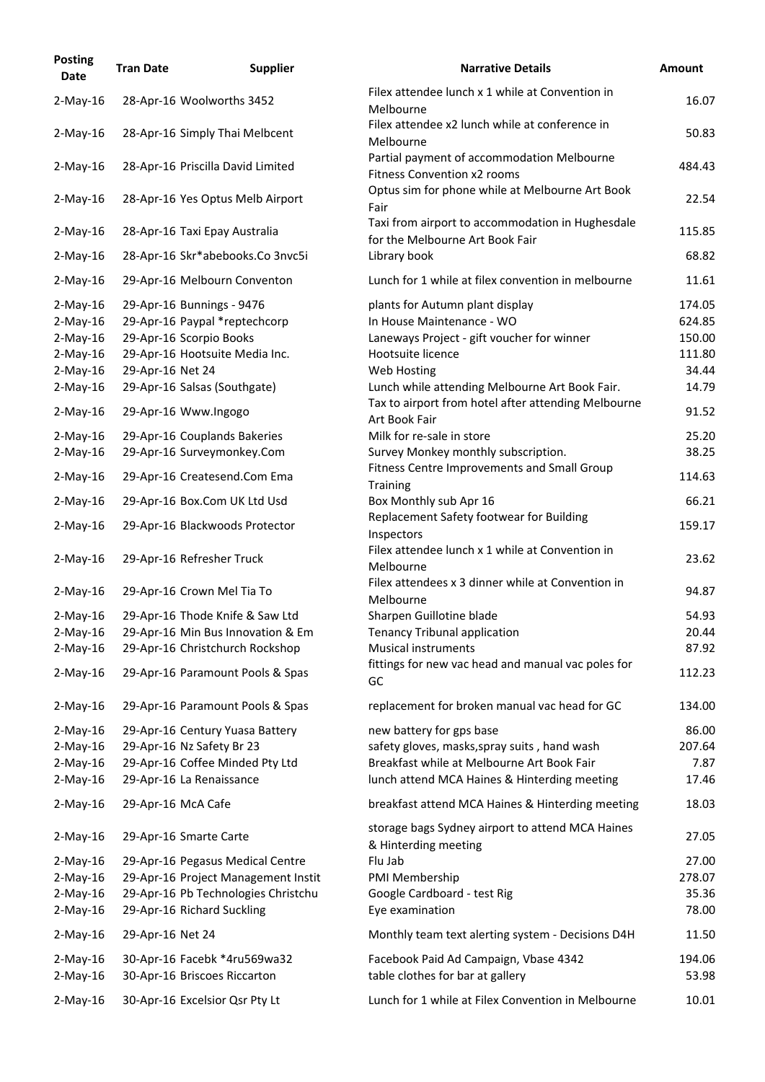| <b>Posting</b><br>Date     | <b>Tran Date</b>   | <b>Supplier</b>                     | <b>Narrative Details</b>                                                            | <b>Amount</b> |
|----------------------------|--------------------|-------------------------------------|-------------------------------------------------------------------------------------|---------------|
| $2$ -May-16                |                    | 28-Apr-16 Woolworths 3452           | Filex attendee lunch x 1 while at Convention in<br>Melbourne                        | 16.07         |
| $2-May-16$                 |                    | 28-Apr-16 Simply Thai Melbcent      | Filex attendee x2 lunch while at conference in<br>Melbourne                         | 50.83         |
| $2$ -May-16                |                    | 28-Apr-16 Priscilla David Limited   | Partial payment of accommodation Melbourne<br><b>Fitness Convention x2 rooms</b>    | 484.43        |
| $2$ -May-16                |                    | 28-Apr-16 Yes Optus Melb Airport    | Optus sim for phone while at Melbourne Art Book<br>Fair                             | 22.54         |
| $2$ -May-16                |                    | 28-Apr-16 Taxi Epay Australia       | Taxi from airport to accommodation in Hughesdale<br>for the Melbourne Art Book Fair | 115.85        |
| $2-May-16$                 |                    | 28-Apr-16 Skr*abebooks.Co 3nvc5i    | Library book                                                                        | 68.82         |
| $2$ -May-16                |                    | 29-Apr-16 Melbourn Conventon        | Lunch for 1 while at filex convention in melbourne                                  | 11.61         |
| $2$ -May-16                |                    | 29-Apr-16 Bunnings - 9476           | plants for Autumn plant display                                                     | 174.05        |
| $2$ -May-16                |                    | 29-Apr-16 Paypal *reptechcorp       | In House Maintenance - WO                                                           | 624.85        |
| $2$ -May-16                |                    | 29-Apr-16 Scorpio Books             | Laneways Project - gift voucher for winner                                          | 150.00        |
| $2-May-16$                 |                    | 29-Apr-16 Hootsuite Media Inc.      | Hootsuite licence                                                                   | 111.80        |
| $2$ -May-16                | 29-Apr-16 Net 24   |                                     | Web Hosting                                                                         | 34.44         |
| $2-May-16$                 |                    | 29-Apr-16 Salsas (Southgate)        | Lunch while attending Melbourne Art Book Fair.                                      | 14.79         |
| $2$ -May-16                |                    | 29-Apr-16 Www.Ingogo                | Tax to airport from hotel after attending Melbourne<br>Art Book Fair                | 91.52         |
|                            |                    | 29-Apr-16 Couplands Bakeries        | Milk for re-sale in store                                                           | 25.20         |
| $2$ -May-16<br>$2$ -May-16 |                    | 29-Apr-16 Surveymonkey.Com          | Survey Monkey monthly subscription.                                                 | 38.25         |
| $2-May-16$                 |                    | 29-Apr-16 Createsend.Com Ema        | Fitness Centre Improvements and Small Group<br><b>Training</b>                      | 114.63        |
| $2$ -May-16                |                    | 29-Apr-16 Box.Com UK Ltd Usd        | Box Monthly sub Apr 16                                                              | 66.21         |
| $2$ -May-16                |                    | 29-Apr-16 Blackwoods Protector      | Replacement Safety footwear for Building                                            | 159.17        |
|                            |                    |                                     | Inspectors<br>Filex attendee lunch x 1 while at Convention in                       |               |
| $2$ -May-16                |                    | 29-Apr-16 Refresher Truck           | Melbourne                                                                           | 23.62         |
| $2$ -May-16                |                    | 29-Apr-16 Crown Mel Tia To          | Filex attendees x 3 dinner while at Convention in<br>Melbourne                      | 94.87         |
| $2$ -May-16                |                    | 29-Apr-16 Thode Knife & Saw Ltd     | Sharpen Guillotine blade                                                            | 54.93         |
| $2-May-16$                 |                    | 29-Apr-16 Min Bus Innovation & Em   | <b>Tenancy Tribunal application</b>                                                 | 20.44         |
| $2$ -May-16                |                    | 29-Apr-16 Christchurch Rockshop     | <b>Musical instruments</b>                                                          | 87.92         |
| $2$ -May-16                |                    | 29-Apr-16 Paramount Pools & Spas    | fittings for new vac head and manual vac poles for<br>GC                            | 112.23        |
| $2$ -May-16                |                    | 29-Apr-16 Paramount Pools & Spas    | replacement for broken manual vac head for GC                                       | 134.00        |
| $2$ -May-16                |                    | 29-Apr-16 Century Yuasa Battery     | new battery for gps base                                                            | 86.00         |
| $2-May-16$                 |                    | 29-Apr-16 Nz Safety Br 23           | safety gloves, masks, spray suits, hand wash                                        | 207.64        |
| $2-May-16$                 |                    | 29-Apr-16 Coffee Minded Pty Ltd     | Breakfast while at Melbourne Art Book Fair                                          | 7.87          |
| $2$ -May-16                |                    | 29-Apr-16 La Renaissance            | lunch attend MCA Haines & Hinterding meeting                                        | 17.46         |
| $2$ -May-16                | 29-Apr-16 McA Cafe |                                     | breakfast attend MCA Haines & Hinterding meeting                                    | 18.03         |
| $2$ -May-16                |                    | 29-Apr-16 Smarte Carte              | storage bags Sydney airport to attend MCA Haines<br>& Hinterding meeting            | 27.05         |
| $2$ -May-16                |                    | 29-Apr-16 Pegasus Medical Centre    | Flu Jab                                                                             | 27.00         |
| $2-May-16$                 |                    | 29-Apr-16 Project Management Instit | PMI Membership                                                                      | 278.07        |
| $2-May-16$                 |                    | 29-Apr-16 Pb Technologies Christchu | Google Cardboard - test Rig                                                         | 35.36         |
| $2-May-16$                 |                    | 29-Apr-16 Richard Suckling          | Eye examination                                                                     | 78.00         |
| $2$ -May-16                | 29-Apr-16 Net 24   |                                     | Monthly team text alerting system - Decisions D4H                                   | 11.50         |
| $2$ -May-16                |                    | 30-Apr-16 Facebk *4ru569wa32        | Facebook Paid Ad Campaign, Vbase 4342                                               | 194.06        |
| $2-May-16$                 |                    | 30-Apr-16 Briscoes Riccarton        | table clothes for bar at gallery                                                    | 53.98         |
| $2$ -May-16                |                    | 30-Apr-16 Excelsior Qsr Pty Lt      | Lunch for 1 while at Filex Convention in Melbourne                                  | 10.01         |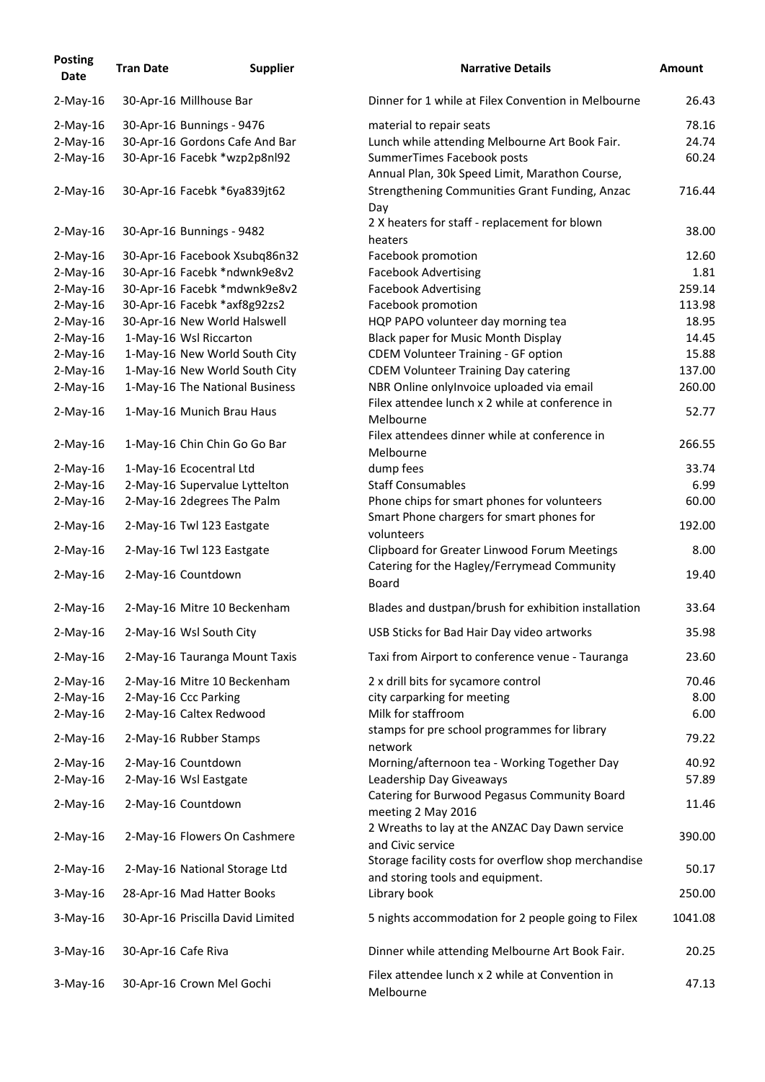| <b>Posting</b><br><b>Date</b> | <b>Tran Date</b>    | <b>Supplier</b>                                         | <b>Narrative Details</b>                                                                     | <b>Amount</b>   |
|-------------------------------|---------------------|---------------------------------------------------------|----------------------------------------------------------------------------------------------|-----------------|
| $2$ -May-16                   |                     | 30-Apr-16 Millhouse Bar                                 | Dinner for 1 while at Filex Convention in Melbourne                                          | 26.43           |
| $2$ -May-16                   |                     | 30-Apr-16 Bunnings - 9476                               | material to repair seats                                                                     | 78.16           |
| $2$ -May-16                   |                     | 30-Apr-16 Gordons Cafe And Bar                          | Lunch while attending Melbourne Art Book Fair.                                               | 24.74           |
| $2$ -May-16                   |                     | 30-Apr-16 Facebk *wzp2p8nl92                            | SummerTimes Facebook posts<br>Annual Plan, 30k Speed Limit, Marathon Course,                 | 60.24           |
| $2$ -May-16                   |                     | 30-Apr-16 Facebk *6ya839jt62                            | Strengthening Communities Grant Funding, Anzac<br>Day                                        | 716.44          |
| $2$ -May-16                   |                     | 30-Apr-16 Bunnings - 9482                               | 2 X heaters for staff - replacement for blown<br>heaters                                     | 38.00           |
| $2$ -May-16                   |                     | 30-Apr-16 Facebook Xsubq86n32                           | Facebook promotion                                                                           | 12.60           |
| $2$ -May-16                   |                     | 30-Apr-16 Facebk *ndwnk9e8v2                            | <b>Facebook Advertising</b>                                                                  | 1.81            |
| $2$ -May-16                   |                     | 30-Apr-16 Facebk *mdwnk9e8v2                            | <b>Facebook Advertising</b>                                                                  | 259.14          |
| $2-May-16$                    |                     | 30-Apr-16 Facebk *axf8g92zs2                            | Facebook promotion                                                                           | 113.98          |
| $2$ -May-16                   |                     | 30-Apr-16 New World Halswell                            | HQP PAPO volunteer day morning tea                                                           | 18.95           |
| $2-May-16$                    |                     | 1-May-16 Wsl Riccarton                                  | <b>Black paper for Music Month Display</b>                                                   | 14.45           |
| $2$ -May-16                   |                     | 1-May-16 New World South City                           | <b>CDEM Volunteer Training - GF option</b>                                                   | 15.88           |
| $2-May-16$                    |                     | 1-May-16 New World South City                           | <b>CDEM Volunteer Training Day catering</b>                                                  | 137.00          |
| $2$ -May-16                   |                     | 1-May-16 The National Business                          | NBR Online onlyInvoice uploaded via email<br>Filex attendee lunch x 2 while at conference in | 260.00          |
| $2$ -May-16                   |                     | 1-May-16 Munich Brau Haus                               | Melbourne<br>Filex attendees dinner while at conference in                                   | 52.77           |
| $2$ -May-16                   |                     | 1-May-16 Chin Chin Go Go Bar                            | Melbourne                                                                                    | 266.55          |
| $2-May-16$                    |                     | 1-May-16 Ecocentral Ltd                                 | dump fees                                                                                    | 33.74           |
| $2$ -May-16                   |                     | 2-May-16 Supervalue Lyttelton                           | <b>Staff Consumables</b>                                                                     | 6.99            |
| $2-May-16$<br>$2$ -May-16     |                     | 2-May-16 2degrees The Palm<br>2-May-16 Twl 123 Eastgate | Phone chips for smart phones for volunteers<br>Smart Phone chargers for smart phones for     | 60.00<br>192.00 |
| $2$ -May-16                   |                     | 2-May-16 Twl 123 Eastgate                               | volunteers<br><b>Clipboard for Greater Linwood Forum Meetings</b>                            | 8.00            |
| $2$ -May-16                   |                     | 2-May-16 Countdown                                      | Catering for the Hagley/Ferrymead Community<br><b>Board</b>                                  | 19.40           |
| $2$ -May-16                   |                     | 2-May-16 Mitre 10 Beckenham                             | Blades and dustpan/brush for exhibition installation                                         | 33.64           |
| $2$ -May-16                   |                     | 2-May-16 Wsl South City                                 | USB Sticks for Bad Hair Day video artworks                                                   | 35.98           |
| $2$ -May-16                   |                     | 2-May-16 Tauranga Mount Taxis                           | Taxi from Airport to conference venue - Tauranga                                             | 23.60           |
| $2$ -May-16                   |                     | 2-May-16 Mitre 10 Beckenham                             | 2 x drill bits for sycamore control                                                          | 70.46           |
| $2-May-16$                    |                     | 2-May-16 Ccc Parking                                    | city carparking for meeting                                                                  | 8.00            |
| $2$ -May-16                   |                     | 2-May-16 Caltex Redwood                                 | Milk for staffroom                                                                           | 6.00            |
| $2$ -May-16                   |                     | 2-May-16 Rubber Stamps                                  | stamps for pre school programmes for library<br>network                                      | 79.22           |
| $2$ -May-16                   |                     | 2-May-16 Countdown                                      | Morning/afternoon tea - Working Together Day                                                 | 40.92           |
| $2$ -May-16                   |                     | 2-May-16 Wsl Eastgate                                   | Leadership Day Giveaways                                                                     | 57.89           |
| $2$ -May-16                   |                     | 2-May-16 Countdown                                      | Catering for Burwood Pegasus Community Board<br>meeting 2 May 2016                           | 11.46           |
| $2$ -May-16                   |                     | 2-May-16 Flowers On Cashmere                            | 2 Wreaths to lay at the ANZAC Day Dawn service<br>and Civic service                          | 390.00          |
| $2$ -May-16                   |                     | 2-May-16 National Storage Ltd                           | Storage facility costs for overflow shop merchandise<br>and storing tools and equipment.     | 50.17           |
| $3$ -May-16                   |                     | 28-Apr-16 Mad Hatter Books                              | Library book                                                                                 | 250.00          |
| $3$ -May-16                   |                     | 30-Apr-16 Priscilla David Limited                       | 5 nights accommodation for 2 people going to Filex                                           | 1041.08         |
| $3$ -May-16                   | 30-Apr-16 Cafe Riva |                                                         | Dinner while attending Melbourne Art Book Fair.                                              | 20.25           |
| $3$ -May-16                   |                     | 30-Apr-16 Crown Mel Gochi                               | Filex attendee lunch x 2 while at Convention in<br>Melbourne                                 | 47.13           |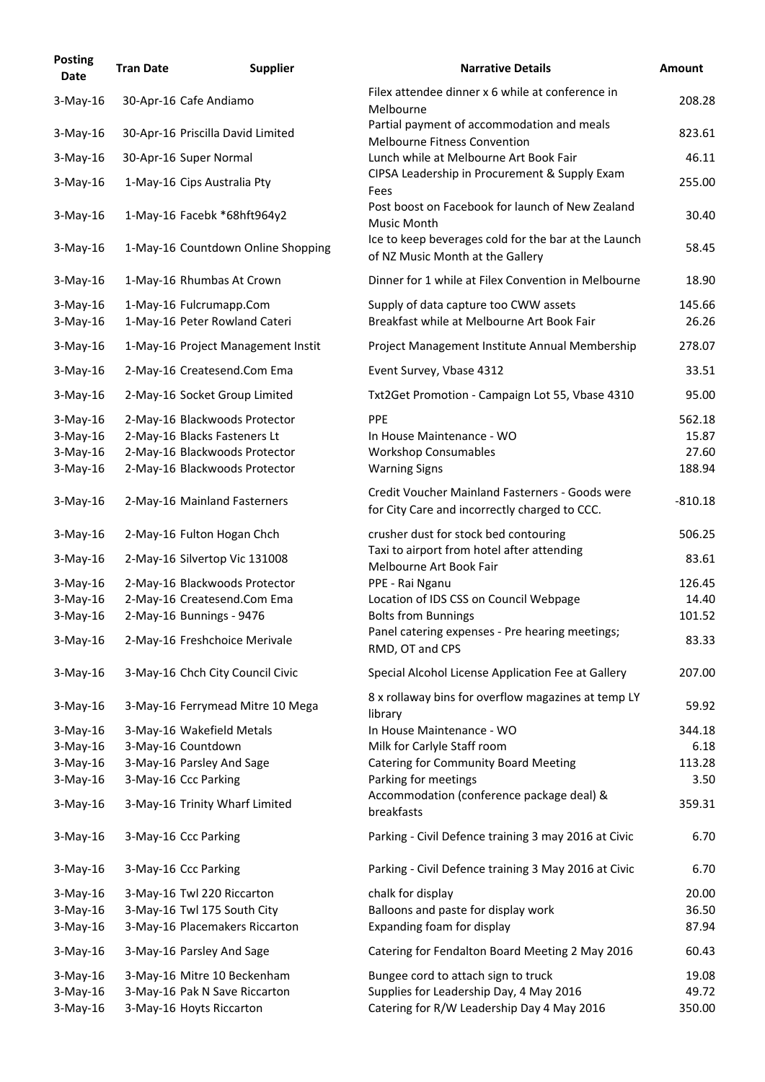| <b>Posting</b><br><b>Date</b> | <b>Tran Date</b> | <b>Supplier</b>                                          | <b>Narrative Details</b>                                                                         | <b>Amount</b>   |
|-------------------------------|------------------|----------------------------------------------------------|--------------------------------------------------------------------------------------------------|-----------------|
| $3-May-16$                    |                  | 30-Apr-16 Cafe Andiamo                                   | Filex attendee dinner x 6 while at conference in<br>Melbourne                                    | 208.28          |
| $3-May-16$                    |                  | 30-Apr-16 Priscilla David Limited                        | Partial payment of accommodation and meals<br><b>Melbourne Fitness Convention</b>                | 823.61          |
| $3$ -May-16                   |                  | 30-Apr-16 Super Normal                                   | Lunch while at Melbourne Art Book Fair                                                           | 46.11           |
| $3-May-16$                    |                  | 1-May-16 Cips Australia Pty                              | CIPSA Leadership in Procurement & Supply Exam<br>Fees                                            | 255.00          |
| $3-May-16$                    |                  | 1-May-16 Facebk *68hft964y2                              | Post boost on Facebook for launch of New Zealand<br><b>Music Month</b>                           | 30.40           |
| $3-May-16$                    |                  | 1-May-16 Countdown Online Shopping                       | Ice to keep beverages cold for the bar at the Launch<br>of NZ Music Month at the Gallery         | 58.45           |
| $3$ -May-16                   |                  | 1-May-16 Rhumbas At Crown                                | Dinner for 1 while at Filex Convention in Melbourne                                              | 18.90           |
| $3-May-16$<br>$3-May-16$      |                  | 1-May-16 Fulcrumapp.Com<br>1-May-16 Peter Rowland Cateri | Supply of data capture too CWW assets<br>Breakfast while at Melbourne Art Book Fair              | 145.66<br>26.26 |
| $3-May-16$                    |                  | 1-May-16 Project Management Instit                       | Project Management Institute Annual Membership                                                   | 278.07          |
| $3-May-16$                    |                  | 2-May-16 Createsend.Com Ema                              | Event Survey, Vbase 4312                                                                         | 33.51           |
| $3-May-16$                    |                  | 2-May-16 Socket Group Limited                            | Txt2Get Promotion - Campaign Lot 55, Vbase 4310                                                  | 95.00           |
| $3-May-16$                    |                  | 2-May-16 Blackwoods Protector                            | <b>PPE</b>                                                                                       | 562.18          |
| $3-May-16$                    |                  | 2-May-16 Blacks Fasteners Lt                             | In House Maintenance - WO                                                                        | 15.87           |
| $3-May-16$                    |                  | 2-May-16 Blackwoods Protector                            | <b>Workshop Consumables</b>                                                                      | 27.60           |
| $3-May-16$                    |                  | 2-May-16 Blackwoods Protector                            | <b>Warning Signs</b>                                                                             | 188.94          |
| $3-May-16$                    |                  | 2-May-16 Mainland Fasterners                             | Credit Voucher Mainland Fasterners - Goods were<br>for City Care and incorrectly charged to CCC. | $-810.18$       |
| $3$ -May-16                   |                  | 2-May-16 Fulton Hogan Chch                               | crusher dust for stock bed contouring                                                            | 506.25          |
| $3$ -May-16                   |                  | 2-May-16 Silvertop Vic 131008                            | Taxi to airport from hotel after attending<br>Melbourne Art Book Fair                            | 83.61           |
| $3-May-16$                    |                  | 2-May-16 Blackwoods Protector                            | PPE - Rai Nganu                                                                                  | 126.45          |
| $3-May-16$                    |                  | 2-May-16 Createsend.Com Ema                              | Location of IDS CSS on Council Webpage                                                           | 14.40           |
| $3-May-16$                    |                  | 2-May-16 Bunnings - 9476                                 | <b>Bolts from Bunnings</b>                                                                       | 101.52          |
| $3$ -May-16                   |                  | 2-May-16 Freshchoice Merivale                            | Panel catering expenses - Pre hearing meetings;<br>RMD, OT and CPS                               | 83.33           |
| $3$ -May-16                   |                  | 3-May-16 Chch City Council Civic                         | Special Alcohol License Application Fee at Gallery                                               | 207.00          |
| $3-May-16$                    |                  | 3-May-16 Ferrymead Mitre 10 Mega                         | 8 x rollaway bins for overflow magazines at temp LY<br>library                                   | 59.92           |
| $3-May-16$                    |                  | 3-May-16 Wakefield Metals                                | In House Maintenance - WO                                                                        | 344.18          |
| $3-May-16$                    |                  | 3-May-16 Countdown                                       | Milk for Carlyle Staff room                                                                      | 6.18            |
| $3-May-16$                    |                  | 3-May-16 Parsley And Sage                                | <b>Catering for Community Board Meeting</b>                                                      | 113.28          |
| $3-May-16$                    |                  | 3-May-16 Ccc Parking                                     | Parking for meetings                                                                             | 3.50            |
| $3$ -May-16                   |                  | 3-May-16 Trinity Wharf Limited                           | Accommodation (conference package deal) &<br>breakfasts                                          | 359.31          |
| $3$ -May-16                   |                  | 3-May-16 Ccc Parking                                     | Parking - Civil Defence training 3 may 2016 at Civic                                             | 6.70            |
| $3-May-16$                    |                  | 3-May-16 Ccc Parking                                     | Parking - Civil Defence training 3 May 2016 at Civic                                             | 6.70            |
| $3-May-16$                    |                  | 3-May-16 Twl 220 Riccarton                               | chalk for display                                                                                | 20.00           |
| $3-May-16$                    |                  | 3-May-16 Twl 175 South City                              | Balloons and paste for display work                                                              | 36.50           |
| $3-May-16$                    |                  | 3-May-16 Placemakers Riccarton                           | Expanding foam for display                                                                       | 87.94           |
| $3$ -May-16                   |                  | 3-May-16 Parsley And Sage                                | Catering for Fendalton Board Meeting 2 May 2016                                                  | 60.43           |
| $3-May-16$                    |                  | 3-May-16 Mitre 10 Beckenham                              | Bungee cord to attach sign to truck                                                              | 19.08           |
| $3-May-16$                    |                  | 3-May-16 Pak N Save Riccarton                            | Supplies for Leadership Day, 4 May 2016                                                          | 49.72           |
| $3$ -May-16                   |                  | 3-May-16 Hoyts Riccarton                                 | Catering for R/W Leadership Day 4 May 2016                                                       | 350.00          |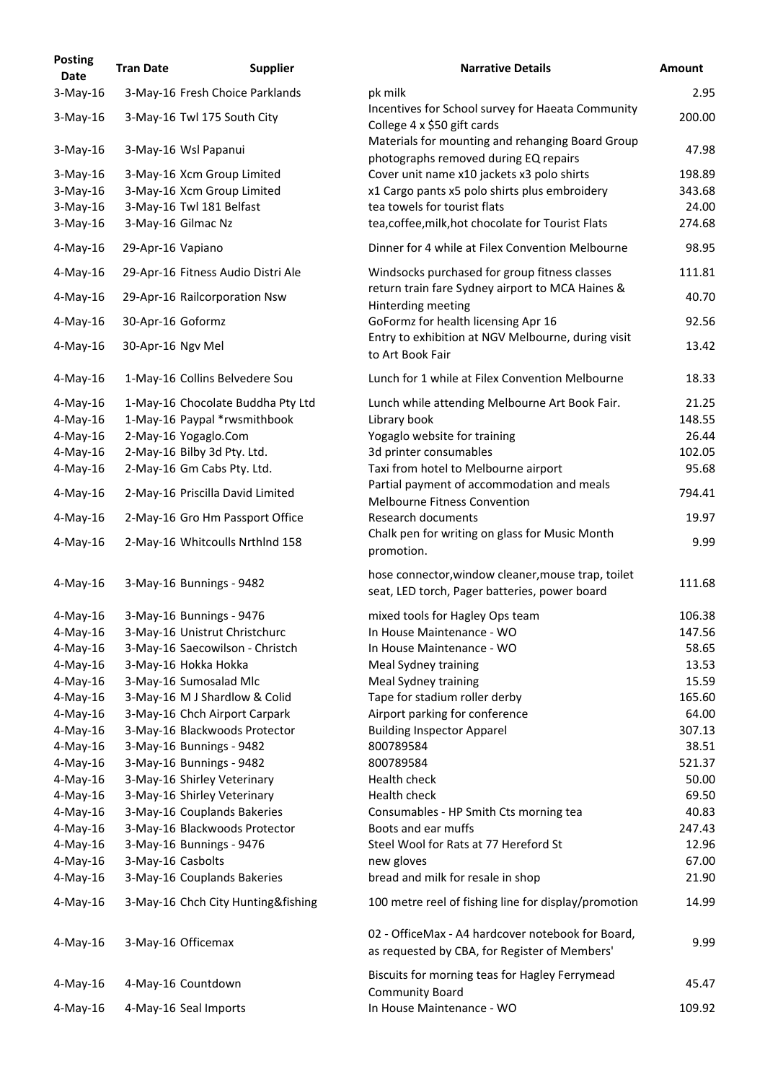| <b>Posting</b><br><b>Date</b> | <b>Tran Date</b>  | <b>Supplier</b>                    | <b>Narrative Details</b>                                                                            | <b>Amount</b> |
|-------------------------------|-------------------|------------------------------------|-----------------------------------------------------------------------------------------------------|---------------|
| $3-May-16$                    |                   | 3-May-16 Fresh Choice Parklands    | pk milk                                                                                             | 2.95          |
| $3$ -May-16                   |                   | 3-May-16 Twl 175 South City        | Incentives for School survey for Haeata Community<br>College 4 x \$50 gift cards                    | 200.00        |
| $3$ -May-16                   |                   | 3-May-16 Wsl Papanui               | Materials for mounting and rehanging Board Group<br>photographs removed during EQ repairs           | 47.98         |
| $3-May-16$                    |                   | 3-May-16 Xcm Group Limited         | Cover unit name x10 jackets x3 polo shirts                                                          | 198.89        |
| $3-May-16$                    |                   | 3-May-16 Xcm Group Limited         | x1 Cargo pants x5 polo shirts plus embroidery                                                       | 343.68        |
| $3-May-16$                    |                   | 3-May-16 Twl 181 Belfast           | tea towels for tourist flats                                                                        | 24.00         |
| $3-May-16$                    |                   | 3-May-16 Gilmac Nz                 | tea, coffee, milk, hot chocolate for Tourist Flats                                                  | 274.68        |
| $4$ -May-16                   | 29-Apr-16 Vapiano |                                    | Dinner for 4 while at Filex Convention Melbourne                                                    | 98.95         |
| $4$ -May-16                   |                   | 29-Apr-16 Fitness Audio Distri Ale | Windsocks purchased for group fitness classes                                                       | 111.81        |
| $4$ -May-16                   |                   | 29-Apr-16 Railcorporation Nsw      | return train fare Sydney airport to MCA Haines &<br>Hinterding meeting                              | 40.70         |
| $4$ -May-16                   | 30-Apr-16 Goformz |                                    | GoFormz for health licensing Apr 16                                                                 | 92.56         |
| $4$ -May-16                   | 30-Apr-16 Ngv Mel |                                    | Entry to exhibition at NGV Melbourne, during visit<br>to Art Book Fair                              | 13.42         |
| $4$ -May-16                   |                   | 1-May-16 Collins Belvedere Sou     | Lunch for 1 while at Filex Convention Melbourne                                                     | 18.33         |
| $4$ -May-16                   |                   | 1-May-16 Chocolate Buddha Pty Ltd  | Lunch while attending Melbourne Art Book Fair.                                                      | 21.25         |
| $4$ -May-16                   |                   | 1-May-16 Paypal *rwsmithbook       | Library book                                                                                        | 148.55        |
| $4$ -May-16                   |                   | 2-May-16 Yogaglo.Com               | Yogaglo website for training                                                                        | 26.44         |
| $4$ -May-16                   |                   | 2-May-16 Bilby 3d Pty. Ltd.        | 3d printer consumables                                                                              | 102.05        |
| $4$ -May-16                   |                   | 2-May-16 Gm Cabs Pty. Ltd.         | Taxi from hotel to Melbourne airport<br>Partial payment of accommodation and meals                  | 95.68         |
| $4$ -May-16                   |                   | 2-May-16 Priscilla David Limited   | <b>Melbourne Fitness Convention</b>                                                                 | 794.41        |
| $4$ -May-16                   |                   | 2-May-16 Gro Hm Passport Office    | <b>Research documents</b><br>Chalk pen for writing on glass for Music Month                         | 19.97         |
| 4-May-16                      |                   | 2-May-16 Whitcoulls Nrthlnd 158    | promotion.                                                                                          | 9.99          |
| $4$ -May-16                   |                   | 3-May-16 Bunnings - 9482           | hose connector, window cleaner, mouse trap, toilet<br>seat, LED torch, Pager batteries, power board | 111.68        |
| $4$ -May-16                   |                   | 3-May-16 Bunnings - 9476           | mixed tools for Hagley Ops team                                                                     | 106.38        |
| $4$ -May-16                   |                   | 3-May-16 Unistrut Christchurc      | In House Maintenance - WO                                                                           | 147.56        |
| $4$ -May-16                   |                   | 3-May-16 Saecowilson - Christch    | In House Maintenance - WO                                                                           | 58.65         |
| $4$ -May-16                   |                   | 3-May-16 Hokka Hokka               | Meal Sydney training                                                                                | 13.53         |
| $4$ -May-16                   |                   | 3-May-16 Sumosalad Mlc             | Meal Sydney training                                                                                | 15.59         |
| $4$ -May-16                   |                   | 3-May-16 M J Shardlow & Colid      | Tape for stadium roller derby                                                                       | 165.60        |
| $4$ -May-16                   |                   | 3-May-16 Chch Airport Carpark      | Airport parking for conference                                                                      | 64.00         |
| $4$ -May-16                   |                   | 3-May-16 Blackwoods Protector      | <b>Building Inspector Apparel</b>                                                                   | 307.13        |
| $4$ -May-16                   |                   | 3-May-16 Bunnings - 9482           | 800789584                                                                                           | 38.51         |
| $4$ -May-16                   |                   | 3-May-16 Bunnings - 9482           | 800789584                                                                                           | 521.37        |
| $4$ -May-16                   |                   | 3-May-16 Shirley Veterinary        | Health check                                                                                        | 50.00         |
| $4$ -May-16                   |                   | 3-May-16 Shirley Veterinary        | Health check                                                                                        | 69.50         |
| $4$ -May-16                   |                   | 3-May-16 Couplands Bakeries        | Consumables - HP Smith Cts morning tea                                                              | 40.83         |
| $4$ -May-16                   |                   | 3-May-16 Blackwoods Protector      | Boots and ear muffs                                                                                 | 247.43        |
| $4$ -May-16                   |                   | 3-May-16 Bunnings - 9476           | Steel Wool for Rats at 77 Hereford St                                                               | 12.96         |
| $4$ -May-16                   | 3-May-16 Casbolts |                                    | new gloves                                                                                          | 67.00         |
| $4$ -May-16                   |                   | 3-May-16 Couplands Bakeries        | bread and milk for resale in shop                                                                   | 21.90         |
| $4$ -May-16                   |                   | 3-May-16 Chch City Hunting&fishing | 100 metre reel of fishing line for display/promotion                                                | 14.99         |
|                               |                   |                                    |                                                                                                     |               |
| $4$ -May-16                   |                   | 3-May-16 Officemax                 | 02 - OfficeMax - A4 hardcover notebook for Board,<br>as requested by CBA, for Register of Members'  | 9.99          |
| $4$ -May-16                   |                   | 4-May-16 Countdown                 | Biscuits for morning teas for Hagley Ferrymead<br><b>Community Board</b>                            | 45.47         |
| $4$ -May-16                   |                   | 4-May-16 Seal Imports              | In House Maintenance - WO                                                                           | 109.92        |
|                               |                   |                                    |                                                                                                     |               |

9.99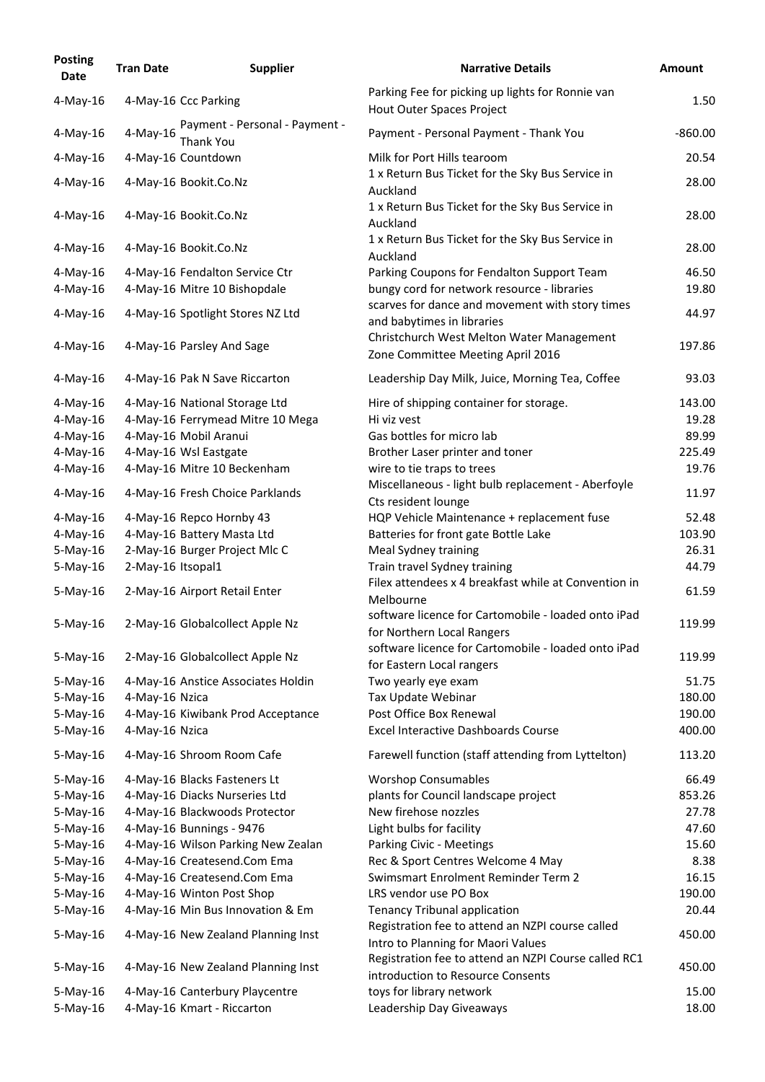| <b>Posting</b><br><b>Date</b> | <b>Tran Date</b>  | <b>Supplier</b>                                              | <b>Narrative Details</b>                                                               | <b>Amount</b> |
|-------------------------------|-------------------|--------------------------------------------------------------|----------------------------------------------------------------------------------------|---------------|
| $4$ -May-16                   |                   | 4-May-16 Ccc Parking                                         | Parking Fee for picking up lights for Ronnie van<br>Hout Outer Spaces Project          | 1.50          |
| $4$ -May-16                   | $4$ -May-16       | Payment - Personal - Payment -<br><b>Thank You</b>           | Payment - Personal Payment - Thank You                                                 | $-860.00$     |
| $4$ -May-16                   |                   | 4-May-16 Countdown                                           | Milk for Port Hills tearoom                                                            | 20.54         |
| $4$ -May-16                   |                   | 4-May-16 Bookit.Co.Nz                                        | 1 x Return Bus Ticket for the Sky Bus Service in<br>Auckland                           | 28.00         |
| 4-May-16                      |                   | 4-May-16 Bookit.Co.Nz                                        | 1 x Return Bus Ticket for the Sky Bus Service in<br>Auckland                           | 28.00         |
| 4-May-16                      |                   | 4-May-16 Bookit.Co.Nz                                        | 1 x Return Bus Ticket for the Sky Bus Service in<br>Auckland                           | 28.00         |
| $4$ -May-16                   |                   | 4-May-16 Fendalton Service Ctr                               | Parking Coupons for Fendalton Support Team                                             | 46.50         |
| $4$ -May-16                   |                   | 4-May-16 Mitre 10 Bishopdale                                 | bungy cord for network resource - libraries                                            | 19.80         |
| $4$ -May-16                   |                   | 4-May-16 Spotlight Stores NZ Ltd                             | scarves for dance and movement with story times<br>and babytimes in libraries          | 44.97         |
| $4$ -May-16                   |                   | 4-May-16 Parsley And Sage                                    | Christchurch West Melton Water Management<br>Zone Committee Meeting April 2016         | 197.86        |
| 4-May-16                      |                   | 4-May-16 Pak N Save Riccarton                                | Leadership Day Milk, Juice, Morning Tea, Coffee                                        | 93.03         |
| $4$ -May-16                   |                   | 4-May-16 National Storage Ltd                                | Hire of shipping container for storage.                                                | 143.00        |
| 4-May-16                      |                   | 4-May-16 Ferrymead Mitre 10 Mega                             | Hi viz vest                                                                            | 19.28         |
| $4$ -May-16                   |                   | 4-May-16 Mobil Aranui                                        | Gas bottles for micro lab                                                              | 89.99         |
| 4-May-16                      |                   | 4-May-16 Wsl Eastgate                                        | Brother Laser printer and toner                                                        | 225.49        |
| $4$ -May-16                   |                   | 4-May-16 Mitre 10 Beckenham                                  | wire to tie traps to trees                                                             | 19.76         |
| 4-May-16                      |                   | 4-May-16 Fresh Choice Parklands                              | Miscellaneous - light bulb replacement - Aberfoyle<br>Cts resident lounge              | 11.97         |
| 4-May-16                      |                   | 4-May-16 Repco Hornby 43                                     | HQP Vehicle Maintenance + replacement fuse                                             | 52.48         |
| 4-May-16                      |                   | 4-May-16 Battery Masta Ltd                                   | Batteries for front gate Bottle Lake                                                   | 103.90        |
| $5-May-16$                    |                   | 2-May-16 Burger Project Mlc C                                | Meal Sydney training                                                                   | 26.31         |
| $5$ -May-16                   | 2-May-16 Itsopal1 |                                                              | Train travel Sydney training                                                           | 44.79         |
| $5$ -May-16                   |                   | 2-May-16 Airport Retail Enter                                | Filex attendees x 4 breakfast while at Convention in<br>Melbourne                      | 61.59         |
| $5$ -May-16                   |                   | 2-May-16 Globalcollect Apple Nz                              | software licence for Cartomobile - loaded onto iPad<br>for Northern Local Rangers      | 119.99        |
| $5$ -May-16                   |                   | 2-May-16 Globalcollect Apple Nz                              | software licence for Cartomobile - loaded onto iPad<br>for Eastern Local rangers       | 119.99        |
| $5$ -May-16                   |                   | 4-May-16 Anstice Associates Holdin                           | Two yearly eye exam                                                                    | 51.75         |
| $5$ -May-16                   | 4-May-16 Nzica    |                                                              | Tax Update Webinar                                                                     | 180.00        |
| $5-May-16$                    |                   | 4-May-16 Kiwibank Prod Acceptance                            | Post Office Box Renewal                                                                | 190.00        |
| $5$ -May-16                   | 4-May-16 Nzica    |                                                              | <b>Excel Interactive Dashboards Course</b>                                             | 400.00        |
| $5-May-16$                    |                   | 4-May-16 Shroom Room Cafe                                    | Farewell function (staff attending from Lyttelton)                                     | 113.20        |
| $5$ -May-16                   |                   | 4-May-16 Blacks Fasteners Lt                                 | <b>Worshop Consumables</b>                                                             | 66.49         |
| $5$ -May-16                   |                   | 4-May-16 Diacks Nurseries Ltd                                | plants for Council landscape project                                                   | 853.26        |
| $5$ -May-16                   |                   | 4-May-16 Blackwoods Protector                                | New firehose nozzles                                                                   | 27.78         |
| $5-May-16$                    |                   | 4-May-16 Bunnings - 9476                                     | Light bulbs for facility                                                               | 47.60         |
| $5$ -May-16                   |                   | 4-May-16 Wilson Parking New Zealan                           | Parking Civic - Meetings                                                               | 15.60         |
| $5-May-16$                    |                   | 4-May-16 Createsend.Com Ema                                  | Rec & Sport Centres Welcome 4 May                                                      | 8.38          |
| $5$ -May-16                   |                   | 4-May-16 Createsend.Com Ema                                  | Swimsmart Enrolment Reminder Term 2                                                    | 16.15         |
| $5-May-16$                    |                   | 4-May-16 Winton Post Shop                                    | LRS vendor use PO Box                                                                  | 190.00        |
| $5$ -May-16                   |                   | 4-May-16 Min Bus Innovation & Em                             | <b>Tenancy Tribunal application</b>                                                    | 20.44         |
| $5$ -May-16                   |                   | 4-May-16 New Zealand Planning Inst                           | Registration fee to attend an NZPI course called<br>Intro to Planning for Maori Values | 450.00        |
| $5-May-16$                    |                   | 4-May-16 New Zealand Planning Inst                           | Registration fee to attend an NZPI Course called RC1                                   | 450.00        |
|                               |                   |                                                              | introduction to Resource Consents                                                      | 15.00         |
| $5$ -May-16<br>$5-May-16$     |                   | 4-May-16 Canterbury Playcentre<br>4-May-16 Kmart - Riccarton | toys for library network<br>Leadership Day Giveaways                                   | 18.00         |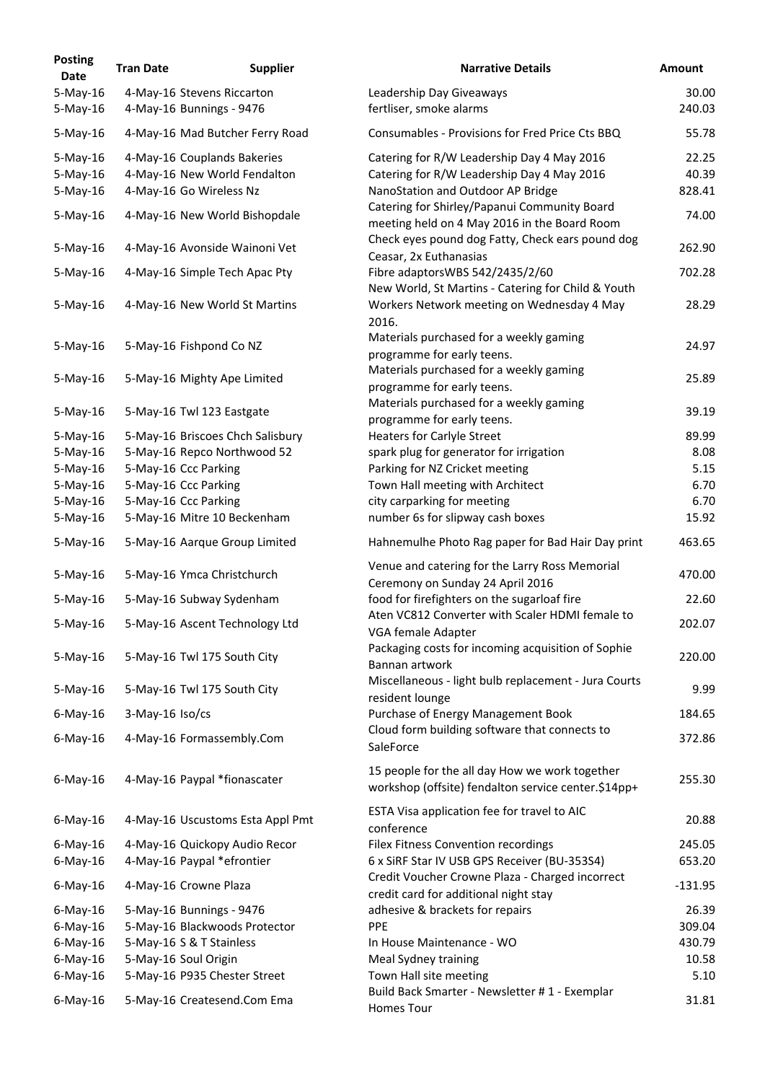| <b>Posting</b><br><b>Date</b> | <b>Tran Date</b>     | <b>Supplier</b>                                             | <b>Narrative Details</b>                                                                              | <b>Amount</b> |
|-------------------------------|----------------------|-------------------------------------------------------------|-------------------------------------------------------------------------------------------------------|---------------|
| $5-May-16$                    |                      | 4-May-16 Stevens Riccarton                                  | Leadership Day Giveaways                                                                              | 30.00         |
| $5-May-16$                    |                      | 4-May-16 Bunnings - 9476                                    | fertliser, smoke alarms                                                                               | 240.03        |
| $5$ -May-16                   |                      | 4-May-16 Mad Butcher Ferry Road                             | Consumables - Provisions for Fred Price Cts BBQ                                                       | 55.78         |
| $5$ -May-16                   |                      | 4-May-16 Couplands Bakeries                                 | Catering for R/W Leadership Day 4 May 2016                                                            | 22.25         |
| $5-May-16$                    |                      | 4-May-16 New World Fendalton                                | Catering for R/W Leadership Day 4 May 2016                                                            | 40.39         |
| $5$ -May-16                   |                      | 4-May-16 Go Wireless Nz                                     | NanoStation and Outdoor AP Bridge<br>Catering for Shirley/Papanui Community Board                     | 828.41        |
| 5-May-16                      |                      | 4-May-16 New World Bishopdale                               | meeting held on 4 May 2016 in the Board Room<br>Check eyes pound dog Fatty, Check ears pound dog      | 74.00         |
| $5$ -May-16                   |                      | 4-May-16 Avonside Wainoni Vet                               | Ceasar, 2x Euthanasias                                                                                | 262.90        |
| $5-May-16$                    |                      | 4-May-16 Simple Tech Apac Pty                               | Fibre adaptorsWBS 542/2435/2/60<br>New World, St Martins - Catering for Child & Youth                 | 702.28        |
| $5-May-16$                    |                      | 4-May-16 New World St Martins                               | Workers Network meeting on Wednesday 4 May<br>2016.                                                   | 28.29         |
| $5$ -May-16                   |                      | 5-May-16 Fishpond Co NZ                                     | Materials purchased for a weekly gaming<br>programme for early teens.                                 | 24.97         |
| $5$ -May-16                   |                      | 5-May-16 Mighty Ape Limited                                 | Materials purchased for a weekly gaming<br>programme for early teens.                                 | 25.89         |
| 5-May-16                      |                      | 5-May-16 Twl 123 Eastgate                                   | Materials purchased for a weekly gaming<br>programme for early teens.                                 | 39.19         |
| $5$ -May-16                   |                      | 5-May-16 Briscoes Chch Salisbury                            | <b>Heaters for Carlyle Street</b>                                                                     | 89.99         |
| 5-May-16                      |                      | 5-May-16 Repco Northwood 52                                 | spark plug for generator for irrigation                                                               | 8.08          |
| $5$ -May-16                   | 5-May-16 Ccc Parking |                                                             | Parking for NZ Cricket meeting                                                                        | 5.15          |
| $5$ -May-16                   | 5-May-16 Ccc Parking |                                                             | Town Hall meeting with Architect                                                                      | 6.70          |
| $5-May-16$                    | 5-May-16 Ccc Parking |                                                             | city carparking for meeting                                                                           | 6.70          |
| 5-May-16                      |                      | 5-May-16 Mitre 10 Beckenham                                 | number 6s for slipway cash boxes                                                                      | 15.92         |
| $5$ -May-16                   |                      | 5-May-16 Aarque Group Limited                               | Hahnemulhe Photo Rag paper for Bad Hair Day print                                                     | 463.65        |
| $5-May-16$                    |                      | 5-May-16 Ymca Christchurch                                  | Venue and catering for the Larry Ross Memorial<br>Ceremony on Sunday 24 April 2016                    | 470.00        |
| $5$ -May-16                   |                      | 5-May-16 Subway Sydenham                                    | food for firefighters on the sugarloaf fire<br>Aten VC812 Converter with Scaler HDMI female to        | 22.60         |
| $5$ -May-16                   |                      | 5-May-16 Ascent Technology Ltd                              | VGA female Adapter                                                                                    | 202.07        |
| 5-May-16                      |                      | 5-May-16 Twl 175 South City                                 | Packaging costs for incoming acquisition of Sophie<br>Bannan artwork                                  | 220.00        |
| $5$ -May-16                   |                      | 5-May-16 Twl 175 South City                                 | Miscellaneous - light bulb replacement - Jura Courts<br>resident lounge                               | 9.99          |
| $6$ -May-16                   | 3-May-16 Iso/cs      |                                                             | Purchase of Energy Management Book<br>Cloud form building software that connects to                   | 184.65        |
| $6$ -May-16                   |                      | 4-May-16 Formassembly.Com                                   | SaleForce                                                                                             | 372.86        |
| $6$ -May-16                   |                      | 4-May-16 Paypal *fionascater                                | 15 people for the all day How we work together<br>workshop (offsite) fendalton service center.\$14pp+ | 255.30        |
| $6$ -May-16                   |                      | 4-May-16 Uscustoms Esta Appl Pmt                            | ESTA Visa application fee for travel to AIC<br>conference                                             | 20.88         |
| $6$ -May-16                   |                      | 4-May-16 Quickopy Audio Recor                               | Filex Fitness Convention recordings                                                                   | 245.05        |
| $6$ -May-16                   |                      | 4-May-16 Paypal *efrontier                                  | 6 x SiRF Star IV USB GPS Receiver (BU-353S4)<br>Credit Voucher Crowne Plaza - Charged incorrect       | 653.20        |
| $6$ -May-16                   |                      | 4-May-16 Crowne Plaza                                       | credit card for additional night stay                                                                 | $-131.95$     |
| $6$ -May-16                   |                      | 5-May-16 Bunnings - 9476                                    | adhesive & brackets for repairs                                                                       | 26.39         |
| $6$ -May-16                   |                      | 5-May-16 Blackwoods Protector                               | <b>PPE</b>                                                                                            | 309.04        |
| $6$ -May-16                   |                      | 5-May-16 S & T Stainless                                    | In House Maintenance - WO                                                                             | 430.79        |
| $6$ -May-16                   | 5-May-16 Soul Origin |                                                             | Meal Sydney training                                                                                  | 10.58         |
| $6$ -May-16<br>$6$ -May-16    |                      | 5-May-16 P935 Chester Street<br>5-May-16 Createsend.Com Ema | Town Hall site meeting<br>Build Back Smarter - Newsletter #1 - Exemplar                               | 5.10<br>31.81 |
|                               |                      |                                                             | Homes Tour                                                                                            |               |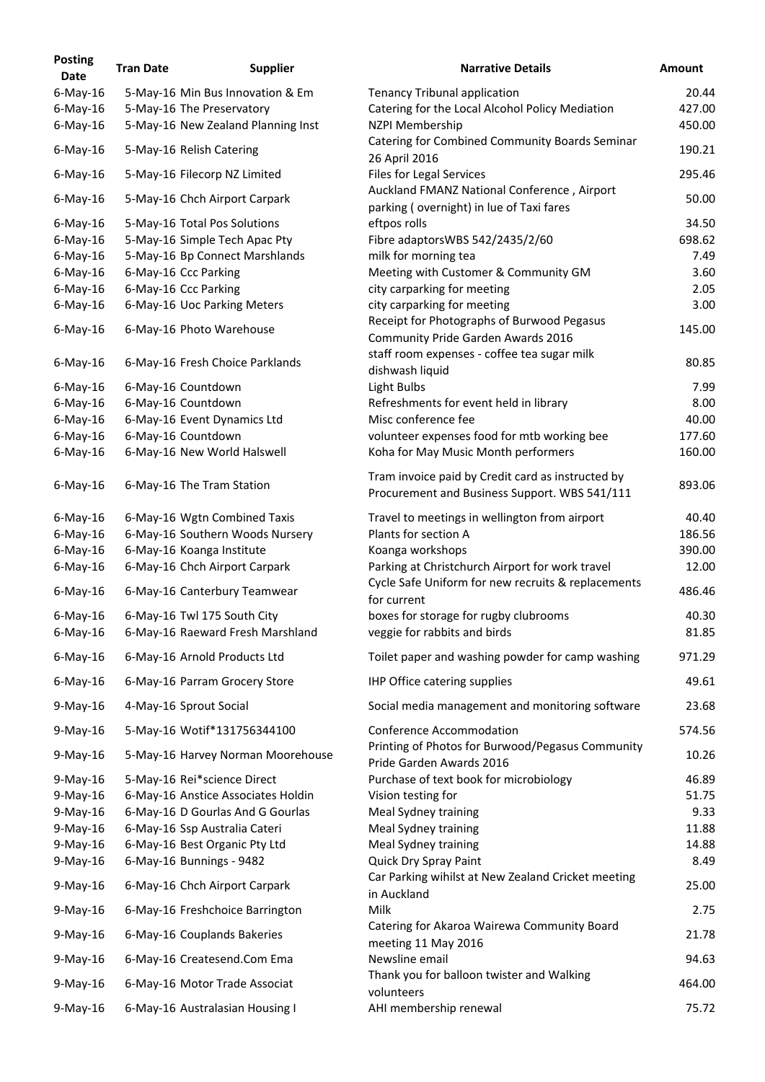| <b>Posting</b><br><b>Date</b> | <b>Tran Date</b> | <b>Supplier</b>                                             | <b>Narrative Details</b>                                                                              | <b>Amount</b>   |
|-------------------------------|------------------|-------------------------------------------------------------|-------------------------------------------------------------------------------------------------------|-----------------|
| $6$ -May-16                   |                  | 5-May-16 Min Bus Innovation & Em                            | <b>Tenancy Tribunal application</b>                                                                   | 20.44           |
| $6$ -May-16                   |                  | 5-May-16 The Preservatory                                   | Catering for the Local Alcohol Policy Mediation                                                       | 427.00          |
| $6$ -May-16                   |                  | 5-May-16 New Zealand Planning Inst                          | <b>NZPI Membership</b>                                                                                | 450.00          |
| $6$ -May-16                   |                  | 5-May-16 Relish Catering                                    | Catering for Combined Community Boards Seminar<br>26 April 2016                                       | 190.21          |
| $6$ -May-16                   |                  | 5-May-16 Filecorp NZ Limited                                | <b>Files for Legal Services</b>                                                                       | 295.46          |
| $6$ -May-16                   |                  | 5-May-16 Chch Airport Carpark                               | Auckland FMANZ National Conference, Airport<br>parking (overnight) in lue of Taxi fares               | 50.00           |
| $6$ -May-16                   |                  | 5-May-16 Total Pos Solutions                                | eftpos rolls                                                                                          | 34.50           |
| $6$ -May-16                   |                  | 5-May-16 Simple Tech Apac Pty                               | Fibre adaptorsWBS 542/2435/2/60                                                                       | 698.62          |
| $6$ -May-16                   |                  | 5-May-16 Bp Connect Marshlands                              | milk for morning tea                                                                                  | 7.49            |
| $6$ -May-16                   |                  | 6-May-16 Ccc Parking                                        | Meeting with Customer & Community GM                                                                  | 3.60            |
| $6$ -May-16                   |                  | 6-May-16 Ccc Parking                                        | city carparking for meeting                                                                           | 2.05            |
| $6$ -May-16                   |                  | 6-May-16 Uoc Parking Meters                                 | city carparking for meeting                                                                           | 3.00            |
| $6$ -May-16                   |                  | 6-May-16 Photo Warehouse                                    | Receipt for Photographs of Burwood Pegasus<br>Community Pride Garden Awards 2016                      | 145.00          |
| $6$ -May-16                   |                  | 6-May-16 Fresh Choice Parklands                             | staff room expenses - coffee tea sugar milk<br>dishwash liquid                                        | 80.85           |
| $6$ -May-16                   |                  | 6-May-16 Countdown                                          | Light Bulbs                                                                                           | 7.99            |
| $6$ -May-16                   |                  | 6-May-16 Countdown                                          | Refreshments for event held in library                                                                | 8.00            |
| $6$ -May-16                   |                  | 6-May-16 Event Dynamics Ltd                                 | Misc conference fee                                                                                   | 40.00           |
|                               |                  | 6-May-16 Countdown                                          | volunteer expenses food for mtb working bee                                                           | 177.60          |
| $6$ -May-16<br>$6$ -May-16    |                  | 6-May-16 New World Halswell                                 | Koha for May Music Month performers                                                                   | 160.00          |
| $6$ -May-16                   |                  | 6-May-16 The Tram Station                                   | Tram invoice paid by Credit card as instructed by                                                     | 893.06          |
|                               |                  |                                                             | Procurement and Business Support. WBS 541/111                                                         |                 |
| $6$ -May-16                   |                  | 6-May-16 Wgtn Combined Taxis                                | Travel to meetings in wellington from airport                                                         | 40.40           |
| $6$ -May-16                   |                  | 6-May-16 Southern Woods Nursery                             | Plants for section A                                                                                  | 186.56          |
| $6$ -May-16                   |                  | 6-May-16 Koanga Institute                                   | Koanga workshops                                                                                      | 390.00          |
| $6$ -May-16                   |                  | 6-May-16 Chch Airport Carpark                               | Parking at Christchurch Airport for work travel<br>Cycle Safe Uniform for new recruits & replacements | 12.00           |
| $6$ -May-16<br>$6$ -May-16    |                  | 6-May-16 Canterbury Teamwear<br>6-May-16 Twl 175 South City | for current<br>boxes for storage for rugby clubrooms                                                  | 486.46<br>40.30 |
| $6$ -May-16                   |                  | 6-May-16 Raeward Fresh Marshland                            | veggie for rabbits and birds                                                                          | 81.85           |
| $6$ -May-16                   |                  | 6-May-16 Arnold Products Ltd                                | Toilet paper and washing powder for camp washing                                                      | 971.29          |
| $6$ -May-16                   |                  | 6-May-16 Parram Grocery Store                               | <b>IHP Office catering supplies</b>                                                                   | 49.61           |
| $9$ -May-16                   |                  | 4-May-16 Sprout Social                                      | Social media management and monitoring software                                                       | 23.68           |
| $9$ -May-16                   |                  | 5-May-16 Wotif*131756344100                                 | <b>Conference Accommodation</b>                                                                       | 574.56          |
| $9$ -May-16                   |                  | 5-May-16 Harvey Norman Moorehouse                           | Printing of Photos for Burwood/Pegasus Community                                                      | 10.26           |
| $9$ -May-16                   |                  | 5-May-16 Rei*science Direct                                 | Pride Garden Awards 2016<br>Purchase of text book for microbiology                                    | 46.89           |
| $9$ -May-16                   |                  | 6-May-16 Anstice Associates Holdin                          | Vision testing for                                                                                    | 51.75           |
| $9$ -May-16                   |                  | 6-May-16 D Gourlas And G Gourlas                            | Meal Sydney training                                                                                  | 9.33            |
| $9$ -May-16                   |                  | 6-May-16 Ssp Australia Cateri                               | Meal Sydney training                                                                                  | 11.88           |
| $9$ -May-16                   |                  | 6-May-16 Best Organic Pty Ltd                               | Meal Sydney training                                                                                  | 14.88           |
| $9$ -May-16                   |                  | 6-May-16 Bunnings - 9482                                    | <b>Quick Dry Spray Paint</b>                                                                          | 8.49            |
| $9$ -May-16                   |                  | 6-May-16 Chch Airport Carpark                               | Car Parking wihilst at New Zealand Cricket meeting<br>in Auckland                                     | 25.00           |
| $9$ -May-16                   |                  | 6-May-16 Freshchoice Barrington                             | Milk                                                                                                  | 2.75            |
| $9$ -May-16                   |                  | 6-May-16 Couplands Bakeries                                 | Catering for Akaroa Wairewa Community Board<br>meeting 11 May 2016                                    | 21.78           |
| $9$ -May-16                   |                  | 6-May-16 Createsend.Com Ema                                 | Newsline email                                                                                        | 94.63           |
| $9$ -May-16                   |                  | 6-May-16 Motor Trade Associat                               | Thank you for balloon twister and Walking<br>volunteers                                               | 464.00          |
| $9-May-16$                    |                  | 6-May-16 Australasian Housing I                             | AHI membership renewal                                                                                | 75.72           |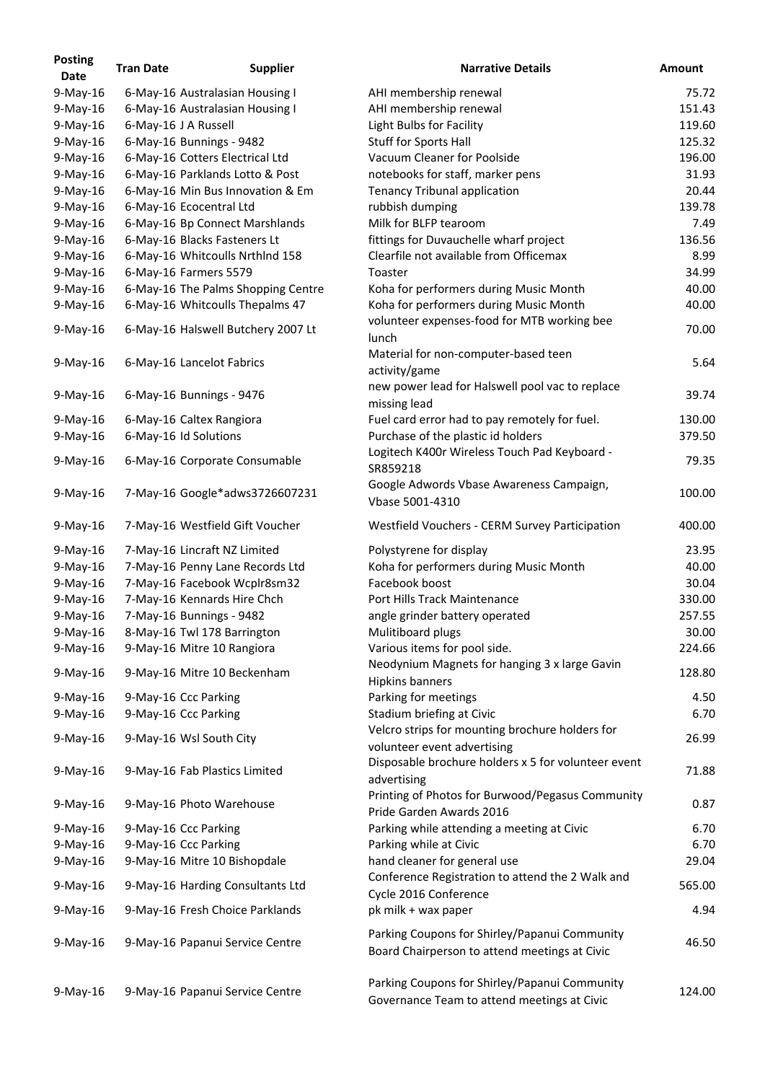| <b>Posting</b><br>Date | <b>Tran Date</b> | <b>Supplier</b>                    | <b>Narrative Details</b>                                                                       | <b>Amount</b> |
|------------------------|------------------|------------------------------------|------------------------------------------------------------------------------------------------|---------------|
| $9-May-16$             |                  | 6-May-16 Australasian Housing I    | AHI membership renewal                                                                         | 75.72         |
| $9$ -May-16            |                  | 6-May-16 Australasian Housing I    | AHI membership renewal                                                                         | 151.43        |
| $9$ -May-16            |                  | 6-May-16 J A Russell               | Light Bulbs for Facility                                                                       | 119.60        |
| $9$ -May-16            |                  | 6-May-16 Bunnings - 9482           | <b>Stuff for Sports Hall</b>                                                                   | 125.32        |
| $9-May-16$             |                  | 6-May-16 Cotters Electrical Ltd    | Vacuum Cleaner for Poolside                                                                    | 196.00        |
| $9$ -May-16            |                  | 6-May-16 Parklands Lotto & Post    | notebooks for staff, marker pens                                                               | 31.93         |
| $9-May-16$             |                  | 6-May-16 Min Bus Innovation & Em   | <b>Tenancy Tribunal application</b>                                                            | 20.44         |
| $9$ -May-16            |                  | 6-May-16 Ecocentral Ltd            | rubbish dumping                                                                                | 139.78        |
| $9$ -May-16            |                  | 6-May-16 Bp Connect Marshlands     | Milk for BLFP tearoom                                                                          | 7.49          |
| $9$ -May-16            |                  | 6-May-16 Blacks Fasteners Lt       | fittings for Duvauchelle wharf project                                                         | 136.56        |
| $9$ -May-16            |                  | 6-May-16 Whitcoulls Nrthlnd 158    | Clearfile not available from Officemax                                                         | 8.99          |
| $9$ -May-16            |                  | 6-May-16 Farmers 5579              | Toaster                                                                                        | 34.99         |
| $9$ -May-16            |                  | 6-May-16 The Palms Shopping Centre | Koha for performers during Music Month                                                         | 40.00         |
| $9$ -May-16            |                  | 6-May-16 Whitcoulls Thepalms 47    | Koha for performers during Music Month                                                         | 40.00         |
| $9$ -May-16            |                  | 6-May-16 Halswell Butchery 2007 Lt | volunteer expenses-food for MTB working bee<br>lunch                                           | 70.00         |
| $9$ -May-16            |                  | 6-May-16 Lancelot Fabrics          | Material for non-computer-based teen<br>activity/game                                          | 5.64          |
| $9$ -May-16            |                  | 6-May-16 Bunnings - 9476           | new power lead for Halswell pool vac to replace<br>missing lead                                | 39.74         |
| $9$ -May-16            |                  | 6-May-16 Caltex Rangiora           | Fuel card error had to pay remotely for fuel.                                                  | 130.00        |
| $9$ -May-16            |                  | 6-May-16 Id Solutions              | Purchase of the plastic id holders                                                             | 379.50        |
| $9$ -May-16            |                  | 6-May-16 Corporate Consumable      | Logitech K400r Wireless Touch Pad Keyboard -<br>SR859218                                       | 79.35         |
| $9$ -May-16            |                  | 7-May-16 Google*adws3726607231     | Google Adwords Vbase Awareness Campaign,<br>Vbase 5001-4310                                    | 100.00        |
| $9$ -May-16            |                  | 7-May-16 Westfield Gift Voucher    | Westfield Vouchers - CERM Survey Participation                                                 | 400.00        |
| $9$ -May-16            |                  | 7-May-16 Lincraft NZ Limited       | Polystyrene for display                                                                        | 23.95         |
| $9$ -May-16            |                  | 7-May-16 Penny Lane Records Ltd    | Koha for performers during Music Month                                                         | 40.00         |
| $9$ -May-16            |                  | 7-May-16 Facebook Wcplr8sm32       | Facebook boost                                                                                 | 30.04         |
| $9$ -May-16            |                  | 7-May-16 Kennards Hire Chch        | Port Hills Track Maintenance                                                                   | 330.00        |
| $9$ -May-16            |                  | 7-May-16 Bunnings - 9482           | angle grinder battery operated                                                                 | 257.55        |
| $9-May-16$             |                  | 8-May-16 Twl 178 Barrington        | Mulitiboard plugs                                                                              | 30.00         |
| $9$ -May-16            |                  | 9-May-16 Mitre 10 Rangiora         | Various items for pool side.                                                                   | 224.66        |
| $9$ -May-16            |                  | 9-May-16 Mitre 10 Beckenham        | Neodynium Magnets for hanging 3 x large Gavin<br>Hipkins banners                               | 128.80        |
| $9$ -May-16            |                  | 9-May-16 Ccc Parking               | Parking for meetings                                                                           | 4.50          |
| $9$ -May-16            |                  | 9-May-16 Ccc Parking               | Stadium briefing at Civic                                                                      | 6.70          |
| $9$ -May-16            |                  | 9-May-16 Wsl South City            | Velcro strips for mounting brochure holders for<br>volunteer event advertising                 | 26.99         |
| $9$ -May-16            |                  | 9-May-16 Fab Plastics Limited      | Disposable brochure holders x 5 for volunteer event<br>advertising                             | 71.88         |
| $9$ -May-16            |                  | 9-May-16 Photo Warehouse           | Printing of Photos for Burwood/Pegasus Community<br>Pride Garden Awards 2016                   | 0.87          |
| $9$ -May-16            |                  | 9-May-16 Ccc Parking               | Parking while attending a meeting at Civic                                                     | 6.70          |
| $9$ -May-16            |                  | 9-May-16 Ccc Parking               | Parking while at Civic                                                                         | 6.70          |
| $9$ -May-16            |                  | 9-May-16 Mitre 10 Bishopdale       | hand cleaner for general use                                                                   | 29.04         |
| $9$ -May-16            |                  | 9-May-16 Harding Consultants Ltd   | Conference Registration to attend the 2 Walk and<br>Cycle 2016 Conference                      | 565.00        |
| $9$ -May-16            |                  | 9-May-16 Fresh Choice Parklands    | pk milk + wax paper                                                                            | 4.94          |
| $9$ -May-16            |                  | 9-May-16 Papanui Service Centre    | Parking Coupons for Shirley/Papanui Community<br>Board Chairperson to attend meetings at Civic | 46.50         |
| $9$ -May-16            |                  | 9-May-16 Papanui Service Centre    | Parking Coupons for Shirley/Papanui Community<br>Governance Team to attend meetings at Civic   | 124.00        |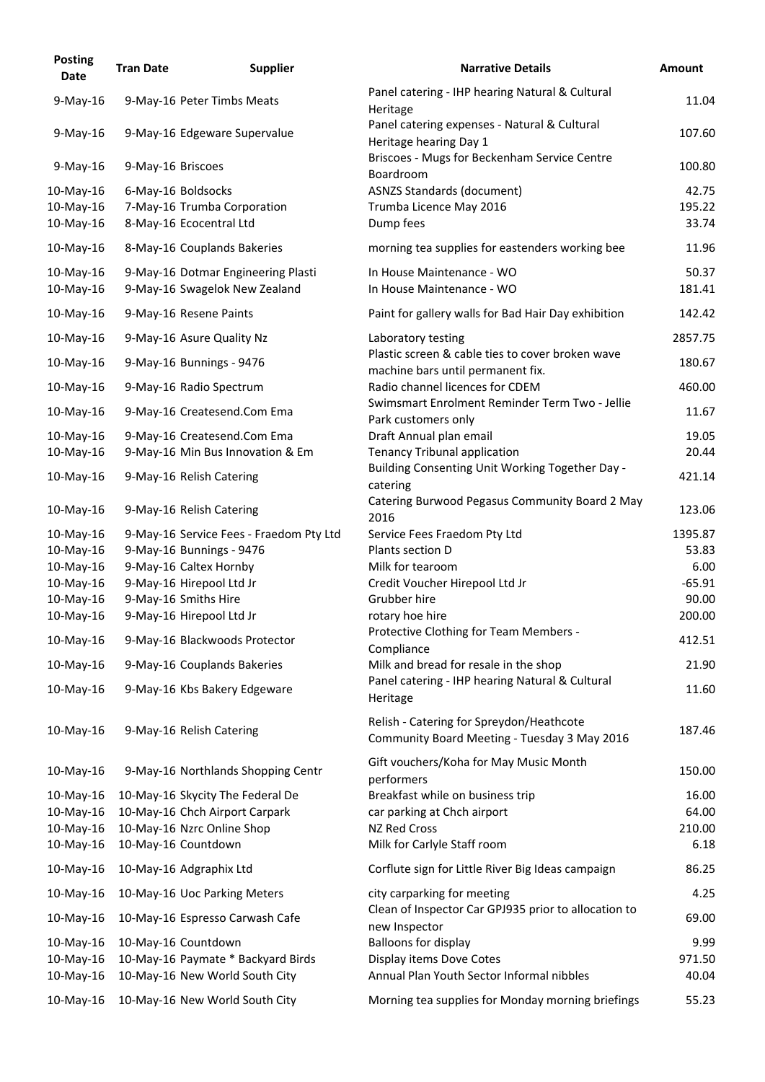| <b>Posting</b><br><b>Date</b> | <b>Tran Date</b>   | <b>Supplier</b>                         | <b>Narrative Details</b>                                                                 | <b>Amount</b> |
|-------------------------------|--------------------|-----------------------------------------|------------------------------------------------------------------------------------------|---------------|
| $9$ -May-16                   |                    | 9-May-16 Peter Timbs Meats              | Panel catering - IHP hearing Natural & Cultural<br>Heritage                              | 11.04         |
| $9-May-16$                    |                    | 9-May-16 Edgeware Supervalue            | Panel catering expenses - Natural & Cultural<br>Heritage hearing Day 1                   | 107.60        |
| $9$ -May-16                   | 9-May-16 Briscoes  |                                         | Briscoes - Mugs for Beckenham Service Centre<br>Boardroom                                | 100.80        |
| 10-May-16                     | 6-May-16 Boldsocks |                                         | <b>ASNZS Standards (document)</b>                                                        | 42.75         |
| 10-May-16                     |                    | 7-May-16 Trumba Corporation             | Trumba Licence May 2016                                                                  | 195.22        |
| 10-May-16                     |                    | 8-May-16 Ecocentral Ltd                 | Dump fees                                                                                | 33.74         |
| 10-May-16                     |                    | 8-May-16 Couplands Bakeries             | morning tea supplies for eastenders working bee                                          | 11.96         |
| 10-May-16                     |                    | 9-May-16 Dotmar Engineering Plasti      | In House Maintenance - WO                                                                | 50.37         |
| 10-May-16                     |                    | 9-May-16 Swagelok New Zealand           | In House Maintenance - WO                                                                | 181.41        |
| 10-May-16                     |                    | 9-May-16 Resene Paints                  | Paint for gallery walls for Bad Hair Day exhibition                                      | 142.42        |
| 10-May-16                     |                    | 9-May-16 Asure Quality Nz               | Laboratory testing                                                                       | 2857.75       |
| 10-May-16                     |                    | 9-May-16 Bunnings - 9476                | Plastic screen & cable ties to cover broken wave                                         | 180.67        |
|                               |                    |                                         | machine bars until permanent fix.                                                        |               |
| 10-May-16                     |                    | 9-May-16 Radio Spectrum                 | Radio channel licences for CDEM<br>Swimsmart Enrolment Reminder Term Two - Jellie        | 460.00        |
| 10-May-16                     |                    | 9-May-16 Createsend.Com Ema             | Park customers only                                                                      | 11.67         |
| 10-May-16                     |                    | 9-May-16 Createsend.Com Ema             | Draft Annual plan email                                                                  | 19.05         |
| 10-May-16                     |                    | 9-May-16 Min Bus Innovation & Em        | <b>Tenancy Tribunal application</b>                                                      | 20.44         |
| 10-May-16                     |                    | 9-May-16 Relish Catering                | Building Consenting Unit Working Together Day -<br>catering                              | 421.14        |
| 10-May-16                     |                    | 9-May-16 Relish Catering                | Catering Burwood Pegasus Community Board 2 May<br>2016                                   | 123.06        |
| 10-May-16                     |                    | 9-May-16 Service Fees - Fraedom Pty Ltd | Service Fees Fraedom Pty Ltd                                                             | 1395.87       |
| 10-May-16                     |                    | 9-May-16 Bunnings - 9476                | Plants section D                                                                         | 53.83         |
| 10-May-16                     |                    | 9-May-16 Caltex Hornby                  | Milk for tearoom                                                                         | 6.00          |
| 10-May-16                     |                    | 9-May-16 Hirepool Ltd Jr                | Credit Voucher Hirepool Ltd Jr                                                           | $-65.91$      |
| 10-May-16                     |                    | 9-May-16 Smiths Hire                    | Grubber hire                                                                             | 90.00         |
| 10-May-16                     |                    | 9-May-16 Hirepool Ltd Jr                | rotary hoe hire                                                                          | 200.00        |
| 10-May-16                     |                    | 9-May-16 Blackwoods Protector           | Protective Clothing for Team Members -<br>Compliance                                     | 412.51        |
| 10-May-16                     |                    | 9-May-16 Couplands Bakeries             | Milk and bread for resale in the shop                                                    | 21.90         |
| 10-May-16                     |                    | 9-May-16 Kbs Bakery Edgeware            | Panel catering - IHP hearing Natural & Cultural<br>Heritage                              | 11.60         |
| 10-May-16                     |                    | 9-May-16 Relish Catering                | Relish - Catering for Spreydon/Heathcote<br>Community Board Meeting - Tuesday 3 May 2016 | 187.46        |
| 10-May-16                     |                    | 9-May-16 Northlands Shopping Centr      | Gift vouchers/Koha for May Music Month<br>performers                                     | 150.00        |
| 10-May-16                     |                    | 10-May-16 Skycity The Federal De        | Breakfast while on business trip                                                         | 16.00         |
| 10-May-16                     |                    | 10-May-16 Chch Airport Carpark          | car parking at Chch airport                                                              | 64.00         |
| 10-May-16                     |                    | 10-May-16 Nzrc Online Shop              | <b>NZ Red Cross</b>                                                                      | 210.00        |
| 10-May-16                     |                    | 10-May-16 Countdown                     | Milk for Carlyle Staff room                                                              | 6.18          |
| 10-May-16                     |                    | 10-May-16 Adgraphix Ltd                 | Corflute sign for Little River Big Ideas campaign                                        | 86.25         |
| 10-May-16                     |                    | 10-May-16 Uoc Parking Meters            | city carparking for meeting                                                              | 4.25          |
| 10-May-16                     |                    | 10-May-16 Espresso Carwash Cafe         | Clean of Inspector Car GPJ935 prior to allocation to<br>new Inspector                    | 69.00         |
| 10-May-16                     |                    | 10-May-16 Countdown                     | <b>Balloons for display</b>                                                              | 9.99          |
| 10-May-16                     |                    | 10-May-16 Paymate * Backyard Birds      | Display items Dove Cotes                                                                 | 971.50        |
| 10-May-16                     |                    | 10-May-16 New World South City          | Annual Plan Youth Sector Informal nibbles                                                | 40.04         |
| 10-May-16                     |                    | 10-May-16 New World South City          | Morning tea supplies for Monday morning briefings                                        | 55.23         |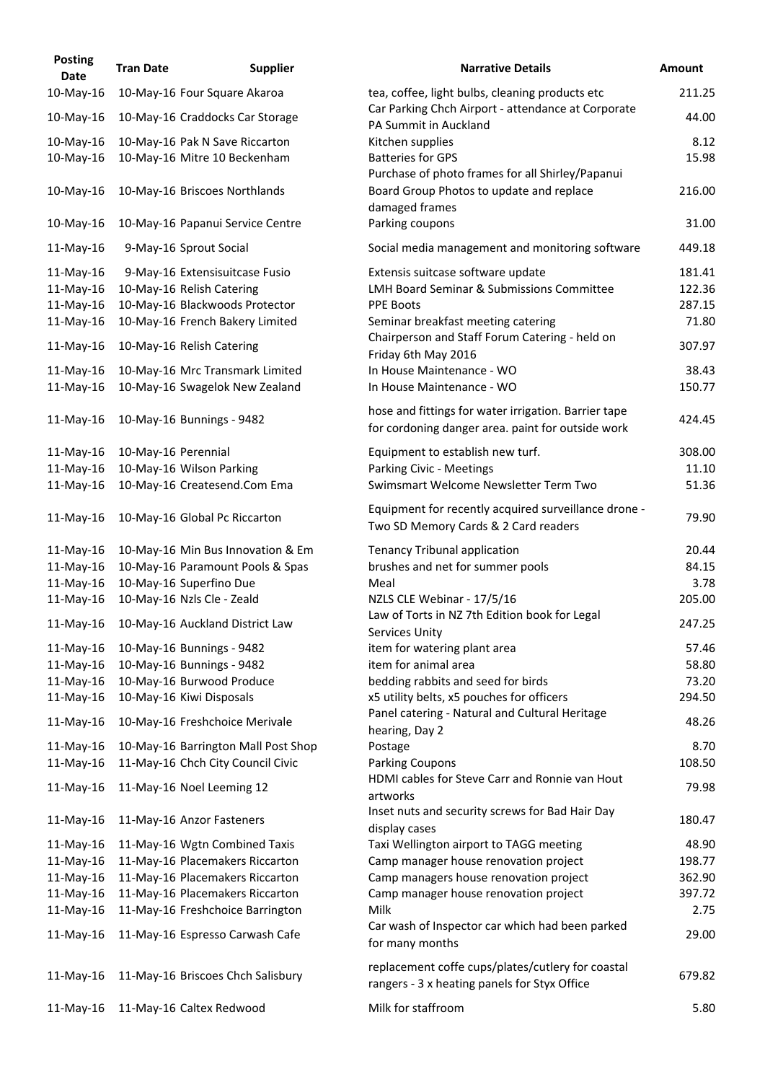| <b>Posting</b><br><b>Date</b> | <b>Tran Date</b>    | <b>Supplier</b>                                                | <b>Narrative Details</b>                                                                                  |
|-------------------------------|---------------------|----------------------------------------------------------------|-----------------------------------------------------------------------------------------------------------|
| 10-May-16                     |                     | 10-May-16 Four Square Akaroa                                   | tea, coffee, light bulbs, cleaning products etc                                                           |
| 10-May-16                     |                     | 10-May-16 Craddocks Car Storage                                | Car Parking Chch Airport - attendance at Corporat<br>PA Summit in Auckland                                |
| 10-May-16<br>10-May-16        |                     | 10-May-16 Pak N Save Riccarton<br>10-May-16 Mitre 10 Beckenham | Kitchen supplies<br><b>Batteries for GPS</b><br>Purchase of photo frames for all Shirley/Papanui          |
| 10-May-16                     |                     | 10-May-16 Briscoes Northlands                                  | Board Group Photos to update and replace<br>damaged frames                                                |
| 10-May-16                     |                     | 10-May-16 Papanui Service Centre                               | Parking coupons                                                                                           |
| 11-May-16                     |                     | 9-May-16 Sprout Social                                         | Social media management and monitoring softwa                                                             |
| 11-May-16                     |                     | 9-May-16 Extensisuitcase Fusio                                 | Extensis suitcase software update                                                                         |
| 11-May-16                     |                     | 10-May-16 Relish Catering                                      | <b>LMH Board Seminar &amp; Submissions Committee</b>                                                      |
| 11-May-16                     |                     | 10-May-16 Blackwoods Protector                                 | <b>PPE Boots</b>                                                                                          |
| 11-May-16                     |                     | 10-May-16 French Bakery Limited                                | Seminar breakfast meeting catering                                                                        |
| 11-May-16                     |                     | 10-May-16 Relish Catering                                      | Chairperson and Staff Forum Catering - held on<br>Friday 6th May 2016                                     |
| 11-May-16                     |                     | 10-May-16 Mrc Transmark Limited                                | In House Maintenance - WO                                                                                 |
| $11$ -May-16                  |                     | 10-May-16 Swagelok New Zealand                                 | In House Maintenance - WO                                                                                 |
| $11$ -May-16                  |                     | 10-May-16 Bunnings - 9482                                      | hose and fittings for water irrigation. Barrier tape<br>for cordoning danger area. paint for outside work |
| 11-May-16                     | 10-May-16 Perennial |                                                                | Equipment to establish new turf.                                                                          |
| 11-May-16                     |                     | 10-May-16 Wilson Parking                                       | Parking Civic - Meetings                                                                                  |
| $11-May-16$                   |                     | 10-May-16 Createsend.Com Ema                                   | Swimsmart Welcome Newsletter Term Two                                                                     |
| 11-May-16                     |                     | 10-May-16 Global Pc Riccarton                                  | Equipment for recently acquired surveillance dron<br>Two SD Memory Cards & 2 Card readers                 |
| 11-May-16                     |                     | 10-May-16 Min Bus Innovation & Em                              | <b>Tenancy Tribunal application</b>                                                                       |
| 11-May-16                     |                     | 10-May-16 Paramount Pools & Spas                               | brushes and net for summer pools                                                                          |
| 11-May-16                     |                     | 10-May-16 Superfino Due                                        | Meal                                                                                                      |
| 11-May-16                     |                     | 10-May-16 Nzls Cle - Zeald                                     | NZLS CLE Webinar - 17/5/16                                                                                |
| 11-May-16                     |                     | 10-May-16 Auckland District Law                                | Law of Torts in NZ 7th Edition book for Legal                                                             |
|                               |                     |                                                                | Services Unity                                                                                            |
| 11-May-16                     |                     | 10-May-16 Bunnings - 9482                                      | item for watering plant area                                                                              |
| $11-May-16$                   |                     | 10-May-16 Bunnings - 9482                                      | item for animal area                                                                                      |
| 11-May-16                     |                     | 10-May-16 Burwood Produce                                      | bedding rabbits and seed for birds                                                                        |
| 11-May-16                     |                     | 10-May-16 Kiwi Disposals                                       | x5 utility belts, x5 pouches for officers<br>Panel catering - Natural and Cultural Heritage               |
| 11-May-16                     |                     | 10-May-16 Freshchoice Merivale                                 | hearing, Day 2                                                                                            |
| 11-May-16                     |                     | 10-May-16 Barrington Mall Post Shop                            | Postage                                                                                                   |
| 11-May-16                     |                     | 11-May-16 Chch City Council Civic                              | <b>Parking Coupons</b>                                                                                    |
| 11-May-16                     |                     | 11-May-16 Noel Leeming 12                                      | HDMI cables for Steve Carr and Ronnie van Hout<br>artworks                                                |
| 11-May-16                     |                     | 11-May-16 Anzor Fasteners                                      | Inset nuts and security screws for Bad Hair Day                                                           |
| 11-May-16                     |                     | 11-May-16 Wgtn Combined Taxis                                  | display cases<br>Taxi Wellington airport to TAGG meeting                                                  |
| 11-May-16                     |                     | 11-May-16 Placemakers Riccarton                                | Camp manager house renovation project                                                                     |
| 11-May-16                     |                     | 11-May-16 Placemakers Riccarton                                | Camp managers house renovation project                                                                    |
| 11-May-16                     |                     | 11-May-16 Placemakers Riccarton                                | Camp manager house renovation project                                                                     |
| 11-May-16                     |                     | 11-May-16 Freshchoice Barrington                               | Milk                                                                                                      |
| 11-May-16                     |                     | 11-May-16 Espresso Carwash Cafe                                | Car wash of Inspector car which had been parked<br>for many months                                        |
| 11-May-16                     |                     | 11-May-16 Briscoes Chch Salisbury                              | replacement coffe cups/plates/cutlery for coastal<br>rangers - 3 x heating panels for Styx Office         |
| 11-May-16                     |                     | 11-May-16 Caltex Redwood                                       | Milk for staffroom                                                                                        |

| <b>Date</b> | <b>Tran Date</b>    | <b>Supplier</b>                     | <b>Narrative Details</b>                                                                                  | <b>Amount</b> |
|-------------|---------------------|-------------------------------------|-----------------------------------------------------------------------------------------------------------|---------------|
| 10-May-16   |                     | 10-May-16 Four Square Akaroa        | tea, coffee, light bulbs, cleaning products etc                                                           | 211.25        |
| 10-May-16   |                     | 10-May-16 Craddocks Car Storage     | Car Parking Chch Airport - attendance at Corporate<br>PA Summit in Auckland                               | 44.00         |
| 10-May-16   |                     | 10-May-16 Pak N Save Riccarton      | Kitchen supplies                                                                                          | 8.12          |
| 10-May-16   |                     | 10-May-16 Mitre 10 Beckenham        | <b>Batteries for GPS</b>                                                                                  | 15.98         |
|             |                     |                                     | Purchase of photo frames for all Shirley/Papanui                                                          |               |
| 10-May-16   |                     | 10-May-16 Briscoes Northlands       | Board Group Photos to update and replace<br>damaged frames                                                | 216.00        |
| 10-May-16   |                     | 10-May-16 Papanui Service Centre    | Parking coupons                                                                                           | 31.00         |
| 11-May-16   |                     | 9-May-16 Sprout Social              | Social media management and monitoring software                                                           | 449.18        |
| 11-May-16   |                     | 9-May-16 Extensisuitcase Fusio      | Extensis suitcase software update                                                                         | 181.41        |
| 11-May-16   |                     | 10-May-16 Relish Catering           | <b>LMH Board Seminar &amp; Submissions Committee</b>                                                      | 122.36        |
| 11-May-16   |                     | 10-May-16 Blackwoods Protector      | <b>PPE Boots</b>                                                                                          | 287.15        |
| 11-May-16   |                     | 10-May-16 French Bakery Limited     | Seminar breakfast meeting catering                                                                        | 71.80         |
| 11-May-16   |                     | 10-May-16 Relish Catering           | Chairperson and Staff Forum Catering - held on<br>Friday 6th May 2016                                     | 307.97        |
| 11-May-16   |                     | 10-May-16 Mrc Transmark Limited     | In House Maintenance - WO                                                                                 | 38.43         |
| 11-May-16   |                     | 10-May-16 Swagelok New Zealand      | In House Maintenance - WO                                                                                 | 150.77        |
| 11-May-16   |                     | 10-May-16 Bunnings - 9482           | hose and fittings for water irrigation. Barrier tape<br>for cordoning danger area. paint for outside work | 424.45        |
| 11-May-16   | 10-May-16 Perennial |                                     | Equipment to establish new turf.                                                                          | 308.00        |
| 11-May-16   |                     | 10-May-16 Wilson Parking            | Parking Civic - Meetings                                                                                  | 11.10         |
| 11-May-16   |                     | 10-May-16 Createsend.Com Ema        | Swimsmart Welcome Newsletter Term Two                                                                     | 51.36         |
| 11-May-16   |                     | 10-May-16 Global Pc Riccarton       | Equipment for recently acquired surveillance drone -<br>Two SD Memory Cards & 2 Card readers              | 79.90         |
| 11-May-16   |                     | 10-May-16 Min Bus Innovation & Em   | Tenancy Tribunal application                                                                              | 20.44         |
| 11-May-16   |                     | 10-May-16 Paramount Pools & Spas    | brushes and net for summer pools                                                                          | 84.15         |
| 11-May-16   |                     | 10-May-16 Superfino Due             | Meal                                                                                                      | 3.78          |
| 11-May-16   |                     | 10-May-16 Nzls Cle - Zeald          | NZLS CLE Webinar - 17/5/16                                                                                | 205.00        |
| 11-May-16   |                     | 10-May-16 Auckland District Law     | Law of Torts in NZ 7th Edition book for Legal<br><b>Services Unity</b>                                    | 247.25        |
| 11-May-16   |                     | 10-May-16 Bunnings - 9482           | item for watering plant area                                                                              | 57.46         |
| 11-May-16   |                     | 10-May-16 Bunnings - 9482           | item for animal area                                                                                      | 58.80         |
| 11-May-16   |                     | 10-May-16 Burwood Produce           | bedding rabbits and seed for birds                                                                        | 73.20         |
| 11-May-16   |                     | 10-May-16 Kiwi Disposals            | x5 utility belts, x5 pouches for officers                                                                 | 294.50        |
| 11-May-16   |                     | 10-May-16 Freshchoice Merivale      | Panel catering - Natural and Cultural Heritage<br>hearing, Day 2                                          | 48.26         |
| 11-May-16   |                     | 10-May-16 Barrington Mall Post Shop | Postage                                                                                                   | 8.70          |
| 11-May-16   |                     | 11-May-16 Chch City Council Civic   | <b>Parking Coupons</b>                                                                                    | 108.50        |
| 11-May-16   |                     | 11-May-16 Noel Leeming 12           | HDMI cables for Steve Carr and Ronnie van Hout                                                            | 79.98         |
| 11-May-16   |                     | 11-May-16 Anzor Fasteners           | artworks<br>Inset nuts and security screws for Bad Hair Day<br>display cases                              | 180.47        |
| 11-May-16   |                     | 11-May-16 Wgtn Combined Taxis       | Taxi Wellington airport to TAGG meeting                                                                   | 48.90         |
| 11-May-16   |                     | 11-May-16 Placemakers Riccarton     | Camp manager house renovation project                                                                     | 198.77        |
| 11-May-16   |                     | 11-May-16 Placemakers Riccarton     | Camp managers house renovation project                                                                    | 362.90        |
| 11-May-16   |                     | 11-May-16 Placemakers Riccarton     | Camp manager house renovation project                                                                     | 397.72        |
| 11-May-16   |                     | 11-May-16 Freshchoice Barrington    | Milk                                                                                                      | 2.75          |
| 11-May-16   |                     | 11-May-16 Espresso Carwash Cafe     | Car wash of Inspector car which had been parked<br>for many months                                        | 29.00         |
| 11-May-16   |                     | 11-May-16 Briscoes Chch Salisbury   | replacement coffe cups/plates/cutlery for coastal<br>rangers - 3 x heating panels for Styx Office         | 679.82        |
| 11-May-16   |                     | 11-May-16 Caltex Redwood            | Milk for staffroom                                                                                        | 5.80          |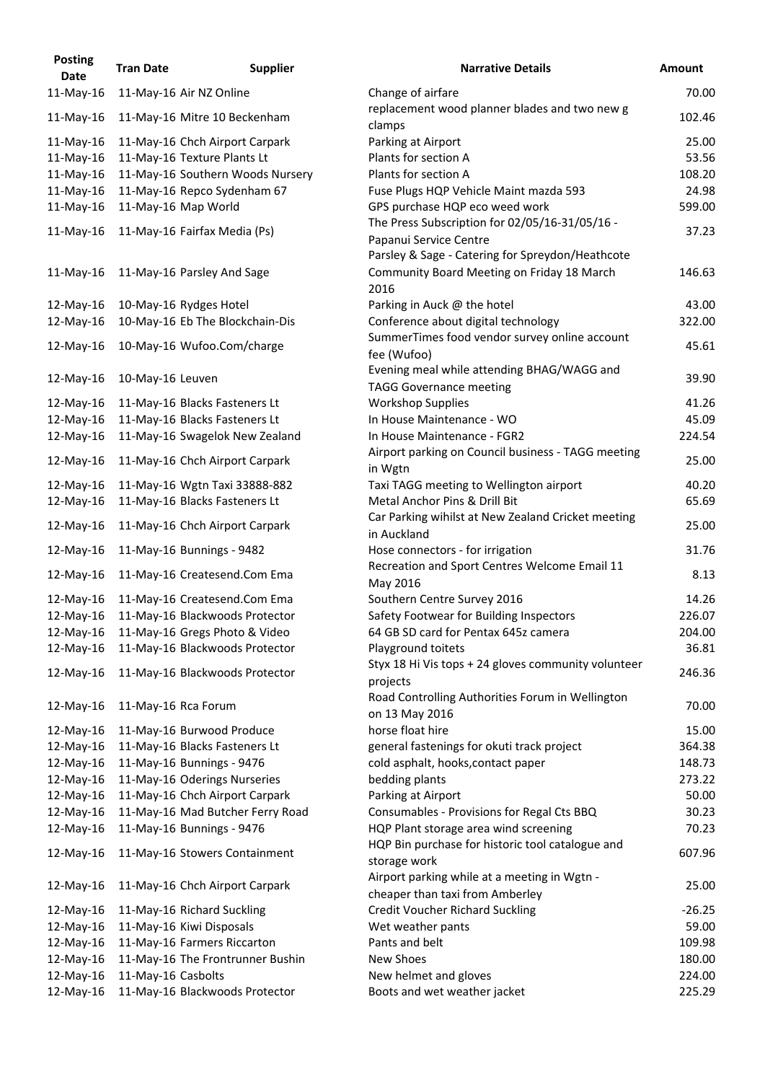| <b>Posting</b><br><b>Date</b> | <b>Tran Date</b>   | <b>Supplier</b>                  | <b>Narrative Details</b>                                                                               | <b>Amount</b> |
|-------------------------------|--------------------|----------------------------------|--------------------------------------------------------------------------------------------------------|---------------|
| $11$ -May-16                  |                    | 11-May-16 Air NZ Online          | Change of airfare                                                                                      | 70.00         |
|                               |                    |                                  | replacement wood planner blades and two new g                                                          |               |
| $11$ -May-16                  |                    | 11-May-16 Mitre 10 Beckenham     | clamps                                                                                                 | 102.46        |
| 11-May-16                     |                    | 11-May-16 Chch Airport Carpark   | Parking at Airport                                                                                     | 25.00         |
| 11-May-16                     |                    | 11-May-16 Texture Plants Lt      | Plants for section A                                                                                   | 53.56         |
| 11-May-16                     |                    | 11-May-16 Southern Woods Nursery | Plants for section A                                                                                   | 108.20        |
| $11-May-16$                   |                    | 11-May-16 Repco Sydenham 67      | Fuse Plugs HQP Vehicle Maint mazda 593                                                                 | 24.98         |
| $11$ -May-16                  |                    | 11-May-16 Map World              | GPS purchase HQP eco weed work                                                                         | 599.00        |
| 11-May-16                     |                    | 11-May-16 Fairfax Media (Ps)     | The Press Subscription for 02/05/16-31/05/16 -<br>Papanui Service Centre                               | 37.23         |
| $11$ -May-16                  |                    | 11-May-16 Parsley And Sage       | Parsley & Sage - Catering for Spreydon/Heathcote<br>Community Board Meeting on Friday 18 March<br>2016 | 146.63        |
| 12-May-16                     |                    | 10-May-16 Rydges Hotel           | Parking in Auck @ the hotel                                                                            | 43.00         |
| 12-May-16                     |                    | 10-May-16 Eb The Blockchain-Dis  | Conference about digital technology                                                                    | 322.00        |
| 12-May-16                     |                    | 10-May-16 Wufoo.Com/charge       | SummerTimes food vendor survey online account<br>fee (Wufoo)                                           | 45.61         |
| 12-May-16                     | 10-May-16 Leuven   |                                  | Evening meal while attending BHAG/WAGG and                                                             | 39.90         |
|                               |                    |                                  | <b>TAGG Governance meeting</b>                                                                         |               |
| 12-May-16                     |                    | 11-May-16 Blacks Fasteners Lt    | <b>Workshop Supplies</b>                                                                               | 41.26         |
| 12-May-16                     |                    | 11-May-16 Blacks Fasteners Lt    | In House Maintenance - WO                                                                              | 45.09         |
| 12-May-16                     |                    | 11-May-16 Swagelok New Zealand   | In House Maintenance - FGR2                                                                            | 224.54        |
| 12-May-16                     |                    | 11-May-16 Chch Airport Carpark   | Airport parking on Council business - TAGG meeting<br>in Wgtn                                          | 25.00         |
| 12-May-16                     |                    | 11-May-16 Wgtn Taxi 33888-882    | Taxi TAGG meeting to Wellington airport                                                                | 40.20         |
| 12-May-16                     |                    | 11-May-16 Blacks Fasteners Lt    | Metal Anchor Pins & Drill Bit                                                                          | 65.69         |
| 12-May-16                     |                    | 11-May-16 Chch Airport Carpark   | Car Parking wihilst at New Zealand Cricket meeting<br>in Auckland                                      | 25.00         |
| $12$ -May-16                  |                    | 11-May-16 Bunnings - 9482        | Hose connectors - for irrigation                                                                       | 31.76         |
| 12-May-16                     |                    | 11-May-16 Createsend.Com Ema     | Recreation and Sport Centres Welcome Email 11<br>May 2016                                              | 8.13          |
| 12-May-16                     |                    | 11-May-16 Createsend.Com Ema     | Southern Centre Survey 2016                                                                            | 14.26         |
| 12-May-16                     |                    | 11-May-16 Blackwoods Protector   | Safety Footwear for Building Inspectors                                                                | 226.07        |
| 12-May-16                     |                    | 11-May-16 Gregs Photo & Video    | 64 GB SD card for Pentax 645z camera                                                                   | 204.00        |
| 12-May-16                     |                    | 11-May-16 Blackwoods Protector   | Playground toitets                                                                                     | 36.81         |
| 12-May-16                     |                    | 11-May-16 Blackwoods Protector   | Styx 18 Hi Vis tops + 24 gloves community volunteer<br>projects                                        | 246.36        |
| 12-May-16                     |                    | 11-May-16 Rca Forum              | Road Controlling Authorities Forum in Wellington<br>on 13 May 2016                                     | 70.00         |
| 12-May-16                     |                    | 11-May-16 Burwood Produce        | horse float hire                                                                                       | 15.00         |
| 12-May-16                     |                    | 11-May-16 Blacks Fasteners Lt    | general fastenings for okuti track project                                                             | 364.38        |
| 12-May-16                     |                    | 11-May-16 Bunnings - 9476        | cold asphalt, hooks, contact paper                                                                     | 148.73        |
| 12-May-16                     |                    | 11-May-16 Oderings Nurseries     | bedding plants                                                                                         | 273.22        |
| 12-May-16                     |                    | 11-May-16 Chch Airport Carpark   | Parking at Airport                                                                                     | 50.00         |
| 12-May-16                     |                    | 11-May-16 Mad Butcher Ferry Road | Consumables - Provisions for Regal Cts BBQ                                                             | 30.23         |
| 12-May-16                     |                    | 11-May-16 Bunnings - 9476        | HQP Plant storage area wind screening<br>HQP Bin purchase for historic tool catalogue and              | 70.23         |
| 12-May-16                     |                    | 11-May-16 Stowers Containment    | storage work<br>Airport parking while at a meeting in Wgtn -                                           | 607.96        |
| 12-May-16                     |                    | 11-May-16 Chch Airport Carpark   | cheaper than taxi from Amberley                                                                        | 25.00         |
| 12-May-16                     |                    | 11-May-16 Richard Suckling       | <b>Credit Voucher Richard Suckling</b>                                                                 | $-26.25$      |
| 12-May-16                     |                    | 11-May-16 Kiwi Disposals         | Wet weather pants<br>Pants and belt                                                                    | 59.00         |
| 12-May-16                     |                    | 11-May-16 Farmers Riccarton      |                                                                                                        | 109.98        |
| 12-May-16                     |                    | 11-May-16 The Frontrunner Bushin | New Shoes                                                                                              | 180.00        |
| 12-May-16                     | 11-May-16 Casbolts |                                  | New helmet and gloves                                                                                  | 224.00        |
| 12-May-16                     |                    | 11-May-16 Blackwoods Protector   | Boots and wet weather jacket                                                                           | 225.29        |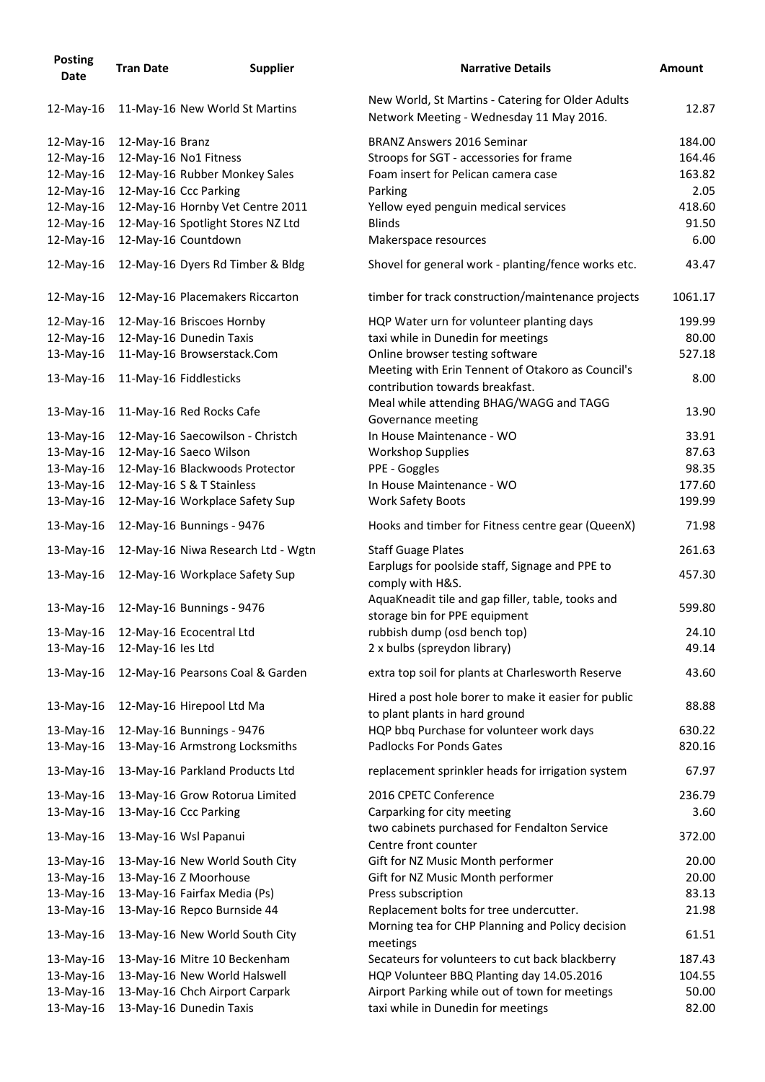| <b>Posting</b><br><b>Date</b> | <b>Tran Date</b>  | <b>Supplier</b>                    | <b>Narrative Details</b>                                                                      | <b>Amount</b> |
|-------------------------------|-------------------|------------------------------------|-----------------------------------------------------------------------------------------------|---------------|
| 12-May-16                     |                   | 11-May-16 New World St Martins     | New World, St Martins - Catering for Older Adults<br>Network Meeting - Wednesday 11 May 2016. | 12.87         |
| 12-May-16                     | 12-May-16 Branz   |                                    | <b>BRANZ Answers 2016 Seminar</b>                                                             | 184.00        |
| 12-May-16                     |                   | 12-May-16 No1 Fitness              | Stroops for SGT - accessories for frame                                                       | 164.46        |
| 12-May-16                     |                   | 12-May-16 Rubber Monkey Sales      | Foam insert for Pelican camera case                                                           | 163.82        |
| 12-May-16                     |                   | 12-May-16 Ccc Parking              | Parking                                                                                       | 2.05          |
| 12-May-16                     |                   | 12-May-16 Hornby Vet Centre 2011   | Yellow eyed penguin medical services                                                          | 418.60        |
| 12-May-16                     |                   | 12-May-16 Spotlight Stores NZ Ltd  | <b>Blinds</b>                                                                                 | 91.50         |
| 12-May-16                     |                   | 12-May-16 Countdown                | Makerspace resources                                                                          | 6.00          |
| 12-May-16                     |                   | 12-May-16 Dyers Rd Timber & Bldg   | Shovel for general work - planting/fence works etc.                                           | 43.47         |
| 12-May-16                     |                   | 12-May-16 Placemakers Riccarton    | timber for track construction/maintenance projects                                            | 1061.17       |
| 12-May-16                     |                   | 12-May-16 Briscoes Hornby          | HQP Water urn for volunteer planting days                                                     | 199.99        |
| 12-May-16                     |                   | 12-May-16 Dunedin Taxis            | taxi while in Dunedin for meetings                                                            | 80.00         |
| 13-May-16                     |                   | 11-May-16 Browserstack.Com         | Online browser testing software                                                               | 527.18        |
|                               |                   |                                    | Meeting with Erin Tennent of Otakoro as Council's                                             |               |
| 13-May-16                     |                   | 11-May-16 Fiddlesticks             | contribution towards breakfast.                                                               | 8.00          |
| 13-May-16                     |                   | 11-May-16 Red Rocks Cafe           | Meal while attending BHAG/WAGG and TAGG<br>Governance meeting                                 | 13.90         |
| 13-May-16                     |                   | 12-May-16 Saecowilson - Christch   | In House Maintenance - WO                                                                     | 33.91         |
| 13-May-16                     |                   | 12-May-16 Saeco Wilson             | <b>Workshop Supplies</b>                                                                      | 87.63         |
| 13-May-16                     |                   | 12-May-16 Blackwoods Protector     | PPE - Goggles                                                                                 | 98.35         |
| 13-May-16                     |                   | 12-May-16 S & T Stainless          | In House Maintenance - WO                                                                     | 177.60        |
| 13-May-16                     |                   | 12-May-16 Workplace Safety Sup     | <b>Work Safety Boots</b>                                                                      | 199.99        |
| 13-May-16                     |                   | 12-May-16 Bunnings - 9476          | Hooks and timber for Fitness centre gear (QueenX)                                             | 71.98         |
| 13-May-16                     |                   | 12-May-16 Niwa Research Ltd - Wgtn | <b>Staff Guage Plates</b>                                                                     | 261.63        |
| $13$ -May-16                  |                   | 12-May-16 Workplace Safety Sup     | Earplugs for poolside staff, Signage and PPE to<br>comply with H&S.                           | 457.30        |
| 13-May-16                     |                   | 12-May-16 Bunnings - 9476          | AquaKneadit tile and gap filler, table, tooks and<br>storage bin for PPE equipment            | 599.80        |
| 13-May-16                     |                   | 12-May-16 Ecocentral Ltd           | rubbish dump (osd bench top)                                                                  | 24.10         |
| 13-May-16                     | 12-May-16 les Ltd |                                    | 2 x bulbs (spreydon library)                                                                  | 49.14         |
| 13-May-16                     |                   | 12-May-16 Pearsons Coal & Garden   | extra top soil for plants at Charlesworth Reserve                                             | 43.60         |
|                               |                   |                                    | Hired a post hole borer to make it easier for public                                          |               |
| 13-May-16                     |                   | 12-May-16 Hirepool Ltd Ma          | to plant plants in hard ground                                                                | 88.88         |
| 13-May-16                     |                   | 12-May-16 Bunnings - 9476          | HQP bbq Purchase for volunteer work days                                                      | 630.22        |
| 13-May-16                     |                   | 13-May-16 Armstrong Locksmiths     | <b>Padlocks For Ponds Gates</b>                                                               | 820.16        |
| 13-May-16                     |                   | 13-May-16 Parkland Products Ltd    | replacement sprinkler heads for irrigation system                                             | 67.97         |
| 13-May-16                     |                   | 13-May-16 Grow Rotorua Limited     | 2016 CPETC Conference                                                                         | 236.79        |
| 13-May-16                     |                   | 13-May-16 Ccc Parking              | Carparking for city meeting                                                                   | 3.60          |
| 13-May-16                     |                   | 13-May-16 Wsl Papanui              | two cabinets purchased for Fendalton Service<br>Centre front counter                          | 372.00        |
| 13-May-16                     |                   | 13-May-16 New World South City     | Gift for NZ Music Month performer                                                             | 20.00         |
| 13-May-16                     |                   | 13-May-16 Z Moorhouse              | Gift for NZ Music Month performer                                                             | 20.00         |
| 13-May-16                     |                   | 13-May-16 Fairfax Media (Ps)       | Press subscription                                                                            | 83.13         |
| 13-May-16                     |                   | 13-May-16 Repco Burnside 44        | Replacement bolts for tree undercutter.                                                       | 21.98         |
| 13-May-16                     |                   | 13-May-16 New World South City     | Morning tea for CHP Planning and Policy decision<br>meetings                                  | 61.51         |
| 13-May-16                     |                   | 13-May-16 Mitre 10 Beckenham       | Secateurs for volunteers to cut back blackberry                                               | 187.43        |
| 13-May-16                     |                   | 13-May-16 New World Halswell       | HQP Volunteer BBQ Planting day 14.05.2016                                                     | 104.55        |
| 13-May-16                     |                   | 13-May-16 Chch Airport Carpark     | Airport Parking while out of town for meetings                                                | 50.00         |
| 13-May-16                     |                   | 13-May-16 Dunedin Taxis            | taxi while in Dunedin for meetings                                                            | 82.00         |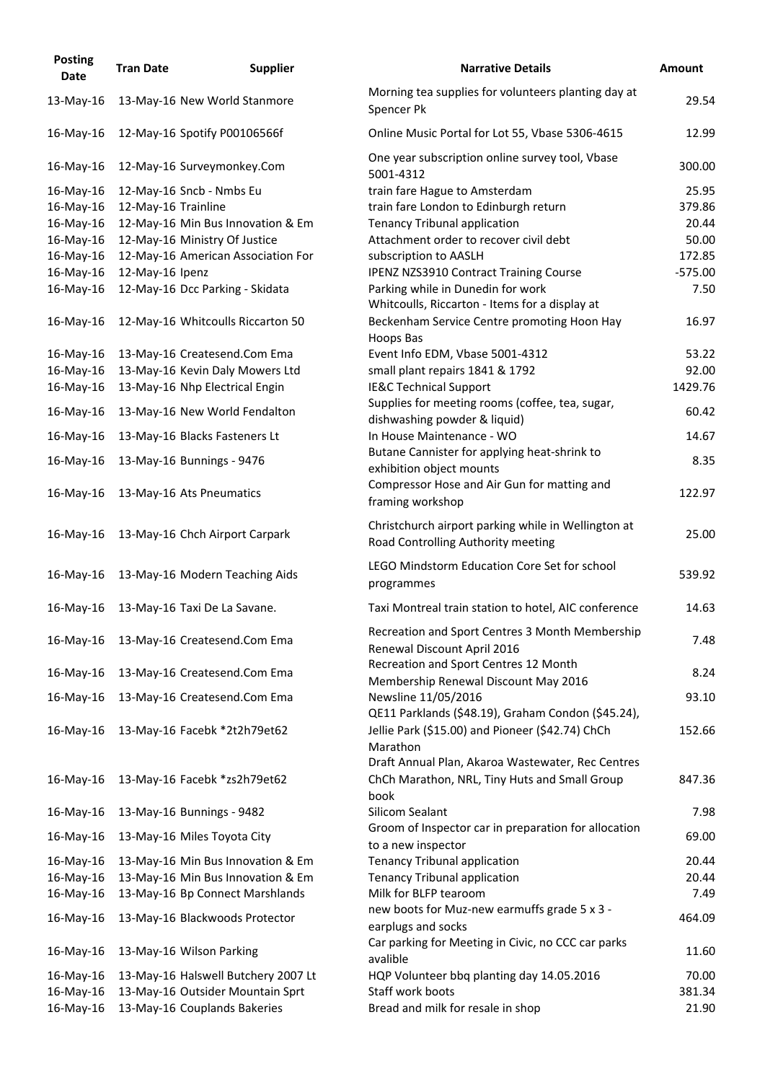| <b>Posting</b><br><b>Date</b> | <b>Tran Date</b>    | <b>Supplier</b>                          | <b>Narrative Details</b>                                                                                          | <b>Amount</b> |
|-------------------------------|---------------------|------------------------------------------|-------------------------------------------------------------------------------------------------------------------|---------------|
| 13-May-16                     |                     | 13-May-16 New World Stanmore             | Morning tea supplies for volunteers planting day at<br>Spencer Pk                                                 | 29.54         |
| 16-May-16                     |                     | 12-May-16 Spotify P00106566f             | Online Music Portal for Lot 55, Vbase 5306-4615                                                                   | 12.99         |
| 16-May-16                     |                     | 12-May-16 Surveymonkey.Com               | One year subscription online survey tool, Vbase<br>5001-4312                                                      | 300.00        |
| 16-May-16                     |                     | 12-May-16 Sncb - Nmbs Eu                 | train fare Hague to Amsterdam                                                                                     | 25.95         |
| 16-May-16                     | 12-May-16 Trainline |                                          | train fare London to Edinburgh return                                                                             | 379.86        |
| 16-May-16                     |                     | 12-May-16 Min Bus Innovation & Em        | <b>Tenancy Tribunal application</b>                                                                               | 20.44         |
| 16-May-16                     |                     | 12-May-16 Ministry Of Justice            | Attachment order to recover civil debt                                                                            | 50.00         |
| 16-May-16                     |                     | 12-May-16 American Association For       | subscription to AASLH                                                                                             | 172.85        |
| 16-May-16                     | 12-May-16 Ipenz     |                                          | <b>IPENZ NZS3910 Contract Training Course</b>                                                                     | $-575.00$     |
| 16-May-16                     |                     | 12-May-16 Dcc Parking - Skidata          | Parking while in Dunedin for work<br>Whitcoulls, Riccarton - Items for a display at                               | 7.50          |
| 16-May-16                     |                     | 12-May-16 Whitcoulls Riccarton 50        | Beckenham Service Centre promoting Hoon Hay<br>Hoops Bas                                                          | 16.97         |
| 16-May-16                     |                     | 13-May-16 Createsend.Com Ema             | Event Info EDM, Vbase 5001-4312                                                                                   | 53.22         |
| 16-May-16                     |                     | 13-May-16 Kevin Daly Mowers Ltd          | small plant repairs 1841 & 1792                                                                                   | 92.00         |
| 16-May-16                     |                     | 13-May-16 Nhp Electrical Engin           | IE&C Technical Support                                                                                            | 1429.76       |
| 16-May-16                     |                     | 13-May-16 New World Fendalton            | Supplies for meeting rooms (coffee, tea, sugar,<br>dishwashing powder & liquid)                                   | 60.42         |
| 16-May-16                     |                     | 13-May-16 Blacks Fasteners Lt            | In House Maintenance - WO                                                                                         | 14.67         |
| 16-May-16                     |                     | 13-May-16 Bunnings - 9476                | Butane Cannister for applying heat-shrink to<br>exhibition object mounts                                          | 8.35          |
| 16-May-16                     |                     | 13-May-16 Ats Pneumatics                 | Compressor Hose and Air Gun for matting and<br>framing workshop                                                   | 122.97        |
|                               |                     | 16-May-16 13-May-16 Chch Airport Carpark | Christchurch airport parking while in Wellington at<br>Road Controlling Authority meeting                         | 25.00         |
| 16-May-16                     |                     | 13-May-16 Modern Teaching Aids           | LEGO Mindstorm Education Core Set for school<br>programmes                                                        | 539.92        |
| 16-May-16                     |                     | 13-May-16 Taxi De La Savane.             | Taxi Montreal train station to hotel, AIC conference                                                              | 14.63         |
| 16-May-16                     |                     | 13-May-16 Createsend.Com Ema             | Recreation and Sport Centres 3 Month Membership<br>Renewal Discount April 2016                                    | 7.48          |
| 16-May-16                     |                     | 13-May-16 Createsend.Com Ema             | Recreation and Sport Centres 12 Month<br>Membership Renewal Discount May 2016                                     | 8.24          |
| 16-May-16                     |                     | 13-May-16 Createsend.Com Ema             | Newsline 11/05/2016<br>QE11 Parklands (\$48.19), Graham Condon (\$45.24),                                         | 93.10         |
| 16-May-16                     |                     | 13-May-16 Facebk *2t2h79et62             | Jellie Park (\$15.00) and Pioneer (\$42.74) ChCh<br>Marathon<br>Draft Annual Plan, Akaroa Wastewater, Rec Centres | 152.66        |
| $16$ -May- $16$               |                     | 13-May-16 Facebk *zs2h79et62             | ChCh Marathon, NRL, Tiny Huts and Small Group<br>book                                                             | 847.36        |
| 16-May-16                     |                     | 13-May-16 Bunnings - 9482                | Silicom Sealant                                                                                                   | 7.98          |
| 16-May-16                     |                     | 13-May-16 Miles Toyota City              | Groom of Inspector car in preparation for allocation<br>to a new inspector                                        | 69.00         |
| 16-May-16                     |                     | 13-May-16 Min Bus Innovation & Em        | <b>Tenancy Tribunal application</b>                                                                               | 20.44         |
| 16-May-16                     |                     | 13-May-16 Min Bus Innovation & Em        | <b>Tenancy Tribunal application</b>                                                                               | 20.44         |
| 16-May-16                     |                     | 13-May-16 Bp Connect Marshlands          | Milk for BLFP tearoom                                                                                             | 7.49          |
| 16-May-16                     |                     | 13-May-16 Blackwoods Protector           | new boots for Muz-new earmuffs grade 5 x 3 -<br>earplugs and socks                                                | 464.09        |
| 16-May-16                     |                     | 13-May-16 Wilson Parking                 | Car parking for Meeting in Civic, no CCC car parks<br>avalible                                                    | 11.60         |
| 16-May-16                     |                     | 13-May-16 Halswell Butchery 2007 Lt      | HQP Volunteer bbq planting day 14.05.2016                                                                         | 70.00         |
| 16-May-16                     |                     | 13-May-16 Outsider Mountain Sprt         | Staff work boots                                                                                                  | 381.34        |
| 16-May-16                     |                     | 13-May-16 Couplands Bakeries             | Bread and milk for resale in shop                                                                                 | 21.90         |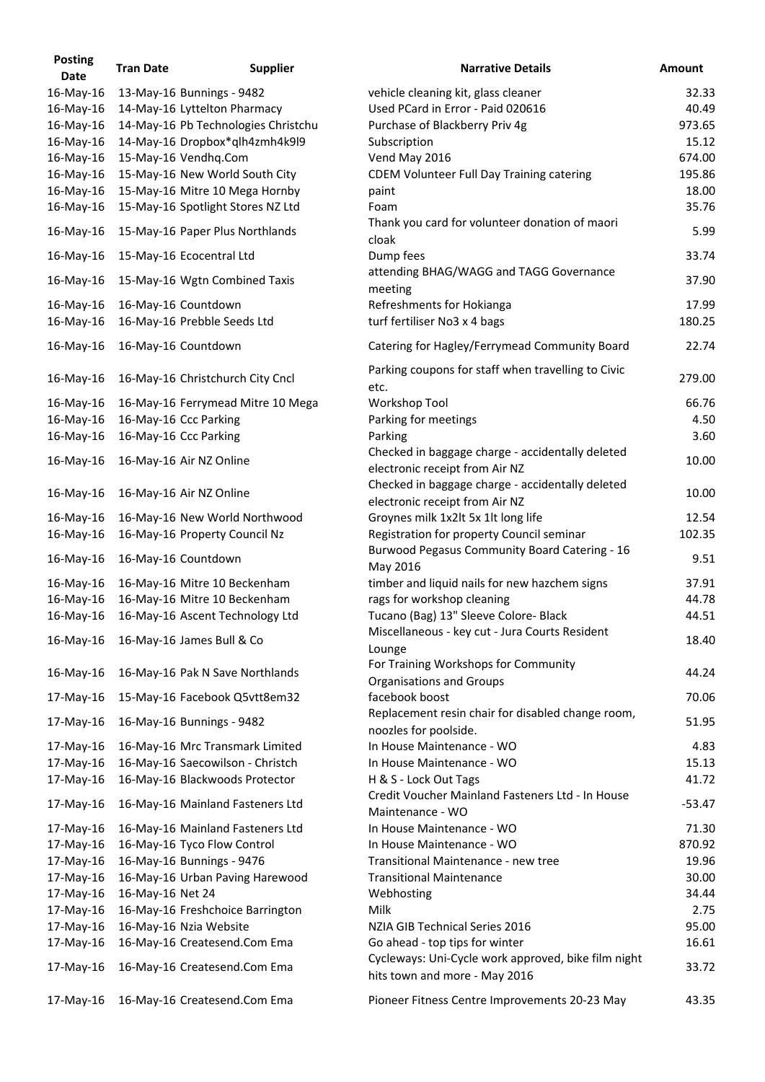| <b>Posting</b><br><b>Date</b> | <b>Tran Date</b> | <b>Supplier</b>                         | <b>Narrative Details</b>                                                             | <b>Amount</b> |
|-------------------------------|------------------|-----------------------------------------|--------------------------------------------------------------------------------------|---------------|
| 16-May-16                     |                  | 13-May-16 Bunnings - 9482               | vehicle cleaning kit, glass cleaner                                                  | 32.33         |
| 16-May-16                     |                  | 14-May-16 Lyttelton Pharmacy            | Used PCard in Error - Paid 020616                                                    | 40.49         |
| 16-May-16                     |                  | 14-May-16 Pb Technologies Christchu     | Purchase of Blackberry Priv 4g                                                       | 973.65        |
| 16-May-16                     |                  | 14-May-16 Dropbox*qlh4zmh4k9l9          | Subscription                                                                         | 15.12         |
| 16-May-16                     |                  | 15-May-16 Vendhq.Com                    | Vend May 2016                                                                        | 674.00        |
| 16-May-16                     |                  | 15-May-16 New World South City          | <b>CDEM Volunteer Full Day Training catering</b>                                     | 195.86        |
| 16-May-16                     |                  | 15-May-16 Mitre 10 Mega Hornby          | paint                                                                                | 18.00         |
| 16-May-16                     |                  | 15-May-16 Spotlight Stores NZ Ltd       | Foam                                                                                 | 35.76         |
| 16-May-16                     |                  | 15-May-16 Paper Plus Northlands         | Thank you card for volunteer donation of maori<br>cloak                              | 5.99          |
| 16-May-16                     |                  | 15-May-16 Ecocentral Ltd                | Dump fees                                                                            | 33.74         |
| 16-May-16                     |                  | 15-May-16 Wgtn Combined Taxis           | attending BHAG/WAGG and TAGG Governance<br>meeting                                   | 37.90         |
| 16-May-16                     |                  | 16-May-16 Countdown                     | Refreshments for Hokianga                                                            | 17.99         |
| 16-May-16                     |                  | 16-May-16 Prebble Seeds Ltd             | turf fertiliser No3 x 4 bags                                                         | 180.25        |
| 16-May-16                     |                  | 16-May-16 Countdown                     | Catering for Hagley/Ferrymead Community Board                                        | 22.74         |
| 16-May-16                     |                  | 16-May-16 Christchurch City Cncl        | Parking coupons for staff when travelling to Civic<br>etc.                           | 279.00        |
| 16-May-16                     |                  | 16-May-16 Ferrymead Mitre 10 Mega       | <b>Workshop Tool</b>                                                                 | 66.76         |
| 16-May-16                     |                  | 16-May-16 Ccc Parking                   | Parking for meetings                                                                 | 4.50          |
| 16-May-16                     |                  | 16-May-16 Ccc Parking                   | Parking                                                                              | 3.60          |
| 16-May-16                     |                  | 16-May-16 Air NZ Online                 | Checked in baggage charge - accidentally deleted<br>electronic receipt from Air NZ   | 10.00         |
| 16-May-16                     |                  | 16-May-16 Air NZ Online                 | Checked in baggage charge - accidentally deleted<br>electronic receipt from Air NZ   | 10.00         |
| 16-May-16                     |                  | 16-May-16 New World Northwood           | Groynes milk 1x2lt 5x 1lt long life                                                  | 12.54         |
|                               |                  | 16-May-16 16-May-16 Property Council Nz | Registration for property Council seminar                                            | 102.35        |
| 16-May-16                     |                  | 16-May-16 Countdown                     | Burwood Pegasus Community Board Catering - 16                                        | 9.51          |
|                               |                  |                                         | May 2016                                                                             |               |
| 16-May-16                     |                  | 16-May-16 Mitre 10 Beckenham            | timber and liquid nails for new hazchem signs                                        | 37.91         |
| 16-May-16                     |                  | 16-May-16 Mitre 10 Beckenham            | rags for workshop cleaning                                                           | 44.78         |
| 16-May-16                     |                  | 16-May-16 Ascent Technology Ltd         | Tucano (Bag) 13" Sleeve Colore- Black                                                | 44.51         |
| 16-May-16                     |                  | 16-May-16 James Bull & Co               | Miscellaneous - key cut - Jura Courts Resident<br>Lounge                             | 18.40         |
| 16-May-16                     |                  | 16-May-16 Pak N Save Northlands         | For Training Workshops for Community<br><b>Organisations and Groups</b>              | 44.24         |
| 17-May-16                     |                  | 15-May-16 Facebook Q5vtt8em32           | facebook boost                                                                       | 70.06         |
| 17-May-16                     |                  | 16-May-16 Bunnings - 9482               | Replacement resin chair for disabled change room,<br>noozles for poolside.           | 51.95         |
| 17-May-16                     |                  | 16-May-16 Mrc Transmark Limited         | In House Maintenance - WO                                                            | 4.83          |
| 17-May-16                     |                  | 16-May-16 Saecowilson - Christch        | In House Maintenance - WO                                                            | 15.13         |
| 17-May-16                     |                  | 16-May-16 Blackwoods Protector          | H & S - Lock Out Tags                                                                | 41.72         |
| 17-May-16                     |                  | 16-May-16 Mainland Fasteners Ltd        | Credit Voucher Mainland Fasteners Ltd - In House<br>Maintenance - WO                 | $-53.47$      |
| 17-May-16                     |                  | 16-May-16 Mainland Fasteners Ltd        | In House Maintenance - WO                                                            | 71.30         |
| 17-May-16                     |                  | 16-May-16 Tyco Flow Control             | In House Maintenance - WO                                                            | 870.92        |
| 17-May-16                     |                  | 16-May-16 Bunnings - 9476               | Transitional Maintenance - new tree                                                  | 19.96         |
| 17-May-16                     |                  | 16-May-16 Urban Paving Harewood         | <b>Transitional Maintenance</b>                                                      | 30.00         |
| 17-May-16                     | 16-May-16 Net 24 |                                         | Webhosting                                                                           | 34.44         |
| 17-May-16                     |                  | 16-May-16 Freshchoice Barrington        | <b>Milk</b>                                                                          | 2.75          |
| 17-May-16                     |                  | 16-May-16 Nzia Website                  | NZIA GIB Technical Series 2016                                                       | 95.00         |
| 17-May-16                     |                  | 16-May-16 Createsend.Com Ema            | Go ahead - top tips for winter                                                       | 16.61         |
| 17-May-16                     |                  | 16-May-16 Createsend.Com Ema            | Cycleways: Uni-Cycle work approved, bike film night<br>hits town and more - May 2016 | 33.72         |
| 17-May-16                     |                  | 16-May-16 Createsend.Com Ema            | Pioneer Fitness Centre Improvements 20-23 May                                        | 43.35         |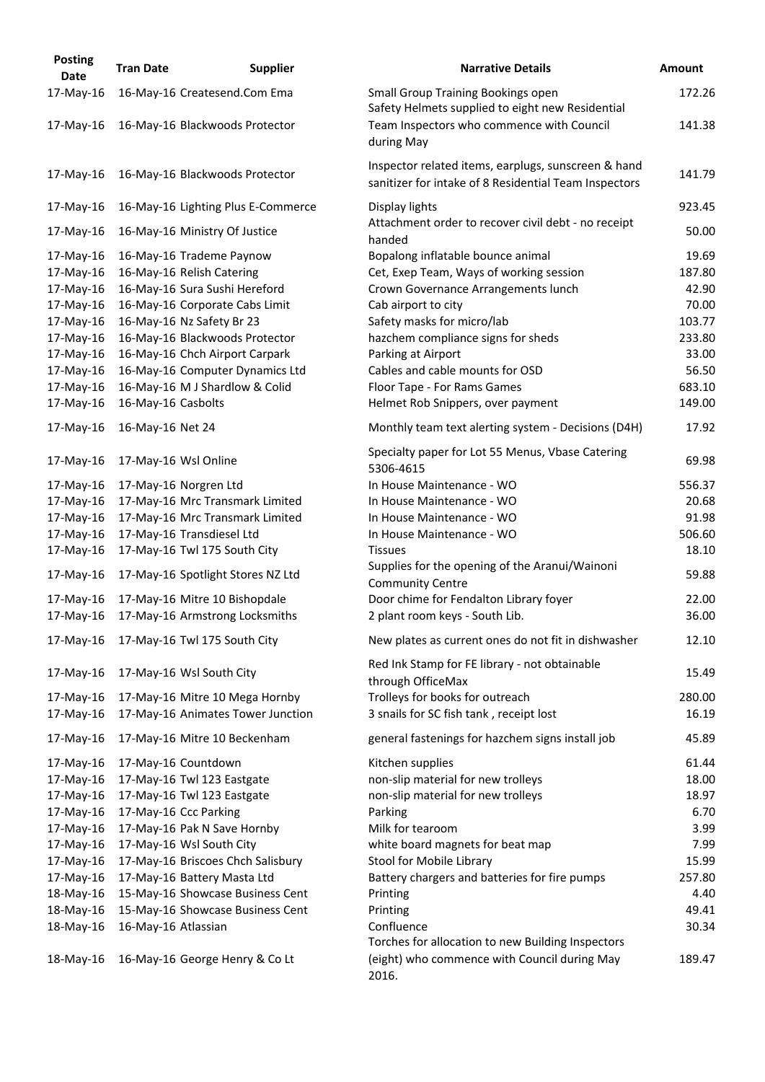| <b>Posting</b><br><b>Date</b> | <b>Tran Date</b>     | <b>Supplier</b>                    | <b>Narrative Details</b>                                                                                     | <b>Amount</b> |
|-------------------------------|----------------------|------------------------------------|--------------------------------------------------------------------------------------------------------------|---------------|
| 17-May-16                     |                      | 16-May-16 Createsend.Com Ema       | <b>Small Group Training Bookings open</b><br>Safety Helmets supplied to eight new Residential                | 172.26        |
| $17$ -May-16                  |                      | 16-May-16 Blackwoods Protector     | Team Inspectors who commence with Council<br>during May                                                      | 141.38        |
| 17-May-16                     |                      | 16-May-16 Blackwoods Protector     | Inspector related items, earplugs, sunscreen & hand<br>sanitizer for intake of 8 Residential Team Inspectors | 141.79        |
| 17-May-16                     |                      | 16-May-16 Lighting Plus E-Commerce | Display lights                                                                                               | 923.45        |
| 17-May-16                     |                      | 16-May-16 Ministry Of Justice      | Attachment order to recover civil debt - no receipt<br>handed                                                | 50.00         |
| 17-May-16                     |                      | 16-May-16 Trademe Paynow           | Bopalong inflatable bounce animal                                                                            | 19.69         |
| 17-May-16                     |                      | 16-May-16 Relish Catering          | Cet, Exep Team, Ways of working session                                                                      | 187.80        |
| 17-May-16                     |                      | 16-May-16 Sura Sushi Hereford      | Crown Governance Arrangements lunch                                                                          | 42.90         |
| 17-May-16                     |                      | 16-May-16 Corporate Cabs Limit     | Cab airport to city                                                                                          | 70.00         |
| 17-May-16                     |                      | 16-May-16 Nz Safety Br 23          | Safety masks for micro/lab                                                                                   | 103.77        |
| 17-May-16                     |                      | 16-May-16 Blackwoods Protector     | hazchem compliance signs for sheds                                                                           | 233.80        |
| 17-May-16                     |                      | 16-May-16 Chch Airport Carpark     | Parking at Airport                                                                                           | 33.00         |
| 17-May-16                     |                      | 16-May-16 Computer Dynamics Ltd    | Cables and cable mounts for OSD                                                                              | 56.50         |
| 17-May-16                     |                      | 16-May-16 M J Shardlow & Colid     | Floor Tape - For Rams Games                                                                                  | 683.10        |
| 17-May-16                     | 16-May-16 Casbolts   |                                    | Helmet Rob Snippers, over payment                                                                            | 149.00        |
| 17-May-16                     | 16-May-16 Net 24     |                                    | Monthly team text alerting system - Decisions (D4H)                                                          | 17.92         |
| 17-May-16                     | 17-May-16 Wsl Online |                                    | Specialty paper for Lot 55 Menus, Vbase Catering<br>5306-4615                                                | 69.98         |
| 17-May-16                     |                      | 17-May-16 Norgren Ltd              | In House Maintenance - WO                                                                                    | 556.37        |
| 17-May-16                     |                      | 17-May-16 Mrc Transmark Limited    | In House Maintenance - WO                                                                                    | 20.68         |
| 17-May-16                     |                      | 17-May-16 Mrc Transmark Limited    | In House Maintenance - WO                                                                                    | 91.98         |
| 17-May-16                     |                      | 17-May-16 Transdiesel Ltd          | In House Maintenance - WO                                                                                    | 506.60        |
| 17-May-16                     |                      | 17-May-16 Twl 175 South City       | <b>Tissues</b>                                                                                               | 18.10         |
| 17-May-16                     |                      | 17-May-16 Spotlight Stores NZ Ltd  | Supplies for the opening of the Aranui/Wainoni<br><b>Community Centre</b>                                    | 59.88         |
| 17-May-16                     |                      | 17-May-16 Mitre 10 Bishopdale      | Door chime for Fendalton Library foyer                                                                       | 22.00         |
| 17-May-16                     |                      | 17-May-16 Armstrong Locksmiths     | 2 plant room keys - South Lib.                                                                               | 36.00         |
| 17-May-16                     |                      | 17-May-16 Twl 175 South City       | New plates as current ones do not fit in dishwasher                                                          | 12.10         |
| 17-May-16                     |                      | 17-May-16 Wsl South City           | Red Ink Stamp for FE library - not obtainable<br>through OfficeMax                                           | 15.49         |
| 17-May-16                     |                      | 17-May-16 Mitre 10 Mega Hornby     | Trolleys for books for outreach                                                                              | 280.00        |
| 17-May-16                     |                      | 17-May-16 Animates Tower Junction  | 3 snails for SC fish tank, receipt lost                                                                      | 16.19         |
| 17-May-16                     |                      | 17-May-16 Mitre 10 Beckenham       | general fastenings for hazchem signs install job                                                             | 45.89         |
| 17-May-16                     | 17-May-16 Countdown  |                                    | Kitchen supplies                                                                                             | 61.44         |
| 17-May-16                     |                      | 17-May-16 Twl 123 Eastgate         | non-slip material for new trolleys                                                                           | 18.00         |
| 17-May-16                     |                      | 17-May-16 Twl 123 Eastgate         | non-slip material for new trolleys                                                                           | 18.97         |
| 17-May-16                     |                      | 17-May-16 Ccc Parking              | Parking                                                                                                      | 6.70          |
| 17-May-16                     |                      | 17-May-16 Pak N Save Hornby        | Milk for tearoom                                                                                             | 3.99          |
| 17-May-16                     |                      | 17-May-16 Wsl South City           | white board magnets for beat map                                                                             | 7.99          |
| 17-May-16                     |                      | 17-May-16 Briscoes Chch Salisbury  | Stool for Mobile Library                                                                                     | 15.99         |
| 17-May-16                     |                      | 17-May-16 Battery Masta Ltd        | Battery chargers and batteries for fire pumps                                                                | 257.80        |
| 18-May-16                     |                      | 15-May-16 Showcase Business Cent   | Printing                                                                                                     | 4.40          |
| 18-May-16                     |                      | 15-May-16 Showcase Business Cent   | Printing                                                                                                     | 49.41         |
| 18-May-16                     | 16-May-16 Atlassian  |                                    | Confluence                                                                                                   | 30.34         |
| 18-May-16                     |                      | 16-May-16 George Henry & Co Lt     | Torches for allocation to new Building Inspectors<br>(eight) who commence with Council during May<br>2016.   | 189.47        |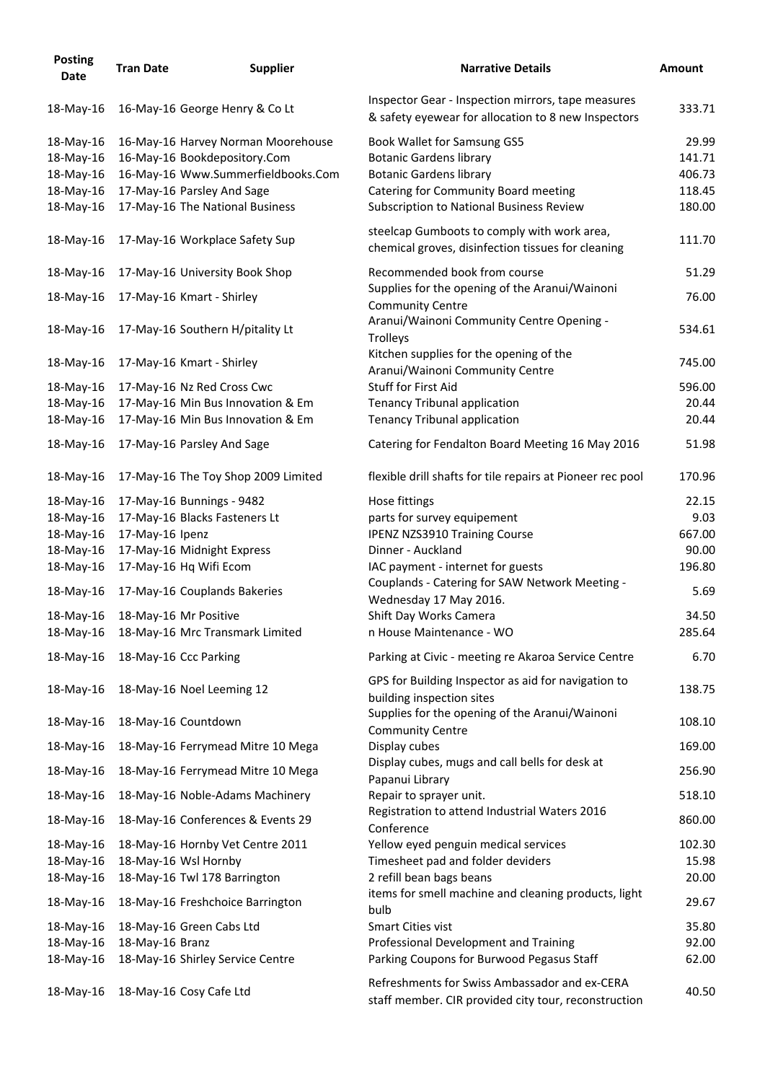| <b>Posting</b><br><b>Date</b> | <b>Tran Date</b>      | <b>Supplier</b>                     | <b>Narrative Details</b>                                                                                  | <b>Amount</b> |
|-------------------------------|-----------------------|-------------------------------------|-----------------------------------------------------------------------------------------------------------|---------------|
| 18-May-16                     |                       | 16-May-16 George Henry & Co Lt      | Inspector Gear - Inspection mirrors, tape measures<br>& safety eyewear for allocation to 8 new Inspectors | 333.71        |
| 18-May-16                     |                       | 16-May-16 Harvey Norman Moorehouse  | Book Wallet for Samsung GS5                                                                               | 29.99         |
| 18-May-16                     |                       | 16-May-16 Bookdepository.Com        | <b>Botanic Gardens library</b>                                                                            | 141.71        |
| 18-May-16                     |                       | 16-May-16 Www.Summerfieldbooks.Com  | <b>Botanic Gardens library</b>                                                                            | 406.73        |
| 18-May-16                     |                       | 17-May-16 Parsley And Sage          | Catering for Community Board meeting                                                                      | 118.45        |
| 18-May-16                     |                       | 17-May-16 The National Business     | <b>Subscription to National Business Review</b>                                                           | 180.00        |
| 18-May-16                     |                       | 17-May-16 Workplace Safety Sup      | steelcap Gumboots to comply with work area,<br>chemical groves, disinfection tissues for cleaning         | 111.70        |
| 18-May-16                     |                       | 17-May-16 University Book Shop      | Recommended book from course                                                                              | 51.29         |
| 18-May-16                     |                       | 17-May-16 Kmart - Shirley           | Supplies for the opening of the Aranui/Wainoni<br><b>Community Centre</b>                                 | 76.00         |
| 18-May-16                     |                       | 17-May-16 Southern H/pitality Lt    | Aranui/Wainoni Community Centre Opening -<br>Trolleys                                                     | 534.61        |
| 18-May-16                     |                       | 17-May-16 Kmart - Shirley           | Kitchen supplies for the opening of the<br>Aranui/Wainoni Community Centre                                | 745.00        |
| 18-May-16                     |                       | 17-May-16 Nz Red Cross Cwc          | <b>Stuff for First Aid</b>                                                                                | 596.00        |
| 18-May-16                     |                       | 17-May-16 Min Bus Innovation & Em   | <b>Tenancy Tribunal application</b>                                                                       | 20.44         |
| 18-May-16                     |                       | 17-May-16 Min Bus Innovation & Em   | <b>Tenancy Tribunal application</b>                                                                       | 20.44         |
| 18-May-16                     |                       | 17-May-16 Parsley And Sage          | Catering for Fendalton Board Meeting 16 May 2016                                                          | 51.98         |
| 18-May-16                     |                       | 17-May-16 The Toy Shop 2009 Limited | flexible drill shafts for tile repairs at Pioneer rec pool                                                | 170.96        |
| 18-May-16                     |                       | 17-May-16 Bunnings - 9482           | Hose fittings                                                                                             | 22.15         |
| 18-May-16                     |                       | 17-May-16 Blacks Fasteners Lt       | parts for survey equipement                                                                               | 9.03          |
| 18-May-16                     | 17-May-16 Ipenz       |                                     | <b>IPENZ NZS3910 Training Course</b>                                                                      | 667.00        |
| 18-May-16                     |                       | 17-May-16 Midnight Express          | Dinner - Auckland                                                                                         | 90.00         |
| 18-May-16                     |                       | 17-May-16 Hq Wifi Ecom              | IAC payment - internet for guests                                                                         | 196.80        |
| 18-May-16                     |                       | 17-May-16 Couplands Bakeries        | Couplands - Catering for SAW Network Meeting -<br>Wednesday 17 May 2016.                                  | 5.69          |
| 18-May-16                     | 18-May-16 Mr Positive |                                     | Shift Day Works Camera                                                                                    | 34.50         |
| 18-May-16                     |                       | 18-May-16 Mrc Transmark Limited     | n House Maintenance - WO                                                                                  | 285.64        |
|                               |                       |                                     |                                                                                                           |               |
| 18-May-16                     | 18-May-16 Ccc Parking |                                     | Parking at Civic - meeting re Akaroa Service Centre                                                       | 6.70          |
| 18-May-16                     |                       | 18-May-16 Noel Leeming 12           | GPS for Building Inspector as aid for navigation to<br>building inspection sites                          | 138.75        |
| 18-May-16                     | 18-May-16 Countdown   |                                     | Supplies for the opening of the Aranui/Wainoni<br><b>Community Centre</b>                                 | 108.10        |
| 18-May-16                     |                       | 18-May-16 Ferrymead Mitre 10 Mega   | Display cubes                                                                                             | 169.00        |
| 18-May-16                     |                       | 18-May-16 Ferrymead Mitre 10 Mega   | Display cubes, mugs and call bells for desk at<br>Papanui Library                                         | 256.90        |
| 18-May-16                     |                       | 18-May-16 Noble-Adams Machinery     | Repair to sprayer unit.<br>Registration to attend Industrial Waters 2016                                  | 518.10        |
| 18-May-16                     |                       | 18-May-16 Conferences & Events 29   | Conference                                                                                                | 860.00        |
| 18-May-16                     |                       | 18-May-16 Hornby Vet Centre 2011    | Yellow eyed penguin medical services                                                                      | 102.30        |
| 18-May-16                     | 18-May-16 Wsl Hornby  |                                     | Timesheet pad and folder deviders                                                                         | 15.98         |
| 18-May-16                     |                       | 18-May-16 Twl 178 Barrington        | 2 refill bean bags beans                                                                                  | 20.00         |
| 18-May-16                     |                       | 18-May-16 Freshchoice Barrington    | items for smell machine and cleaning products, light<br>bulb                                              | 29.67         |
| 18-May-16                     |                       | 18-May-16 Green Cabs Ltd            | <b>Smart Cities vist</b>                                                                                  | 35.80         |
| 18-May-16                     | 18-May-16 Branz       |                                     | Professional Development and Training                                                                     | 92.00         |
| 18-May-16                     |                       | 18-May-16 Shirley Service Centre    | Parking Coupons for Burwood Pegasus Staff                                                                 | 62.00         |
| 18-May-16                     |                       | 18-May-16 Cosy Cafe Ltd             | Refreshments for Swiss Ambassador and ex-CERA<br>staff member. CIR provided city tour, reconstruction     | 40.50         |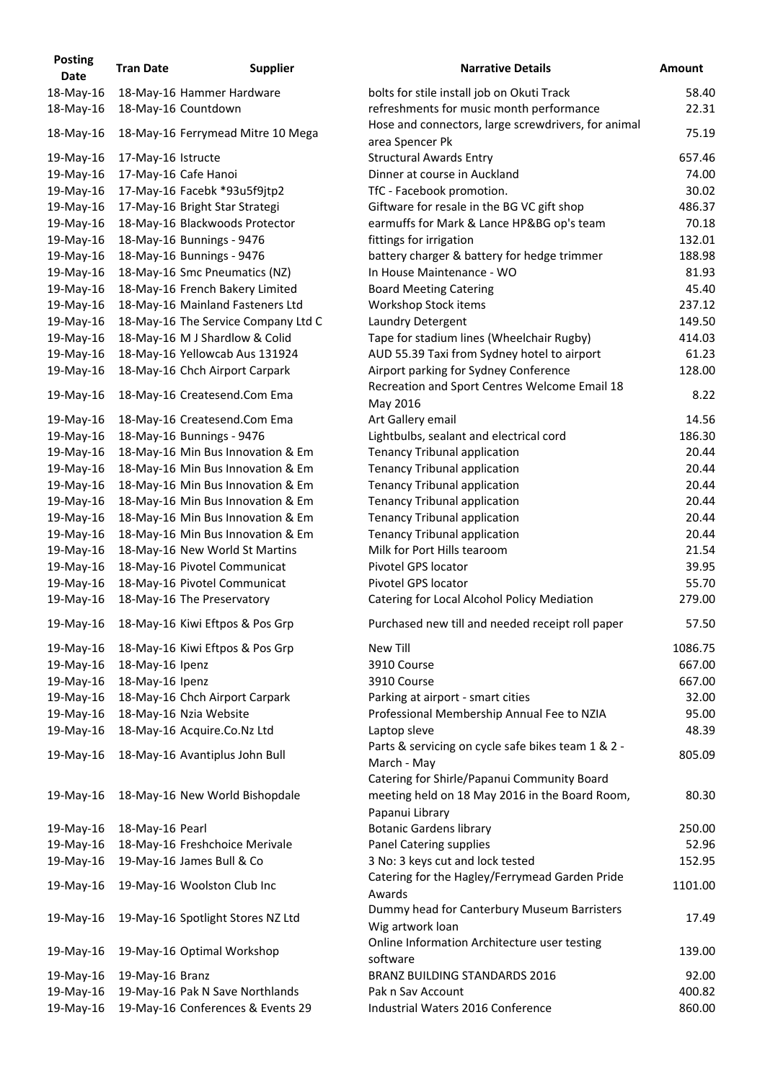| <b>Posting</b><br>Date | <b>Tran Date</b>   | <b>Supplier</b>                     | <b>Narrative Details</b>                                                                      |
|------------------------|--------------------|-------------------------------------|-----------------------------------------------------------------------------------------------|
| 18-May-16              |                    | 18-May-16 Hammer Hardware           | bolts for stile install job on Okuti Track                                                    |
| 18-May-16              |                    | 18-May-16 Countdown                 | refreshments for music month performance                                                      |
|                        |                    |                                     | Hose and connectors, large screwdrivers, for animal                                           |
| 18-May-16              |                    | 18-May-16 Ferrymead Mitre 10 Mega   | area Spencer Pk                                                                               |
| 19-May-16              | 17-May-16 Istructe |                                     | <b>Structural Awards Entry</b>                                                                |
| 19-May-16              |                    | 17-May-16 Cafe Hanoi                | Dinner at course in Auckland                                                                  |
| 19-May-16              |                    | 17-May-16 Facebk *93u5f9jtp2        | TfC - Facebook promotion.                                                                     |
| 19-May-16              |                    | 17-May-16 Bright Star Strategi      | Giftware for resale in the BG VC gift shop                                                    |
| 19-May-16              |                    | 18-May-16 Blackwoods Protector      | earmuffs for Mark & Lance HP&BG op's team                                                     |
| 19-May-16              |                    | 18-May-16 Bunnings - 9476           | fittings for irrigation                                                                       |
| 19-May-16              |                    | 18-May-16 Bunnings - 9476           | battery charger & battery for hedge trimmer                                                   |
| 19-May-16              |                    | 18-May-16 Smc Pneumatics (NZ)       | In House Maintenance - WO                                                                     |
| 19-May-16              |                    | 18-May-16 French Bakery Limited     | <b>Board Meeting Catering</b>                                                                 |
| 19-May-16              |                    | 18-May-16 Mainland Fasteners Ltd    | Workshop Stock items                                                                          |
| 19-May-16              |                    | 18-May-16 The Service Company Ltd C | Laundry Detergent                                                                             |
| 19-May-16              |                    | 18-May-16 M J Shardlow & Colid      | Tape for stadium lines (Wheelchair Rugby)                                                     |
| 19-May-16              |                    | 18-May-16 Yellowcab Aus 131924      | AUD 55.39 Taxi from Sydney hotel to airport                                                   |
| 19-May-16              |                    | 18-May-16 Chch Airport Carpark      | Airport parking for Sydney Conference                                                         |
|                        |                    |                                     | Recreation and Sport Centres Welcome Email 18                                                 |
| 19-May-16              |                    | 18-May-16 Createsend.Com Ema        | May 2016                                                                                      |
| 19-May-16              |                    | 18-May-16 Createsend.Com Ema        | Art Gallery email                                                                             |
| 19-May-16              |                    | 18-May-16 Bunnings - 9476           | Lightbulbs, sealant and electrical cord                                                       |
| 19-May-16              |                    | 18-May-16 Min Bus Innovation & Em   | <b>Tenancy Tribunal application</b>                                                           |
| 19-May-16              |                    | 18-May-16 Min Bus Innovation & Em   | <b>Tenancy Tribunal application</b>                                                           |
| 19-May-16              |                    | 18-May-16 Min Bus Innovation & Em   | <b>Tenancy Tribunal application</b>                                                           |
| 19-May-16              |                    | 18-May-16 Min Bus Innovation & Em   | <b>Tenancy Tribunal application</b>                                                           |
| 19-May-16              |                    | 18-May-16 Min Bus Innovation & Em   | <b>Tenancy Tribunal application</b>                                                           |
| 19-May-16              |                    | 18-May-16 Min Bus Innovation & Em   | <b>Tenancy Tribunal application</b>                                                           |
| 19-May-16              |                    | 18-May-16 New World St Martins      | Milk for Port Hills tearoom                                                                   |
| 19-May-16              |                    | 18-May-16 Pivotel Communicat        | Pivotel GPS locator                                                                           |
| 19-May-16              |                    | 18-May-16 Pivotel Communicat        | <b>Pivotel GPS locator</b>                                                                    |
| 19-May-16              |                    | 18-May-16 The Preservatory          | Catering for Local Alcohol Policy Mediation                                                   |
| 19-May-16              |                    | 18-May-16 Kiwi Eftpos & Pos Grp     | Purchased new till and needed receipt roll paper                                              |
| 19-May-16              |                    | 18-May-16 Kiwi Eftpos & Pos Grp     | <b>New Till</b>                                                                               |
| 19-May-16              | 18-May-16 Ipenz    |                                     | 3910 Course                                                                                   |
| 19-May-16              | 18-May-16 Ipenz    |                                     | 3910 Course                                                                                   |
| 19-May-16              |                    | 18-May-16 Chch Airport Carpark      | Parking at airport - smart cities                                                             |
| 19-May-16              |                    | 18-May-16 Nzia Website              | Professional Membership Annual Fee to NZIA                                                    |
| 19-May-16              |                    | 18-May-16 Acquire.Co.Nz Ltd         | Laptop sleve                                                                                  |
| 19-May-16              |                    | 18-May-16 Avantiplus John Bull      | Parts & servicing on cycle safe bikes team 1 & 2 -<br>March - May                             |
| 19-May-16              |                    | 18-May-16 New World Bishopdale      | Catering for Shirle/Papanui Community Board<br>meeting held on 18 May 2016 in the Board Room, |
|                        |                    |                                     | Papanui Library                                                                               |
| 19-May-16              | 18-May-16 Pearl    |                                     | <b>Botanic Gardens library</b>                                                                |
| 19-May-16              |                    | 18-May-16 Freshchoice Merivale      | Panel Catering supplies                                                                       |
| 19-May-16              |                    | 19-May-16 James Bull & Co           | 3 No: 3 keys cut and lock tested                                                              |
| 19-May-16              |                    | 19-May-16 Woolston Club Inc         | Catering for the Hagley/Ferrymead Garden Pride<br>Awards                                      |
| 19-May-16              |                    | 19-May-16 Spotlight Stores NZ Ltd   | Dummy head for Canterbury Museum Barristers<br>Wig artwork loan                               |
| 19-May-16              |                    | 19-May-16 Optimal Workshop          | Online Information Architecture user testing<br>software                                      |
| 19-May-16              | 19-May-16 Branz    |                                     | <b>BRANZ BUILDING STANDARDS 2016</b>                                                          |
| 19-May-16              |                    | 19-May-16 Pak N Save Northlands     | Pak n Sav Account                                                                             |
| 19-May-16              |                    | 19-May-16 Conferences & Events 29   | Industrial Waters 2016 Conference                                                             |

| <b>Date</b> | <b>Tran Date</b>   | <b>Supplier</b>                     | <b>Narrative Details</b>                                          | <b>Amount</b> |
|-------------|--------------------|-------------------------------------|-------------------------------------------------------------------|---------------|
| 18-May-16   |                    | 18-May-16 Hammer Hardware           | bolts for stile install job on Okuti Track                        | 58.40         |
| 18-May-16   |                    | 18-May-16 Countdown                 | refreshments for music month performance                          | 22.31         |
|             |                    |                                     | Hose and connectors, large screwdrivers, for animal               | 75.19         |
| 18-May-16   |                    | 18-May-16 Ferrymead Mitre 10 Mega   | area Spencer Pk                                                   |               |
| 19-May-16   | 17-May-16 Istructe |                                     | <b>Structural Awards Entry</b>                                    | 657.46        |
| 19-May-16   |                    | 17-May-16 Cafe Hanoi                | Dinner at course in Auckland                                      | 74.00         |
| 19-May-16   |                    | 17-May-16 Facebk *93u5f9jtp2        | TfC - Facebook promotion.                                         | 30.02         |
| 19-May-16   |                    | 17-May-16 Bright Star Strategi      | Giftware for resale in the BG VC gift shop                        | 486.37        |
| 19-May-16   |                    | 18-May-16 Blackwoods Protector      | earmuffs for Mark & Lance HP&BG op's team                         | 70.18         |
| 19-May-16   |                    | 18-May-16 Bunnings - 9476           | fittings for irrigation                                           | 132.01        |
| 19-May-16   |                    | 18-May-16 Bunnings - 9476           | battery charger & battery for hedge trimmer                       | 188.98        |
| 19-May-16   |                    | 18-May-16 Smc Pneumatics (NZ)       | In House Maintenance - WO                                         | 81.93         |
| 19-May-16   |                    | 18-May-16 French Bakery Limited     | <b>Board Meeting Catering</b>                                     | 45.40         |
| 19-May-16   |                    | 18-May-16 Mainland Fasteners Ltd    | Workshop Stock items                                              | 237.12        |
| 19-May-16   |                    | 18-May-16 The Service Company Ltd C | Laundry Detergent                                                 | 149.50        |
| 19-May-16   |                    | 18-May-16 M J Shardlow & Colid      | Tape for stadium lines (Wheelchair Rugby)                         | 414.03        |
| 19-May-16   |                    | 18-May-16 Yellowcab Aus 131924      | AUD 55.39 Taxi from Sydney hotel to airport                       | 61.23         |
| 19-May-16   |                    | 18-May-16 Chch Airport Carpark      | Airport parking for Sydney Conference                             | 128.00        |
| 19-May-16   |                    | 18-May-16 Createsend.Com Ema        | Recreation and Sport Centres Welcome Email 18                     | 8.22          |
| 19-May-16   |                    | 18-May-16 Createsend.Com Ema        | May 2016<br>Art Gallery email                                     | 14.56         |
| 19-May-16   |                    | 18-May-16 Bunnings - 9476           | Lightbulbs, sealant and electrical cord                           | 186.30        |
| 19-May-16   |                    | 18-May-16 Min Bus Innovation & Em   | <b>Tenancy Tribunal application</b>                               | 20.44         |
| 19-May-16   |                    | 18-May-16 Min Bus Innovation & Em   | <b>Tenancy Tribunal application</b>                               | 20.44         |
| 19-May-16   |                    | 18-May-16 Min Bus Innovation & Em   | <b>Tenancy Tribunal application</b>                               | 20.44         |
| 19-May-16   |                    | 18-May-16 Min Bus Innovation & Em   | <b>Tenancy Tribunal application</b>                               | 20.44         |
| 19-May-16   |                    | 18-May-16 Min Bus Innovation & Em   | <b>Tenancy Tribunal application</b>                               | 20.44         |
| 19-May-16   |                    | 18-May-16 Min Bus Innovation & Em   | <b>Tenancy Tribunal application</b>                               | 20.44         |
| 19-May-16   |                    | 18-May-16 New World St Martins      | Milk for Port Hills tearoom                                       | 21.54         |
| 19-May-16   |                    | 18-May-16 Pivotel Communicat        | Pivotel GPS locator                                               | 39.95         |
| 19-May-16   |                    | 18-May-16 Pivotel Communicat        | Pivotel GPS locator                                               | 55.70         |
| 19-May-16   |                    | 18-May-16 The Preservatory          | Catering for Local Alcohol Policy Mediation                       | 279.00        |
| 19-May-16   |                    | 18-May-16 Kiwi Eftpos & Pos Grp     | Purchased new till and needed receipt roll paper                  | 57.50         |
| 19-May-16   |                    | 18-May-16 Kiwi Eftpos & Pos Grp     | New Till                                                          | 1086.75       |
| 19-May-16   | 18-May-16 Ipenz    |                                     | 3910 Course                                                       | 667.00        |
| 19-May-16   | 18-May-16 Ipenz    |                                     | 3910 Course                                                       | 667.00        |
| 19-May-16   |                    | 18-May-16 Chch Airport Carpark      | Parking at airport - smart cities                                 | 32.00         |
| 19-May-16   |                    | 18-May-16 Nzia Website              | Professional Membership Annual Fee to NZIA                        | 95.00         |
| 19-May-16   |                    | 18-May-16 Acquire.Co.Nz Ltd         | Laptop sleve                                                      | 48.39         |
|             |                    |                                     | Parts & servicing on cycle safe bikes team 1 & 2 -                | 805.09        |
| 19-May-16   |                    | 18-May-16 Avantiplus John Bull      | March - May                                                       |               |
|             |                    |                                     | Catering for Shirle/Papanui Community Board                       |               |
| 19-May-16   |                    | 18-May-16 New World Bishopdale      | meeting held on 18 May 2016 in the Board Room,<br>Papanui Library | 80.30         |
| 19-May-16   | 18-May-16 Pearl    |                                     | <b>Botanic Gardens library</b>                                    | 250.00        |
| 19-May-16   |                    | 18-May-16 Freshchoice Merivale      | Panel Catering supplies                                           | 52.96         |
| 19-May-16   |                    | 19-May-16 James Bull & Co           | 3 No: 3 keys cut and lock tested                                  | 152.95        |
| 19-May-16   |                    | 19-May-16 Woolston Club Inc         | Catering for the Hagley/Ferrymead Garden Pride                    | 1101.00       |
|             |                    |                                     | Awards                                                            |               |
| 19-May-16   |                    | 19-May-16 Spotlight Stores NZ Ltd   | Dummy head for Canterbury Museum Barristers<br>Wig artwork loan   | 17.49         |
| 19-May-16   |                    | 19-May-16 Optimal Workshop          | Online Information Architecture user testing<br>software          | 139.00        |
| 19-May-16   | 19-May-16 Branz    |                                     | <b>BRANZ BUILDING STANDARDS 2016</b>                              | 92.00         |
| 19-May-16   |                    | 19-May-16 Pak N Save Northlands     | Pak n Sav Account                                                 | 400.82        |
| 19-May-16   |                    | 19-May-16 Conferences & Events 29   | Industrial Waters 2016 Conference                                 | 860.00        |
|             |                    |                                     |                                                                   |               |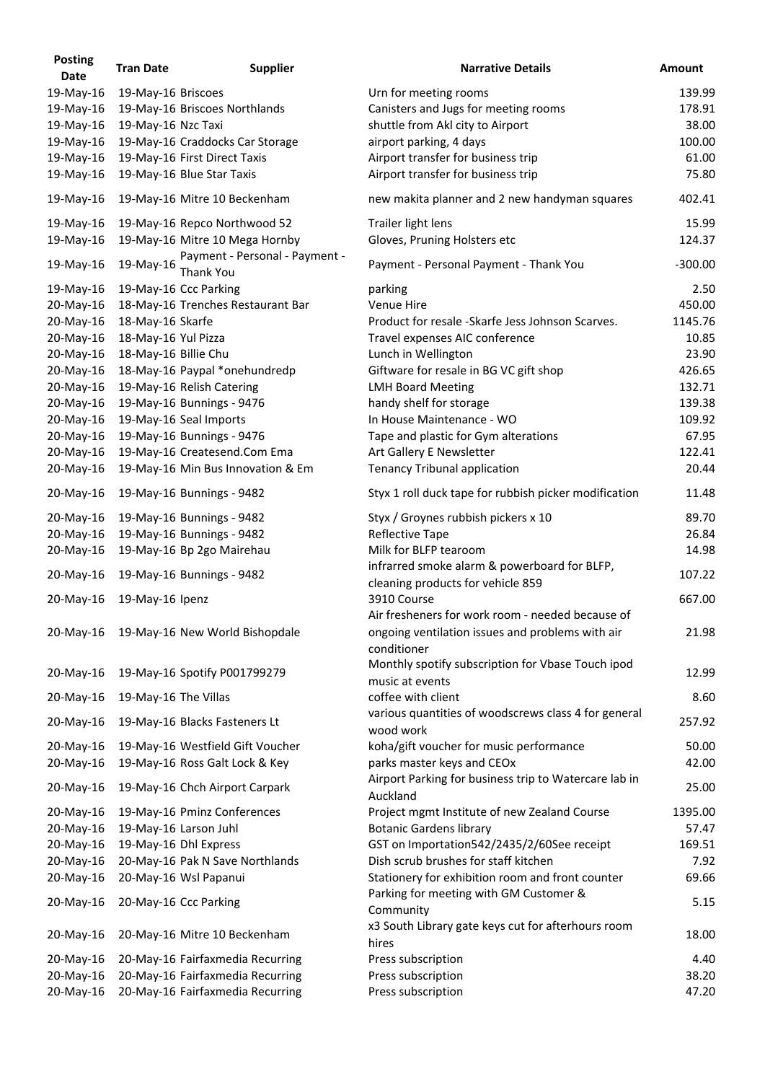| <b>Posting</b><br><b>Date</b> | <b>Tran Date</b>     | <b>Supplier</b>                                    | <b>Narrative Details</b>                                          | <b>Amount</b> |
|-------------------------------|----------------------|----------------------------------------------------|-------------------------------------------------------------------|---------------|
| 19-May-16                     | 19-May-16 Briscoes   |                                                    | Urn for meeting rooms                                             | 139.99        |
| 19-May-16                     |                      | 19-May-16 Briscoes Northlands                      | Canisters and Jugs for meeting rooms                              | 178.91        |
| 19-May-16                     | 19-May-16 Nzc Taxi   |                                                    | shuttle from Akl city to Airport                                  | 38.00         |
| 19-May-16                     |                      | 19-May-16 Craddocks Car Storage                    | airport parking, 4 days                                           | 100.00        |
| 19-May-16                     |                      | 19-May-16 First Direct Taxis                       | Airport transfer for business trip                                | 61.00         |
| 19-May-16                     |                      | 19-May-16 Blue Star Taxis                          | Airport transfer for business trip                                | 75.80         |
| 19-May-16                     |                      | 19-May-16 Mitre 10 Beckenham                       | new makita planner and 2 new handyman squares                     | 402.41        |
| 19-May-16                     |                      | 19-May-16 Repco Northwood 52                       | Trailer light lens                                                | 15.99         |
| 19-May-16                     |                      | 19-May-16 Mitre 10 Mega Hornby                     | Gloves, Pruning Holsters etc                                      | 124.37        |
| 19-May-16                     | 19-May-16            | Payment - Personal - Payment -<br><b>Thank You</b> | Payment - Personal Payment - Thank You                            | $-300.00$     |
| 19-May-16                     |                      | 19-May-16 Ccc Parking                              | parking                                                           | 2.50          |
| 20-May-16                     |                      | 18-May-16 Trenches Restaurant Bar                  | Venue Hire                                                        | 450.00        |
| 20-May-16                     | 18-May-16 Skarfe     |                                                    | Product for resale -Skarfe Jess Johnson Scarves.                  | 1145.76       |
| 20-May-16                     | 18-May-16 Yul Pizza  |                                                    | Travel expenses AIC conference                                    | 10.85         |
| 20-May-16                     | 18-May-16 Billie Chu |                                                    | Lunch in Wellington                                               | 23.90         |
| 20-May-16                     |                      | 18-May-16 Paypal *onehundredp                      | Giftware for resale in BG VC gift shop                            | 426.65        |
| 20-May-16                     |                      | 19-May-16 Relish Catering                          | <b>LMH Board Meeting</b>                                          | 132.71        |
| 20-May-16                     |                      | 19-May-16 Bunnings - 9476                          | handy shelf for storage                                           | 139.38        |
| 20-May-16                     |                      | 19-May-16 Seal Imports                             | In House Maintenance - WO                                         | 109.92        |
| 20-May-16                     |                      | 19-May-16 Bunnings - 9476                          | Tape and plastic for Gym alterations                              | 67.95         |
| 20-May-16                     |                      | 19-May-16 Createsend.Com Ema                       | Art Gallery E Newsletter                                          | 122.41        |
| 20-May-16                     |                      | 19-May-16 Min Bus Innovation & Em                  | <b>Tenancy Tribunal application</b>                               | 20.44         |
| 20-May-16                     |                      | 19-May-16 Bunnings - 9482                          | Styx 1 roll duck tape for rubbish picker modification             | 11.48         |
| 20-May-16                     |                      | 19-May-16 Bunnings - 9482                          | Styx / Groynes rubbish pickers x 10                               | 89.70         |
| 20-May-16                     |                      | 19-May-16 Bunnings - 9482                          | <b>Reflective Tape</b>                                            | 26.84         |
| 20-May-16                     |                      | 19-May-16 Bp 2go Mairehau                          | Milk for BLFP tearoom                                             | 14.98         |
|                               |                      |                                                    | infrarred smoke alarm & powerboard for BLFP,                      |               |
| 20-May-16                     |                      | 19-May-16 Bunnings - 9482                          | cleaning products for vehicle 859                                 | 107.22        |
| 20-May-16                     | 19-May-16 Ipenz      |                                                    | 3910 Course<br>Air fresheners for work room - needed because of   | 667.00        |
| 20-May-16                     |                      | 19-May-16 New World Bishopdale                     | ongoing ventilation issues and problems with air<br>conditioner   | 21.98         |
|                               |                      |                                                    | Monthly spotify subscription for Vbase Touch ipod                 |               |
| 20-May-16                     |                      | 19-May-16 Spotify P001799279                       | music at events                                                   | 12.99         |
| 20-May-16                     | 19-May-16 The Villas |                                                    | coffee with client                                                | 8.60          |
| 20-May-16                     |                      | 19-May-16 Blacks Fasteners Lt                      | various quantities of woodscrews class 4 for general<br>wood work | 257.92        |
| 20-May-16                     |                      | 19-May-16 Westfield Gift Voucher                   | koha/gift voucher for music performance                           | 50.00         |
| 20-May-16                     |                      | 19-May-16 Ross Galt Lock & Key                     | parks master keys and CEOx                                        | 42.00         |
| 20-May-16                     |                      | 19-May-16 Chch Airport Carpark                     | Airport Parking for business trip to Watercare lab in<br>Auckland | 25.00         |
| 20-May-16                     |                      | 19-May-16 Pminz Conferences                        | Project mgmt Institute of new Zealand Course                      | 1395.00       |
| 20-May-16                     |                      | 19-May-16 Larson Juhl                              | <b>Botanic Gardens library</b>                                    | 57.47         |
| 20-May-16                     |                      | 19-May-16 Dhl Express                              | GST on Importation542/2435/2/60See receipt                        | 169.51        |
| 20-May-16                     |                      | 20-May-16 Pak N Save Northlands                    | Dish scrub brushes for staff kitchen                              | 7.92          |
| 20-May-16                     |                      | 20-May-16 Wsl Papanui                              | Stationery for exhibition room and front counter                  | 69.66         |
| 20-May-16                     |                      | 20-May-16 Ccc Parking                              | Parking for meeting with GM Customer &<br>Community               | 5.15          |
| 20-May-16                     |                      | 20-May-16 Mitre 10 Beckenham                       | x3 South Library gate keys cut for afterhours room                | 18.00         |
| 20-May-16                     |                      | 20-May-16 Fairfaxmedia Recurring                   | hires<br>Press subscription                                       | 4.40          |
| 20-May-16                     |                      | 20-May-16 Fairfaxmedia Recurring                   | Press subscription                                                | 38.20         |
| 20-May-16                     |                      | 20-May-16 Fairfaxmedia Recurring                   | Press subscription                                                | 47.20         |
|                               |                      |                                                    |                                                                   |               |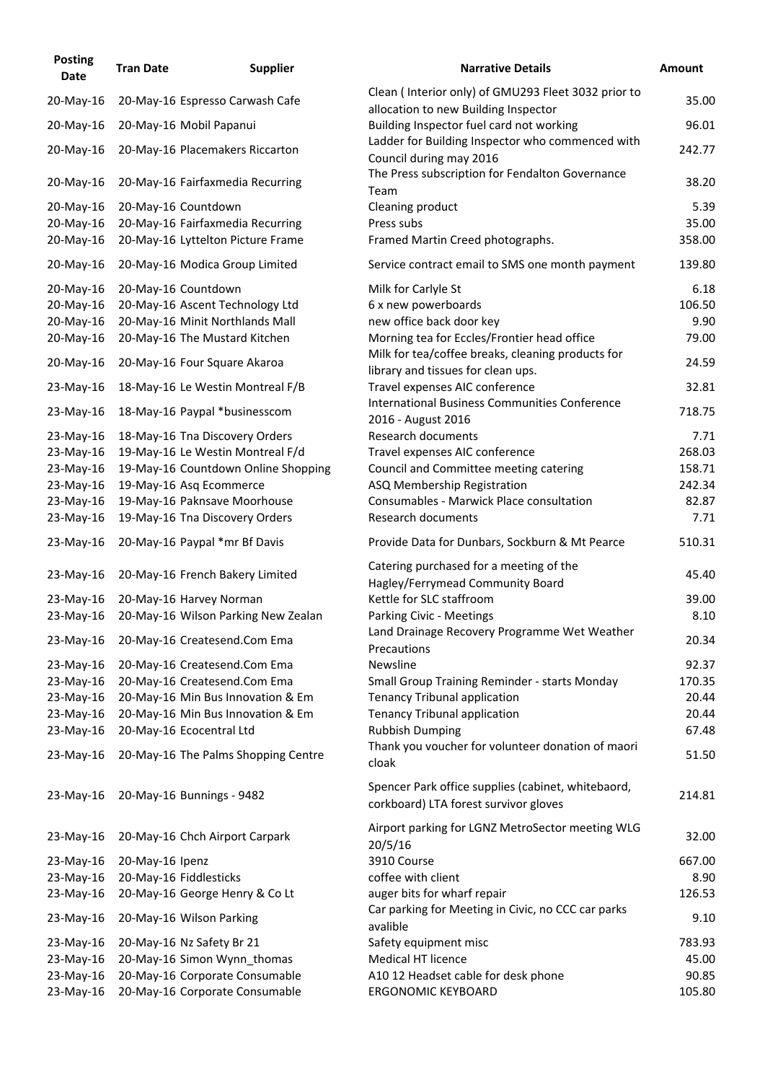| <b>Posting</b><br><b>Date</b> | <b>Tran Date</b> | <b>Supplier</b>                         | <b>Narrative Details</b>                                                                    | <b>Amount</b> |
|-------------------------------|------------------|-----------------------------------------|---------------------------------------------------------------------------------------------|---------------|
| 20-May-16                     |                  | 20-May-16 Espresso Carwash Cafe         | Clean (Interior only) of GMU293 Fleet 3032 prior to<br>allocation to new Building Inspector | 35.00         |
| 20-May-16                     |                  | 20-May-16 Mobil Papanui                 | Building Inspector fuel card not working                                                    | 96.01         |
| 20-May-16                     |                  | 20-May-16 Placemakers Riccarton         | Ladder for Building Inspector who commenced with<br>Council during may 2016                 | 242.77        |
| 20-May-16                     |                  | 20-May-16 Fairfaxmedia Recurring        | The Press subscription for Fendalton Governance<br>Team                                     | 38.20         |
| 20-May-16                     |                  | 20-May-16 Countdown                     | Cleaning product                                                                            | 5.39          |
| 20-May-16                     |                  | 20-May-16 Fairfaxmedia Recurring        | Press subs                                                                                  | 35.00         |
| 20-May-16                     |                  | 20-May-16 Lyttelton Picture Frame       | Framed Martin Creed photographs.                                                            | 358.00        |
| 20-May-16                     |                  | 20-May-16 Modica Group Limited          | Service contract email to SMS one month payment                                             | 139.80        |
| 20-May-16                     |                  | 20-May-16 Countdown                     | Milk for Carlyle St                                                                         | 6.18          |
| 20-May-16                     |                  | 20-May-16 Ascent Technology Ltd         | 6 x new powerboards                                                                         | 106.50        |
| 20-May-16                     |                  | 20-May-16 Minit Northlands Mall         | new office back door key                                                                    | 9.90          |
| 20-May-16                     |                  | 20-May-16 The Mustard Kitchen           | Morning tea for Eccles/Frontier head office                                                 | 79.00         |
| 20-May-16                     |                  | 20-May-16 Four Square Akaroa            | Milk for tea/coffee breaks, cleaning products for                                           | 24.59         |
|                               |                  |                                         | library and tissues for clean ups.                                                          |               |
| 23-May-16                     |                  | 18-May-16 Le Westin Montreal F/B        | Travel expenses AIC conference                                                              | 32.81         |
| 23-May-16                     |                  | 18-May-16 Paypal *businesscom           | <b>International Business Communities Conference</b><br>2016 - August 2016                  | 718.75        |
| 23-May-16                     |                  | 18-May-16 Tna Discovery Orders          | Research documents                                                                          | 7.71          |
| 23-May-16                     |                  | 19-May-16 Le Westin Montreal F/d        | Travel expenses AIC conference                                                              | 268.03        |
| 23-May-16                     |                  | 19-May-16 Countdown Online Shopping     | Council and Committee meeting catering                                                      | 158.71        |
| 23-May-16                     |                  | 19-May-16 Asq Ecommerce                 | ASQ Membership Registration                                                                 | 242.34        |
| 23-May-16                     |                  | 19-May-16 Paknsave Moorhouse            | Consumables - Marwick Place consultation                                                    | 82.87         |
| 23-May-16                     |                  | 19-May-16 Tna Discovery Orders          | Research documents                                                                          | 7.71          |
|                               |                  | 23-May-16 20-May-16 Paypal *mr Bf Davis | Provide Data for Dunbars, Sockburn & Mt Pearce                                              | 510.31        |
| 23-May-16                     |                  | 20-May-16 French Bakery Limited         | Catering purchased for a meeting of the<br>Hagley/Ferrymead Community Board                 | 45.40         |
| 23-May-16                     |                  | 20-May-16 Harvey Norman                 | Kettle for SLC staffroom                                                                    | 39.00         |
| 23-May-16                     |                  | 20-May-16 Wilson Parking New Zealan     | Parking Civic - Meetings                                                                    | 8.10          |
| 23-May-16                     |                  | 20-May-16 Createsend.Com Ema            | Land Drainage Recovery Programme Wet Weather                                                | 20.34         |
|                               |                  |                                         | Precautions                                                                                 |               |
| 23-May-16                     |                  | 20-May-16 Createsend.Com Ema            | Newsline                                                                                    | 92.37         |
| 23-May-16                     |                  | 20-May-16 Createsend.Com Ema            | Small Group Training Reminder - starts Monday                                               | 170.35        |
| 23-May-16                     |                  | 20-May-16 Min Bus Innovation & Em       | <b>Tenancy Tribunal application</b>                                                         | 20.44         |
| 23-May-16                     |                  | 20-May-16 Min Bus Innovation & Em       | <b>Tenancy Tribunal application</b>                                                         | 20.44         |
| 23-May-16                     |                  | 20-May-16 Ecocentral Ltd                | <b>Rubbish Dumping</b>                                                                      | 67.48         |
| 23-May-16                     |                  | 20-May-16 The Palms Shopping Centre     | Thank you voucher for volunteer donation of maori<br>cloak                                  | 51.50         |
| 23-May-16                     |                  | 20-May-16 Bunnings - 9482               | Spencer Park office supplies (cabinet, whitebaord,<br>corkboard) LTA forest survivor gloves | 214.81        |
| 23-May-16                     |                  | 20-May-16 Chch Airport Carpark          | Airport parking for LGNZ MetroSector meeting WLG<br>20/5/16                                 | 32.00         |
| 23-May-16                     | 20-May-16 Ipenz  |                                         | 3910 Course                                                                                 | 667.00        |
| 23-May-16                     |                  | 20-May-16 Fiddlesticks                  | coffee with client                                                                          | 8.90          |
| 23-May-16                     |                  | 20-May-16 George Henry & Co Lt          | auger bits for wharf repair                                                                 | 126.53        |
| 23-May-16                     |                  | 20-May-16 Wilson Parking                | Car parking for Meeting in Civic, no CCC car parks<br>avalible                              | 9.10          |
| 23-May-16                     |                  | 20-May-16 Nz Safety Br 21               | Safety equipment misc                                                                       | 783.93        |
| 23-May-16                     |                  | 20-May-16 Simon Wynn thomas             | <b>Medical HT licence</b>                                                                   | 45.00         |
| 23-May-16                     |                  | 20-May-16 Corporate Consumable          | A10 12 Headset cable for desk phone                                                         | 90.85         |
| 23-May-16                     |                  | 20-May-16 Corporate Consumable          | <b>ERGONOMIC KEYBOARD</b>                                                                   | 105.80        |
|                               |                  |                                         |                                                                                             |               |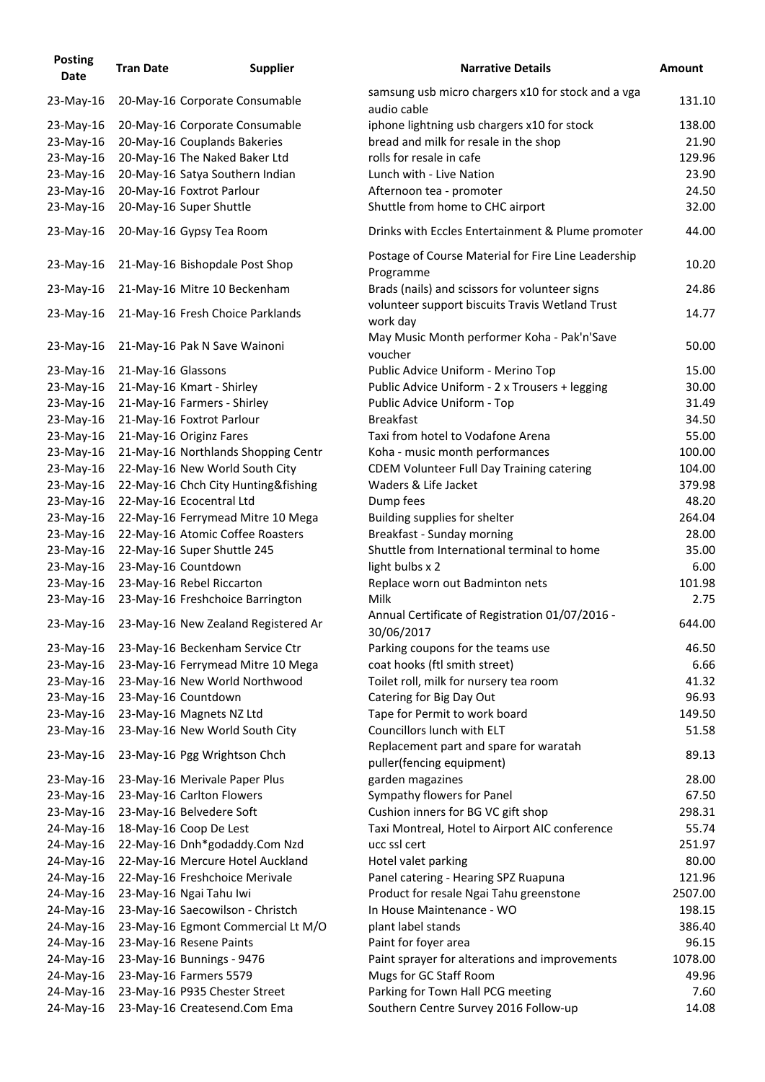| <b>Posting</b><br><b>Date</b> | <b>Tran Date</b>   | <b>Supplier</b>                     | <b>Narrative Details</b>                                            | <b>Amount</b> |
|-------------------------------|--------------------|-------------------------------------|---------------------------------------------------------------------|---------------|
| 23-May-16                     |                    | 20-May-16 Corporate Consumable      | samsung usb micro chargers x10 for stock and a vga<br>audio cable   | 131.10        |
| 23-May-16                     |                    | 20-May-16 Corporate Consumable      | iphone lightning usb chargers x10 for stock                         | 138.00        |
| 23-May-16                     |                    | 20-May-16 Couplands Bakeries        | bread and milk for resale in the shop                               | 21.90         |
| 23-May-16                     |                    | 20-May-16 The Naked Baker Ltd       | rolls for resale in cafe                                            | 129.96        |
| 23-May-16                     |                    | 20-May-16 Satya Southern Indian     | Lunch with - Live Nation                                            | 23.90         |
| 23-May-16                     |                    | 20-May-16 Foxtrot Parlour           | Afternoon tea - promoter                                            | 24.50         |
| 23-May-16                     |                    | 20-May-16 Super Shuttle             | Shuttle from home to CHC airport                                    | 32.00         |
| 23-May-16                     |                    | 20-May-16 Gypsy Tea Room            | Drinks with Eccles Entertainment & Plume promoter                   | 44.00         |
| 23-May-16                     |                    | 21-May-16 Bishopdale Post Shop      | Postage of Course Material for Fire Line Leadership<br>Programme    | 10.20         |
| 23-May-16                     |                    | 21-May-16 Mitre 10 Beckenham        | Brads (nails) and scissors for volunteer signs                      | 24.86         |
| 23-May-16                     |                    | 21-May-16 Fresh Choice Parklands    | volunteer support biscuits Travis Wetland Trust<br>work day         | 14.77         |
| 23-May-16                     |                    | 21-May-16 Pak N Save Wainoni        | May Music Month performer Koha - Pak'n'Save<br>voucher              | 50.00         |
| 23-May-16                     | 21-May-16 Glassons |                                     | Public Advice Uniform - Merino Top                                  | 15.00         |
| 23-May-16                     |                    | 21-May-16 Kmart - Shirley           | Public Advice Uniform - 2 x Trousers + legging                      | 30.00         |
| 23-May-16                     |                    | 21-May-16 Farmers - Shirley         | Public Advice Uniform - Top                                         | 31.49         |
| 23-May-16                     |                    | 21-May-16 Foxtrot Parlour           | <b>Breakfast</b>                                                    | 34.50         |
| 23-May-16                     |                    | 21-May-16 Originz Fares             | Taxi from hotel to Vodafone Arena                                   | 55.00         |
| 23-May-16                     |                    | 21-May-16 Northlands Shopping Centr | Koha - music month performances                                     | 100.00        |
| 23-May-16                     |                    | 22-May-16 New World South City      | <b>CDEM Volunteer Full Day Training catering</b>                    | 104.00        |
| 23-May-16                     |                    | 22-May-16 Chch City Hunting&fishing | Waders & Life Jacket                                                | 379.98        |
| 23-May-16                     |                    | 22-May-16 Ecocentral Ltd            | Dump fees                                                           | 48.20         |
| 23-May-16                     |                    | 22-May-16 Ferrymead Mitre 10 Mega   | Building supplies for shelter                                       | 264.04        |
| 23-May-16                     |                    | 22-May-16 Atomic Coffee Roasters    | Breakfast - Sunday morning                                          | 28.00         |
| 23-May-16                     |                    | 22-May-16 Super Shuttle 245         | Shuttle from International terminal to home                         | 35.00         |
| 23-May-16                     |                    | 23-May-16 Countdown                 | light bulbs x 2                                                     | 6.00          |
|                               |                    |                                     |                                                                     | 101.98        |
| 23-May-16                     |                    | 23-May-16 Rebel Riccarton           | Replace worn out Badminton nets                                     |               |
| 23-May-16                     |                    | 23-May-16 Freshchoice Barrington    | Milk                                                                | 2.75          |
| 23-May-16                     |                    | 23-May-16 New Zealand Registered Ar | Annual Certificate of Registration 01/07/2016 -<br>30/06/2017       | 644.00        |
| 23-May-16                     |                    | 23-May-16 Beckenham Service Ctr     | Parking coupons for the teams use                                   | 46.50         |
| 23-May-16                     |                    | 23-May-16 Ferrymead Mitre 10 Mega   | coat hooks (ftl smith street)                                       | 6.66          |
| 23-May-16                     |                    | 23-May-16 New World Northwood       | Toilet roll, milk for nursery tea room                              | 41.32         |
| 23-May-16                     |                    | 23-May-16 Countdown                 | Catering for Big Day Out                                            | 96.93         |
| 23-May-16                     |                    | 23-May-16 Magnets NZ Ltd            | Tape for Permit to work board                                       | 149.50        |
| 23-May-16                     |                    | 23-May-16 New World South City      | Councillors lunch with ELT                                          | 51.58         |
| 23-May-16                     |                    | 23-May-16 Pgg Wrightson Chch        | Replacement part and spare for waratah<br>puller(fencing equipment) | 89.13         |
| 23-May-16                     |                    | 23-May-16 Merivale Paper Plus       | garden magazines                                                    | 28.00         |
| 23-May-16                     |                    | 23-May-16 Carlton Flowers           | Sympathy flowers for Panel                                          | 67.50         |
| 23-May-16                     |                    | 23-May-16 Belvedere Soft            | Cushion inners for BG VC gift shop                                  | 298.31        |
| 24-May-16                     |                    | 18-May-16 Coop De Lest              | Taxi Montreal, Hotel to Airport AIC conference                      | 55.74         |
| 24-May-16                     |                    | 22-May-16 Dnh*godaddy.Com Nzd       | ucc ssl cert                                                        | 251.97        |
| 24-May-16                     |                    | 22-May-16 Mercure Hotel Auckland    | Hotel valet parking                                                 | 80.00         |
| 24-May-16                     |                    | 22-May-16 Freshchoice Merivale      | Panel catering - Hearing SPZ Ruapuna                                | 121.96        |
|                               |                    | 23-May-16 Ngai Tahu Iwi             |                                                                     | 2507.00       |
| 24-May-16                     |                    |                                     | Product for resale Ngai Tahu greenstone                             |               |
| 24-May-16                     |                    | 23-May-16 Saecowilson - Christch    | In House Maintenance - WO                                           | 198.15        |
| 24-May-16                     |                    | 23-May-16 Egmont Commercial Lt M/O  | plant label stands                                                  | 386.40        |
| 24-May-16                     |                    | 23-May-16 Resene Paints             | Paint for foyer area                                                | 96.15         |
| 24-May-16                     |                    | 23-May-16 Bunnings - 9476           | Paint sprayer for alterations and improvements                      | 1078.00       |
| 24-May-16                     |                    | 23-May-16 Farmers 5579              | Mugs for GC Staff Room                                              | 49.96         |
| 24-May-16                     |                    | 23-May-16 P935 Chester Street       | Parking for Town Hall PCG meeting                                   | 7.60          |
| 24-May-16                     |                    | 23-May-16 Createsend.Com Ema        | Southern Centre Survey 2016 Follow-up                               | 14.08         |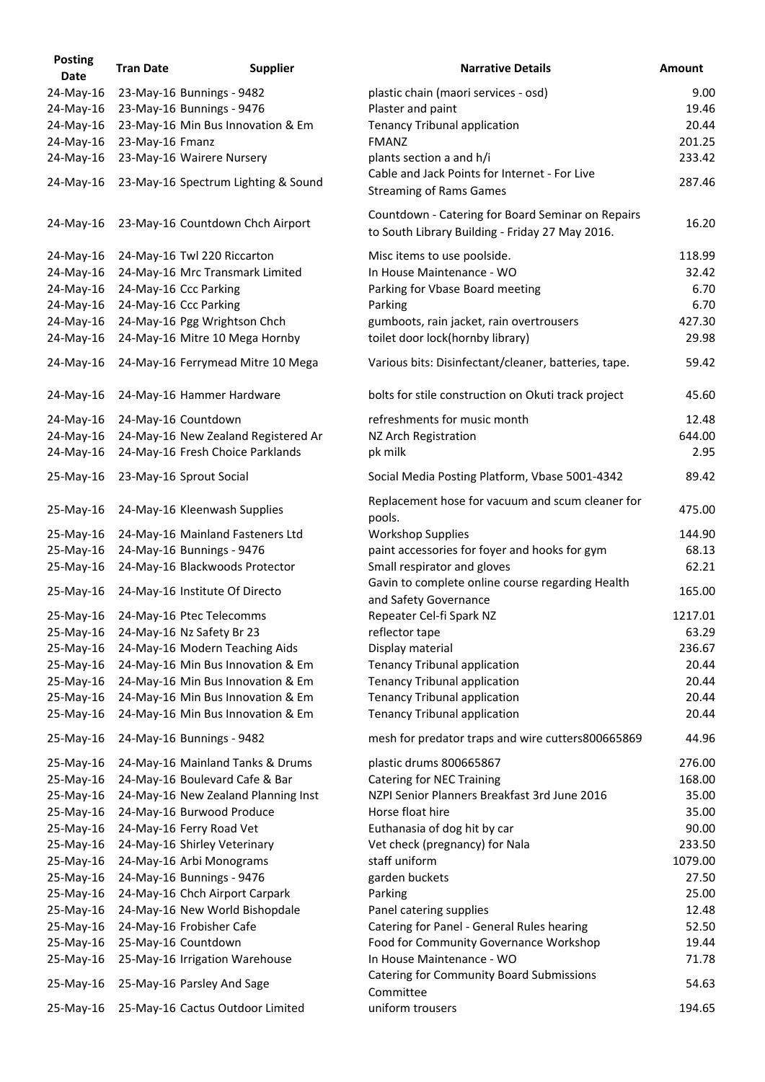| <b>Posting</b><br><b>Date</b> | <b>Tran Date</b> | <b>Supplier</b>                            | <b>Narrative Details</b>                                                                             | <b>Amount</b> |
|-------------------------------|------------------|--------------------------------------------|------------------------------------------------------------------------------------------------------|---------------|
| 24-May-16                     |                  | 23-May-16 Bunnings - 9482                  | plastic chain (maori services - osd)                                                                 | 9.00          |
| 24-May-16                     |                  | 23-May-16 Bunnings - 9476                  | Plaster and paint                                                                                    | 19.46         |
| 24-May-16                     |                  | 23-May-16 Min Bus Innovation & Em          | <b>Tenancy Tribunal application</b>                                                                  | 20.44         |
| 24-May-16                     | 23-May-16 Fmanz  |                                            | <b>FMANZ</b>                                                                                         | 201.25        |
| 24-May-16                     |                  | 23-May-16 Wairere Nursery                  | plants section a and h/i                                                                             | 233.42        |
|                               |                  |                                            | Cable and Jack Points for Internet - For Live                                                        |               |
| 24-May-16                     |                  | 23-May-16 Spectrum Lighting & Sound        |                                                                                                      | 287.46        |
|                               |                  |                                            | <b>Streaming of Rams Games</b>                                                                       |               |
| 24-May-16                     |                  | 23-May-16 Countdown Chch Airport           | Countdown - Catering for Board Seminar on Repairs<br>to South Library Building - Friday 27 May 2016. | 16.20         |
| 24-May-16                     |                  | 24-May-16 Twl 220 Riccarton                | Misc items to use poolside.                                                                          | 118.99        |
| 24-May-16                     |                  | 24-May-16 Mrc Transmark Limited            | In House Maintenance - WO                                                                            | 32.42         |
| 24-May-16                     |                  | 24-May-16 Ccc Parking                      | Parking for Vbase Board meeting                                                                      | 6.70          |
| 24-May-16                     |                  | 24-May-16 Ccc Parking                      | Parking                                                                                              | 6.70          |
| 24-May-16                     |                  | 24-May-16 Pgg Wrightson Chch               | gumboots, rain jacket, rain overtrousers                                                             | 427.30        |
| 24-May-16                     |                  | 24-May-16 Mitre 10 Mega Hornby             | toilet door lock(hornby library)                                                                     | 29.98         |
|                               |                  |                                            |                                                                                                      |               |
| 24-May-16                     |                  | 24-May-16 Ferrymead Mitre 10 Mega          | Various bits: Disinfectant/cleaner, batteries, tape.                                                 | 59.42         |
| 24-May-16                     |                  | 24-May-16 Hammer Hardware                  | bolts for stile construction on Okuti track project                                                  | 45.60         |
| 24-May-16                     |                  | 24-May-16 Countdown                        | refreshments for music month                                                                         | 12.48         |
| 24-May-16                     |                  | 24-May-16 New Zealand Registered Ar        | NZ Arch Registration                                                                                 | 644.00        |
| 24-May-16                     |                  | 24-May-16 Fresh Choice Parklands           | pk milk                                                                                              | 2.95          |
| 25-May-16                     |                  | 23-May-16 Sprout Social                    | Social Media Posting Platform, Vbase 5001-4342                                                       | 89.42         |
| 25-May-16                     |                  | 24-May-16 Kleenwash Supplies               | Replacement hose for vacuum and scum cleaner for                                                     | 475.00        |
|                               |                  |                                            | pools.                                                                                               |               |
|                               |                  | 25-May-16 24-May-16 Mainland Fasteners Ltd | <b>Workshop Supplies</b>                                                                             | 144.90        |
| 25-May-16                     |                  | 24-May-16 Bunnings - 9476                  | paint accessories for foyer and hooks for gym                                                        | 68.13         |
| 25-May-16                     |                  | 24-May-16 Blackwoods Protector             | Small respirator and gloves                                                                          | 62.21         |
| 25-May-16                     |                  | 24-May-16 Institute Of Directo             | Gavin to complete online course regarding Health<br>and Safety Governance                            | 165.00        |
| 25-May-16                     |                  | 24-May-16 Ptec Telecomms                   | Repeater Cel-fi Spark NZ                                                                             | 1217.01       |
| 25-May-16                     |                  | 24-May-16 Nz Safety Br 23                  | reflector tape                                                                                       | 63.29         |
| 25-May-16                     |                  | 24-May-16 Modern Teaching Aids             | Display material                                                                                     | 236.67        |
| 25-May-16                     |                  | 24-May-16 Min Bus Innovation & Em          | <b>Tenancy Tribunal application</b>                                                                  | 20.44         |
| 25-May-16                     |                  | 24-May-16 Min Bus Innovation & Em          | <b>Tenancy Tribunal application</b>                                                                  | 20.44         |
| 25-May-16                     |                  | 24-May-16 Min Bus Innovation & Em          | <b>Tenancy Tribunal application</b>                                                                  | 20.44         |
| 25-May-16                     |                  | 24-May-16 Min Bus Innovation & Em          | <b>Tenancy Tribunal application</b>                                                                  | 20.44         |
| 25-May-16                     |                  | 24-May-16 Bunnings - 9482                  | mesh for predator traps and wire cutters800665869                                                    | 44.96         |
| 25-May-16                     |                  | 24-May-16 Mainland Tanks & Drums           | plastic drums 800665867                                                                              | 276.00        |
| 25-May-16                     |                  | 24-May-16 Boulevard Cafe & Bar             | <b>Catering for NEC Training</b>                                                                     | 168.00        |
| 25-May-16                     |                  | 24-May-16 New Zealand Planning Inst        | NZPI Senior Planners Breakfast 3rd June 2016                                                         | 35.00         |
| 25-May-16                     |                  | 24-May-16 Burwood Produce                  | Horse float hire                                                                                     | 35.00         |
| 25-May-16                     |                  | 24-May-16 Ferry Road Vet                   | Euthanasia of dog hit by car                                                                         | 90.00         |
| 25-May-16                     |                  | 24-May-16 Shirley Veterinary               | Vet check (pregnancy) for Nala                                                                       | 233.50        |
| 25-May-16                     |                  | 24-May-16 Arbi Monograms                   | staff uniform                                                                                        | 1079.00       |
| 25-May-16                     |                  | 24-May-16 Bunnings - 9476                  | garden buckets                                                                                       | 27.50         |
| 25-May-16                     |                  | 24-May-16 Chch Airport Carpark             | Parking                                                                                              | 25.00         |
| 25-May-16                     |                  | 24-May-16 New World Bishopdale             | Panel catering supplies                                                                              | 12.48         |
| 25-May-16                     |                  | 24-May-16 Frobisher Cafe                   | Catering for Panel - General Rules hearing                                                           | 52.50         |
| 25-May-16                     |                  | 25-May-16 Countdown                        | Food for Community Governance Workshop                                                               | 19.44         |
| 25-May-16                     |                  | 25-May-16 Irrigation Warehouse             | In House Maintenance - WO                                                                            | 71.78         |
| 25-May-16                     |                  | 25-May-16 Parsley And Sage                 | <b>Catering for Community Board Submissions</b>                                                      | 54.63         |
|                               |                  |                                            | Committee                                                                                            |               |
| 25-May-16                     |                  | 25-May-16 Cactus Outdoor Limited           | uniform trousers                                                                                     | 194.65        |